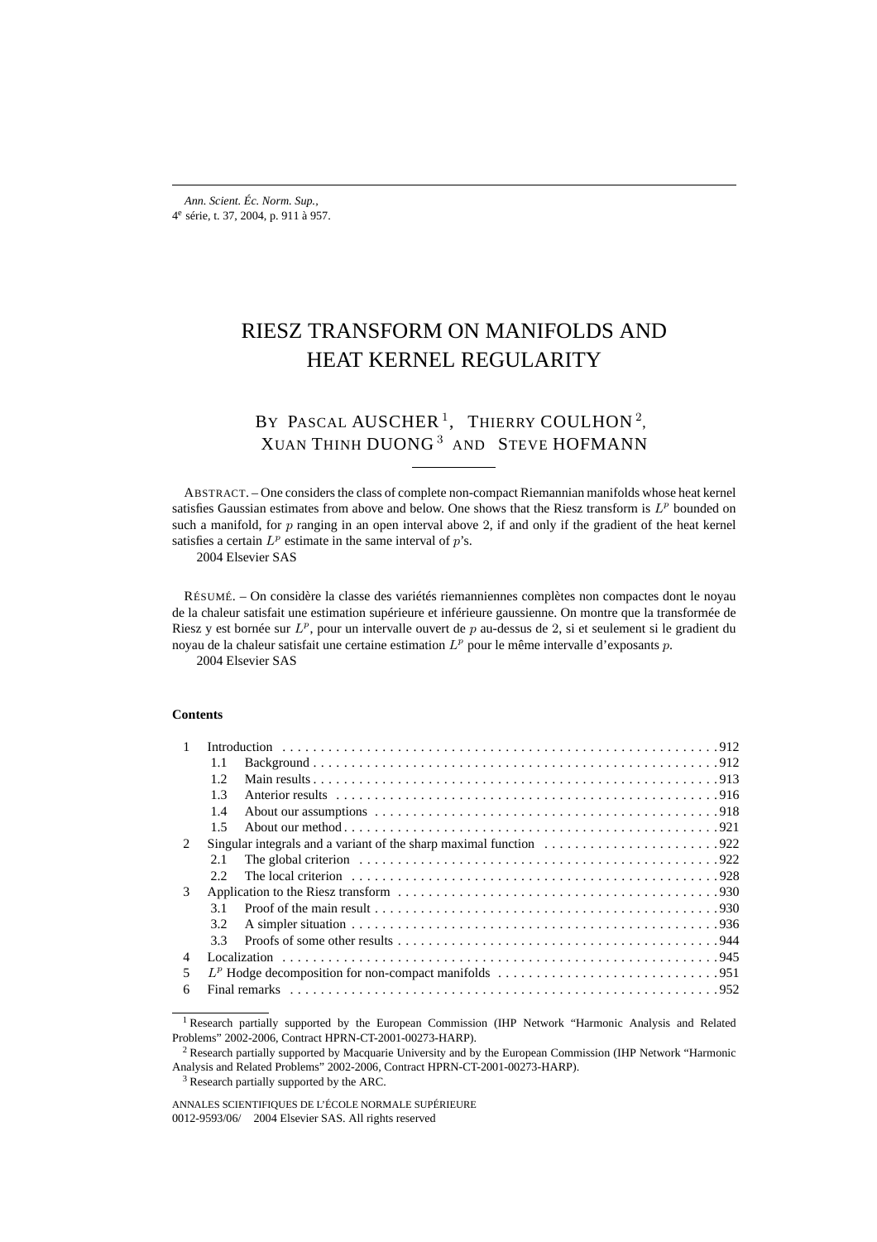# RIESZ TRANSFORM ON MANIFOLDS AND HEAT KERNEL REGULARITY

# BY PASCAL AUSCHER<sup>1</sup>, THIERRY COULHON<sup>2</sup>, XUAN THINH DUONG <sup>3</sup> AND STEVE HOFMANN

ABSTRACT. – One considers the class of complete non-compact Riemannian manifolds whose heat kernel satisfies Gaussian estimates from above and below. One shows that the Riesz transform is  $L^p$  bounded on such a manifold, for  $p$  ranging in an open interval above 2, if and only if the gradient of the heat kernel satisfies a certain  $L^p$  estimate in the same interval of  $p$ 's.

2004 Elsevier SAS

RÉSUMÉ. – On considère la classe des variétés riemanniennes complètes non compactes dont le noyau de la chaleur satisfait une estimation supérieure et inférieure gaussienne. On montre que la transformée de Riesz y est bornée sur  $L^p$ , pour un intervalle ouvert de p au-dessus de 2, si et seulement si le gradient du noyau de la chaleur satisfait une certaine estimation  $L^p$  pour le même intervalle d'exposants p.

2004 Elsevier SAS

### **Contents**

|                             | 1.1                                                                                                                  |  |  |  |  |  |  |
|-----------------------------|----------------------------------------------------------------------------------------------------------------------|--|--|--|--|--|--|
|                             | 12                                                                                                                   |  |  |  |  |  |  |
|                             | 1.3                                                                                                                  |  |  |  |  |  |  |
|                             | 1.4                                                                                                                  |  |  |  |  |  |  |
|                             | 1.5                                                                                                                  |  |  |  |  |  |  |
| $\mathcal{D}_{\mathcal{L}}$ | Singular integrals and a variant of the sharp maximal function $\dots \dots \dots \dots \dots \dots \dots \dots$     |  |  |  |  |  |  |
|                             | 2.1                                                                                                                  |  |  |  |  |  |  |
|                             | 22                                                                                                                   |  |  |  |  |  |  |
| 3                           |                                                                                                                      |  |  |  |  |  |  |
|                             | 31                                                                                                                   |  |  |  |  |  |  |
|                             | 3.2                                                                                                                  |  |  |  |  |  |  |
|                             | 33                                                                                                                   |  |  |  |  |  |  |
| 4                           |                                                                                                                      |  |  |  |  |  |  |
| 5                           | $L^p$ Hodge decomposition for non-compact manifolds $\ldots \ldots \ldots \ldots \ldots \ldots \ldots \ldots \ldots$ |  |  |  |  |  |  |
| 6                           |                                                                                                                      |  |  |  |  |  |  |

<sup>3</sup> Research partially supported by the ARC.

<sup>&</sup>lt;sup>1</sup> Research partially supported by the European Commission (IHP Network "Harmonic Analysis and Related Problems" 2002-2006, Contract HPRN-CT-2001-00273-HARP).

<sup>2</sup> Research partially supported by Macquarie University and by the European Commission (IHP Network "Harmonic Analysis and Related Problems" 2002-2006, Contract HPRN-CT-2001-00273-HARP).

ANNALES SCIENTIFIQUES DE L'ÉCOLE NORMALE SUPÉRIEURE 0012-9593/06/© 2004 Elsevier SAS. All rights reserved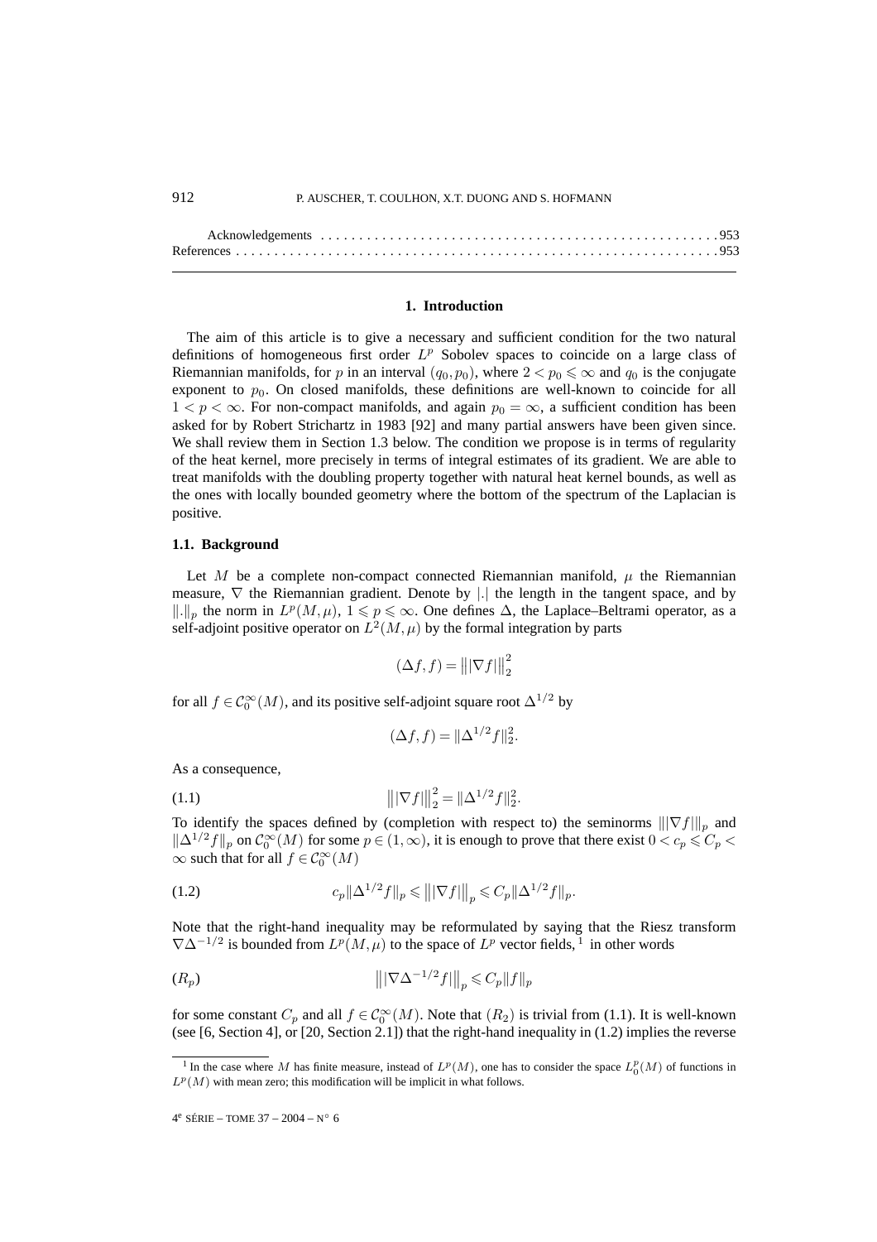#### **1. Introduction**

The aim of this article is to give a necessary and sufficient condition for the two natural definitions of homogeneous first order  $L^p$  Sobolev spaces to coincide on a large class of Riemannian manifolds, for p in an interval  $(q_0, p_0)$ , where  $2 < p_0 \leq \infty$  and  $q_0$  is the conjugate exponent to  $p_0$ . On closed manifolds, these definitions are well-known to coincide for all  $1 < p < \infty$ . For non-compact manifolds, and again  $p_0 = \infty$ , a sufficient condition has been asked for by Robert Strichartz in 1983 [92] and many partial answers have been given since. We shall review them in Section 1.3 below. The condition we propose is in terms of regularity of the heat kernel, more precisely in terms of integral estimates of its gradient. We are able to treat manifolds with the doubling property together with natural heat kernel bounds, as well as the ones with locally bounded geometry where the bottom of the spectrum of the Laplacian is positive.

### **1.1. Background**

Let M be a complete non-compact connected Riemannian manifold,  $\mu$  the Riemannian measure,  $\nabla$  the Riemannian gradient. Denote by |.| the length in the tangent space, and by  $\|.\|_p$  the norm in  $L^p(M,\mu), 1 \leq p \leq \infty$ . One defines  $\Delta$ , the Laplace–Beltrami operator, as a self-adjoint positive operator on  $L^2(M,\mu)$  by the formal integration by parts

$$
(\Delta f, f) = |||\nabla f||_2^2
$$

for all  $f \in C_0^{\infty}(M)$ , and its positive self-adjoint square root  $\Delta^{1/2}$  by

$$
(\Delta f, f) = ||\Delta^{1/2} f||_2^2.
$$

As a consequence,

(1.1) 
$$
\left\| |\nabla f| \right\|_2^2 = \|\Delta^{1/2} f\|_2^2.
$$

To identify the spaces defined by (completion with respect to) the seminorms  $\|\nabla f\|_p$  and  $\|\Delta^{1/2}f\|_p$  on  $\mathcal{C}_0^{\infty}(M)$  for some  $p \in (1,\infty)$ , it is enough to prove that there exist  $0 < c_p \leq C_p <$  $\infty$  such that for all  $f \in C_0^{\infty}(M)$ 

(1.2) 
$$
c_p \|\Delta^{1/2} f\|_p \leq \| |\nabla f| \|_p \leq C_p \|\Delta^{1/2} f\|_p.
$$

Note that the right-hand inequality may be reformulated by saying that the Riesz transform  $\nabla \Delta^{-1/2}$  is bounded from  $L^p(M,\mu)$  to the space of  $L^p$  vector fields, <sup>1</sup> in other words

$$
|||\nabla \Delta^{-1/2} f||_p \leqslant C_p ||f||_p
$$

for some constant  $C_p$  and all  $f \in C_0^{\infty}(M)$ . Note that  $(R_2)$  is trivial from (1.1). It is well-known (see [6, Section 4], or [20, Section 2.1]) that the right-hand inequality in (1.2) implies the reverse

<sup>&</sup>lt;sup>1</sup> In the case where M has finite measure, instead of  $L^p(M)$ , one has to consider the space  $L_0^p(M)$  of functions in  $L^p(M)$  with mean zero; this modification will be implicit in what follows.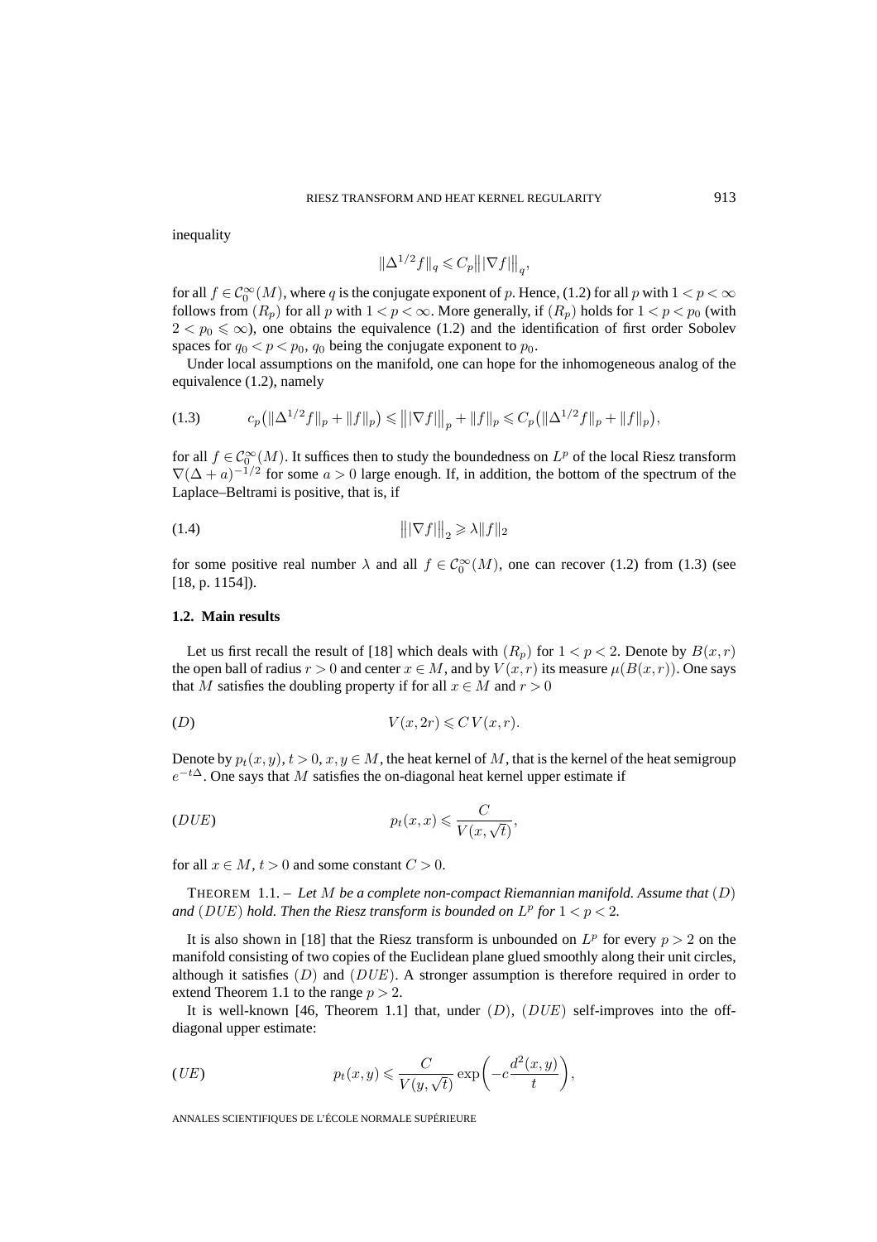inequality

$$
\|\Delta^{1/2}f\|_q\leqslant C_p\big\||\nabla f|\big\|_q,
$$

for all  $f \in C_0^{\infty}(M)$ , where q is the conjugate exponent of p. Hence, (1.2) for all p with  $1 < p < \infty$ follows from  $(R_p)$  for all p with  $1 < p < \infty$ . More generally, if  $(R_p)$  holds for  $1 < p < p_0$  (with  $2 < p_0 \leq \infty$ ), one obtains the equivalence (1.2) and the identification of first order Sobolev spaces for  $q_0 < p < p_0$ ,  $q_0$  being the conjugate exponent to  $p_0$ .

Under local assumptions on the manifold, one can hope for the inhomogeneous analog of the equivalence (1.2), namely

$$
(1.3) \t c_p (||\Delta^{1/2} f||_p + ||f||_p) \le |||\nabla f|||_p + ||f||_p \le C_p (||\Delta^{1/2} f||_p + ||f||_p),
$$

for all  $f \in \mathcal{C}_0^{\infty}(M)$ . It suffices then to study the boundedness on  $L^p$  of the local Riesz transform  $\nabla$ ( $\Delta$  + a)<sup>-1/2</sup> for some a > 0 large enough. If, in addition, the bottom of the spectrum of the Laplace–Beltrami is positive, that is, if

$$
||\nabla f||_2 \ge \lambda ||f||_2
$$

for some positive real number  $\lambda$  and all  $f \in C_0^{\infty}(M)$ , one can recover (1.2) from (1.3) (see [18, p. 1154]).

### **1.2. Main results**

Let us first recall the result of [18] which deals with  $(R_p)$  for  $1 < p < 2$ . Denote by  $B(x, r)$ the open ball of radius  $r > 0$  and center  $x \in M$ , and by  $V(x, r)$  its measure  $\mu(B(x, r))$ . One says that M satisfies the doubling property if for all  $x \in M$  and  $r > 0$ 

$$
(D) \t\t V(x, 2r) \leqslant C V(x, r).
$$

Denote by  $p_t(x, y)$ ,  $t > 0$ ,  $x, y \in M$ , the heat kernel of M, that is the kernel of the heat semigroup  $e^{-t\Delta}$ . One says that M satisfies the on-diagonal heat kernel upper estimate if

pt(x, x) C <sup>V</sup> (x, <sup>√</sup>t) (DUE) ,

for all  $x \in M$ ,  $t > 0$  and some constant  $C > 0$ .

THEOREM 1.1. – *Let* M *be a complete non-compact Riemannian manifold. Assume that* (D) *and* (*DUE*) *hold. Then the Riesz transform is bounded on*  $L^p$  *for*  $1 < p < 2$ *.* 

It is also shown in [18] that the Riesz transform is unbounded on  $L^p$  for every  $p > 2$  on the manifold consisting of two copies of the Euclidean plane glued smoothly along their unit circles, although it satisfies  $(D)$  and  $(DUE)$ . A stronger assumption is therefore required in order to extend Theorem 1.1 to the range  $p > 2$ .

It is well-known [46, Theorem 1.1] that, under  $(D)$ ,  $(DUE)$  self-improves into the offdiagonal upper estimate:

$$
(UE) \t\t p_t(x,y) \leqslant \frac{C}{V(y,\sqrt{t})} \exp\bigg(-c\frac{d^2(x,y)}{t}\bigg),
$$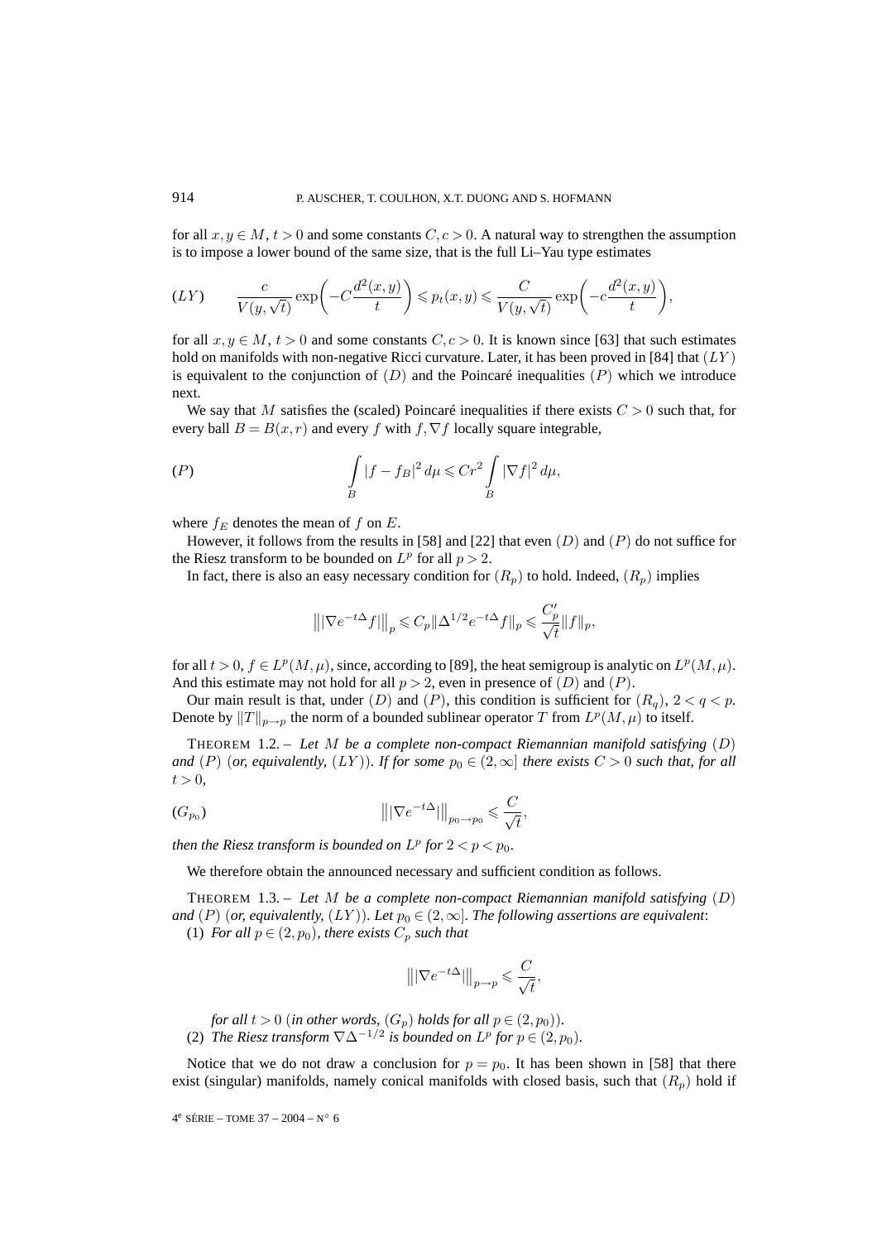for all  $x, y \in M$ ,  $t > 0$  and some constants  $C, c > 0$ . A natural way to strengthen the assumption is to impose a lower bound of the same size, that is the full Li–Yau type estimates

$$
(LY) \qquad \frac{c}{V(y,\sqrt{t})} \exp\bigg(-C\frac{d^2(x,y)}{t}\bigg) \leqslant p_t(x,y) \leqslant \frac{C}{V(y,\sqrt{t})} \exp\bigg(-c\frac{d^2(x,y)}{t}\bigg),
$$

for all  $x, y \in M$ ,  $t > 0$  and some constants  $C, c > 0$ . It is known since [63] that such estimates hold on manifolds with non-negative Ricci curvature. Later, it has been proved in [84] that  $(LY)$ is equivalent to the conjunction of  $(D)$  and the Poincaré inequalities  $(P)$  which we introduce next.

We say that M satisfies the (scaled) Poincaré inequalities if there exists  $C > 0$  such that, for every ball  $B = B(x, r)$  and every f with f,  $\nabla f$  locally square integrable,

$$
(P) \qquad \qquad \int\limits_B |f - f_B|^2 \, d\mu \leqslant Cr^2 \int\limits_B |\nabla f|^2 \, d\mu,
$$

where  $f_E$  denotes the mean of f on E.

However, it follows from the results in [58] and [22] that even  $(D)$  and  $(P)$  do not suffice for the Riesz transform to be bounded on  $L^p$  for all  $p > 2$ .

In fact, there is also an easy necessary condition for  $(R_p)$  to hold. Indeed,  $(R_p)$  implies

$$
\big\| |\nabla e^{-t\Delta} f| \big\|_p \leqslant C_p \|\Delta^{1/2} e^{-t\Delta} f\|_p \leqslant \frac{C_p'}{\sqrt t} \|f\|_p,
$$

for all  $t > 0$ ,  $f \in L^p(M, \mu)$ , since, according to [89], the heat semigroup is analytic on  $L^p(M, \mu)$ . And this estimate may not hold for all  $p > 2$ , even in presence of  $(D)$  and  $(P)$ .

Our main result is that, under  $(D)$  and  $(P)$ , this condition is sufficient for  $(R_q)$ ,  $2 < q < p$ . Denote by  $||T||_{p\to p}$  the norm of a bounded sublinear operator T from  $L^p(M,\mu)$  to itself.

THEOREM 1.2. – *Let* M *be a complete non-compact Riemannian manifold satisfying* (D) *and* (P) (*or, equivalently,* (LY)). If for some  $p_0 \in (2,\infty]$  *there exists*  $C > 0$  *such that, for all*  $t > 0$ ,

$$
|||\nabla e^{-t\Delta}||_{p_0 \to p_0} \leqslant \frac{C}{\sqrt{t}},
$$

*then the Riesz transform is bounded on*  $L^p$  *for*  $2 < p < p_0$ *.* 

We therefore obtain the announced necessary and sufficient condition as follows.

THEOREM 1.3. – *Let* M *be a complete non-compact Riemannian manifold satisfying* (D) *and*  $(P)$  (*or, equivalently,*  $(LY)$ *). Let*  $p_0 \in (2,\infty]$ *. The following assertions are equivalent:* 

(1) *For all*  $p \in (2, p_0)$ *, there exists*  $C_p$  *such that* 

$$
\left\| |\nabla e^{-t\Delta}|\right\|_{p\to p} \leqslant \frac{C}{\sqrt{t}},
$$

*for all*  $t > 0$  (*in other words,*  $(G_p)$  *holds for all*  $p \in (2, p_0)$ *)*. (2) *The Riesz transform*  $\nabla \Delta^{-1/2}$  *is bounded on*  $L^p$  *for*  $p \in (2, p_0)$ *.* 

Notice that we do not draw a conclusion for  $p = p_0$ . It has been shown in [58] that there exist (singular) manifolds, namely conical manifolds with closed basis, such that  $(R_p)$  hold if

$$
4^e \text{ SÉRIE} - \text{TOME } 37 - 2004 - N^{\circ} 6
$$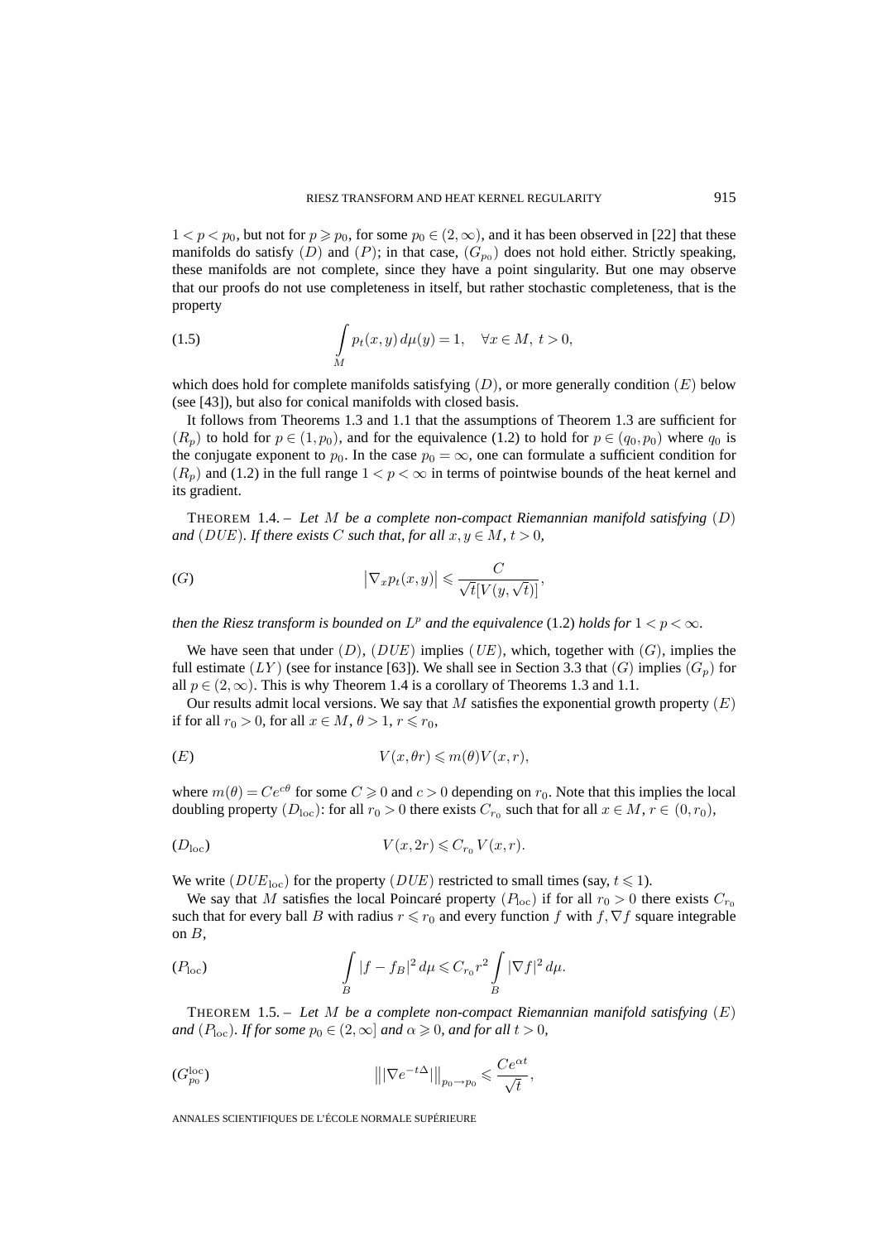$1 < p < p_0$ , but not for  $p \ge p_0$ , for some  $p_0 \in (2,\infty)$ , and it has been observed in [22] that these manifolds do satisfy  $(D)$  and  $(P)$ ; in that case,  $(G_{p_0})$  does not hold either. Strictly speaking, these manifolds are not complete, since they have a point singularity. But one may observe that our proofs do not use completeness in itself, but rather stochastic completeness, that is the property

(1.5) 
$$
\int\limits_M p_t(x,y) d\mu(y) = 1, \quad \forall x \in M, t > 0,
$$

which does hold for complete manifolds satisfying  $(D)$ , or more generally condition  $(E)$  below (see [43]), but also for conical manifolds with closed basis.

It follows from Theorems 1.3 and 1.1 that the assumptions of Theorem 1.3 are sufficient for  $(R_p)$  to hold for  $p \in (1, p_0)$ , and for the equivalence (1.2) to hold for  $p \in (q_0, p_0)$  where  $q_0$  is the conjugate exponent to  $p_0$ . In the case  $p_0 = \infty$ , one can formulate a sufficient condition for  $(R_p)$  and (1.2) in the full range  $1 < p < \infty$  in terms of pointwise bounds of the heat kernel and its gradient.

THEOREM 1.4. – *Let* M *be a complete non-compact Riemannian manifold satisfying* (D) *and* (DUE). If there exists C such that, for all  $x, y \in M$ ,  $t > 0$ ,

$$
(G) \qquad \qquad |\nabla_x p_t(x,y)| \leqslant \frac{C}{\sqrt{t}[V(y,\sqrt{t})]},
$$

*then the Riesz transform is bounded on*  $L^p$  *and the equivalence* (1.2) *holds for*  $1 < p < \infty$ *.* 

We have seen that under  $(D)$ ,  $(DUE)$  implies  $(UE)$ , which, together with  $(G)$ , implies the full estimate  $(LY)$  (see for instance [63]). We shall see in Section 3.3 that  $(G)$  implies  $(G_n)$  for all  $p \in (2,\infty)$ . This is why Theorem 1.4 is a corollary of Theorems 1.3 and 1.1.

Our results admit local versions. We say that M satisfies the exponential growth property  $(E)$ if for all  $r_0 > 0$ , for all  $x \in M$ ,  $\theta > 1$ ,  $r \le r_0$ ,

$$
(E) \t\t V(x, \theta r) \leqslant m(\theta) V(x, r),
$$

where  $m(\theta) = Ce^{c\theta}$  for some  $C \ge 0$  and  $c > 0$  depending on  $r_0$ . Note that this implies the local doubling property  $(D_{\text{loc}})$ : for all  $r_0 > 0$  there exists  $C_{r_0}$  such that for all  $x \in M$ ,  $r \in (0, r_0)$ ,

$$
(D_{\text{loc}}) \t V(x, 2r) \leqslant C_{r_0} V(x, r).
$$

We write  $(DUE_{loc})$  for the property  $(DUE)$  restricted to small times (say,  $t \le 1$ ).

We say that M satisfies the local Poincaré property  $(P_{\text{loc}})$  if for all  $r_0 > 0$  there exists  $C_{r_0}$ such that for every ball B with radius  $r \le r_0$  and every function f with f,  $\nabla f$  square integrable on  $B$ ,

$$
(P_{\text{loc}}) \qquad \qquad \int\limits_B |f - f_B|^2 \, d\mu \leq C_{r_0} r^2 \int\limits_B |\nabla f|^2 \, d\mu.
$$

THEOREM 1.5. – *Let* M *be a complete non-compact Riemannian manifold satisfying* (E) *and*  $(P_{\text{loc}})$ *. If for some*  $p_0 \in (2, \infty]$  *and*  $\alpha \ge 0$ *, and for all*  $t > 0$ *,* 

$$
|||\nabla e^{-t\Delta}||_{p_0 \to p_0} \leqslant \frac{Ce^{\alpha t}}{\sqrt{t}},
$$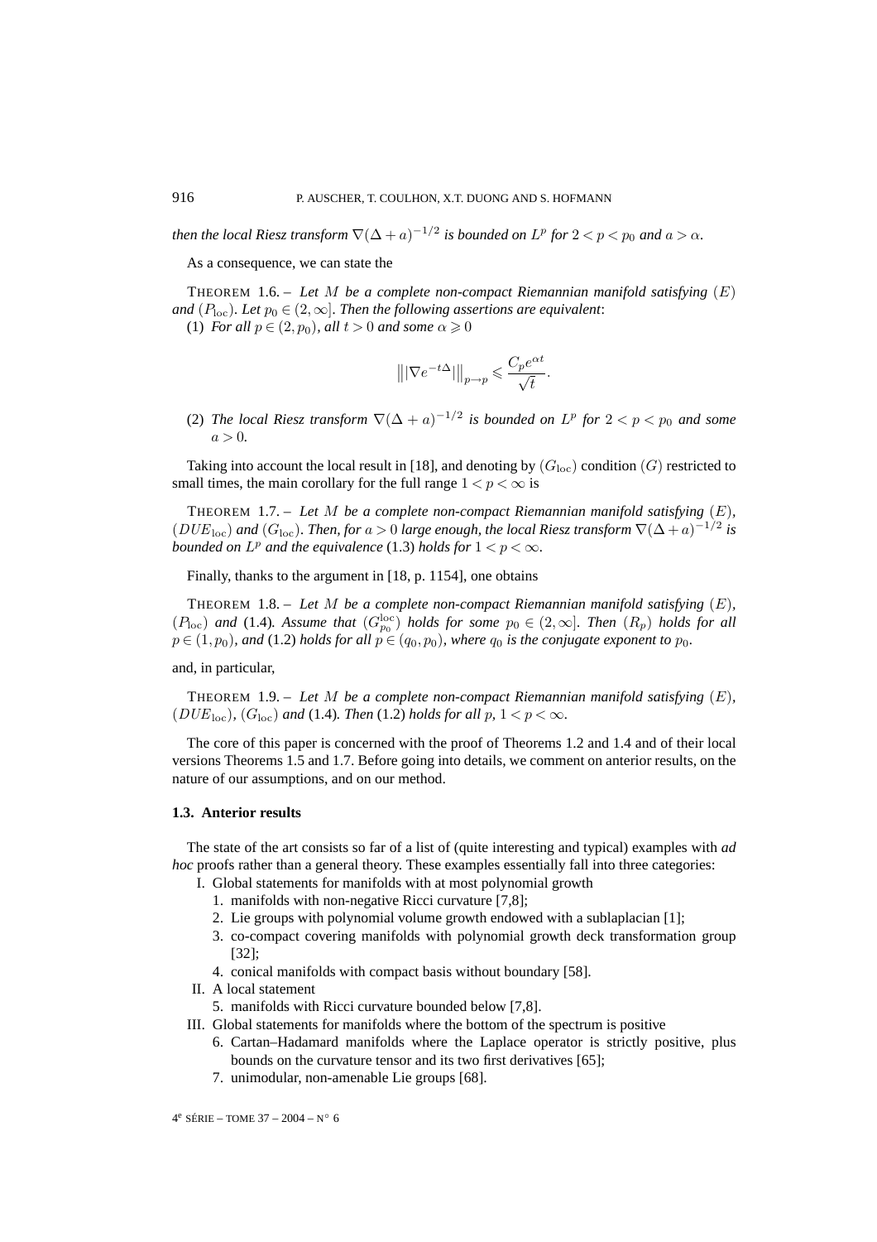*then the local Riesz transform*  $\nabla (\Delta + a)^{-1/2}$  *is bounded on*  $L^p$  *for*  $2 < p < p_0$  *and*  $a > \alpha$ *.* 

As a consequence, we can state the

THEOREM 1.6. – *Let* M *be a complete non-compact Riemannian manifold satisfying* (E) *and*  $(P_{\text{loc}})$ *. Let*  $p_0 \in (2,\infty]$ *. Then the following assertions are equivalent:* 

(1) *For all*  $p \in (2, p_0)$ *, all*  $t > 0$  *and some*  $\alpha \geq 0$ 

$$
\big\||\nabla e^{-t\Delta}|\big\|_{p\to p}\leqslant \frac{C_p e^{\alpha t}}{\sqrt{t}}.
$$

(2) *The local Riesz transform*  $\nabla (\Delta + a)^{-1/2}$  *is bounded on*  $L^p$  *for*  $2 < p < p_0$  *and some*  $a > 0.$ 

Taking into account the local result in [18], and denoting by  $(G_{loc})$  condition  $(G)$  restricted to small times, the main corollary for the full range  $1 < p < \infty$  is

THEOREM 1.7. – *Let* M *be a complete non-compact Riemannian manifold satisfying* (E)*,*  $(DUE<sub>loc</sub>)$  *and*  $(G<sub>loc</sub>)$ *. Then, for*  $a > 0$  *large enough, the local Riesz transform*  $\nabla (\Delta + a)^{-1/2}$  *is bounded on*  $L^p$  *and the equivalence* (1.3) *holds for*  $1 < p < \infty$ *.* 

Finally, thanks to the argument in [18, p. 1154], one obtains

THEOREM 1.8. – *Let* M *be a complete non-compact Riemannian manifold satisfying* (E)*,*  $(P_{\text{loc}})$  and (1.4)*.* Assume that  $(G_{p_0}^{\text{loc}})$  holds for some  $p_0 \in (2,\infty]$ *. Then*  $(R_p)$  holds for all  $p \in (1, p_0)$ *, and* (1.2) *holds for all*  $p \in (q_0, p_0)$ *, where*  $q_0$  *is the conjugate exponent to*  $p_0$ *.* 

and, in particular,

THEOREM 1.9. – *Let* M *be a complete non-compact Riemannian manifold satisfying* (E)*,* ( $DUE<sub>loc</sub>$ )*,* ( $G<sub>loc</sub>$ ) and (1.4)*. Then* (1.2) *holds for all*  $p, 1 < p < \infty$ *.* 

The core of this paper is concerned with the proof of Theorems 1.2 and 1.4 and of their local versions Theorems 1.5 and 1.7. Before going into details, we comment on anterior results, on the nature of our assumptions, and on our method.

# **1.3. Anterior results**

The state of the art consists so far of a list of (quite interesting and typical) examples with *ad hoc* proofs rather than a general theory. These examples essentially fall into three categories:

- I. Global statements for manifolds with at most polynomial growth
	- 1. manifolds with non-negative Ricci curvature [7,8];
	- 2. Lie groups with polynomial volume growth endowed with a sublaplacian [1];
	- 3. co-compact covering manifolds with polynomial growth deck transformation group [32];
	- 4. conical manifolds with compact basis without boundary [58].
- II. A local statement
	- 5. manifolds with Ricci curvature bounded below [7,8].
- III. Global statements for manifolds where the bottom of the spectrum is positive
	- 6. Cartan–Hadamard manifolds where the Laplace operator is strictly positive, plus bounds on the curvature tensor and its two first derivatives [65];
	- 7. unimodular, non-amenable Lie groups [68].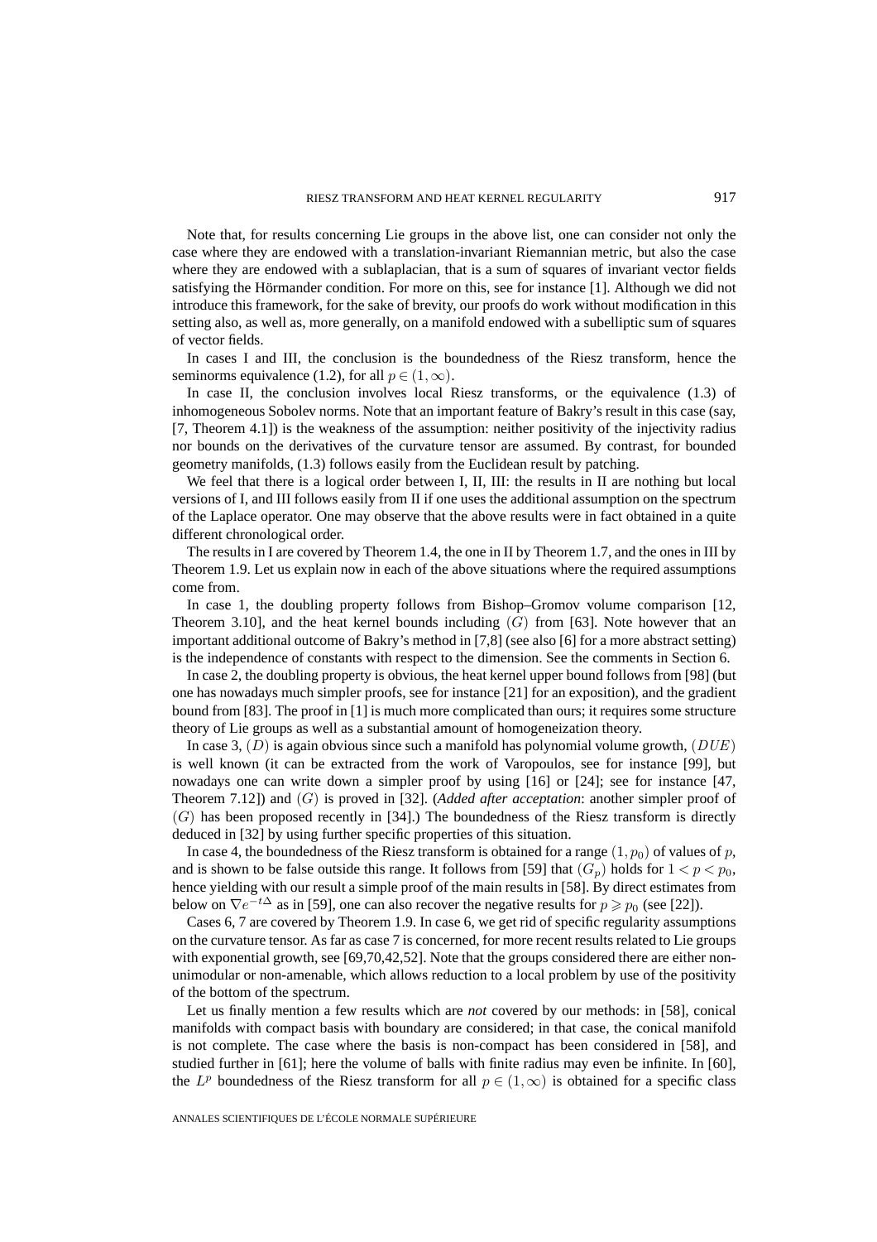Note that, for results concerning Lie groups in the above list, one can consider not only the case where they are endowed with a translation-invariant Riemannian metric, but also the case where they are endowed with a sublaplacian, that is a sum of squares of invariant vector fields satisfying the Hörmander condition. For more on this, see for instance [1]. Although we did not introduce this framework, for the sake of brevity, our proofs do work without modification in this setting also, as well as, more generally, on a manifold endowed with a subelliptic sum of squares of vector fields.

In cases I and III, the conclusion is the boundedness of the Riesz transform, hence the seminorms equivalence (1.2), for all  $p \in (1,\infty)$ .

In case II, the conclusion involves local Riesz transforms, or the equivalence (1.3) of inhomogeneous Sobolev norms. Note that an important feature of Bakry's result in this case (say, [7, Theorem 4.1]) is the weakness of the assumption: neither positivity of the injectivity radius nor bounds on the derivatives of the curvature tensor are assumed. By contrast, for bounded geometry manifolds, (1.3) follows easily from the Euclidean result by patching.

We feel that there is a logical order between I, II, III: the results in II are nothing but local versions of I, and III follows easily from II if one uses the additional assumption on the spectrum of the Laplace operator. One may observe that the above results were in fact obtained in a quite different chronological order.

The results in I are covered by Theorem 1.4, the one in II by Theorem 1.7, and the ones in III by Theorem 1.9. Let us explain now in each of the above situations where the required assumptions come from.

In case 1, the doubling property follows from Bishop–Gromov volume comparison [12, Theorem 3.10], and the heat kernel bounds including  $(G)$  from [63]. Note however that an important additional outcome of Bakry's method in [7,8] (see also [6] for a more abstract setting) is the independence of constants with respect to the dimension. See the comments in Section 6.

In case 2, the doubling property is obvious, the heat kernel upper bound follows from [98] (but one has nowadays much simpler proofs, see for instance [21] for an exposition), and the gradient bound from [83]. The proof in [1] is much more complicated than ours; it requires some structure theory of Lie groups as well as a substantial amount of homogeneization theory.

In case 3,  $(D)$  is again obvious since such a manifold has polynomial volume growth,  $(DUE)$ is well known (it can be extracted from the work of Varopoulos, see for instance [99], but nowadays one can write down a simpler proof by using [16] or [24]; see for instance [47, Theorem 7.12]) and (G) is proved in [32]. (*Added after acceptation*: another simpler proof of  $(G)$  has been proposed recently in [34].) The boundedness of the Riesz transform is directly deduced in [32] by using further specific properties of this situation.

In case 4, the boundedness of the Riesz transform is obtained for a range  $(1, p_0)$  of values of p, and is shown to be false outside this range. It follows from [59] that  $(G_p)$  holds for  $1 < p < p_0$ , hence yielding with our result a simple proof of the main results in [58]. By direct estimates from below on  $\nabla e^{-t\Delta}$  as in [59], one can also recover the negative results for  $p \geq p_0$  (see [22]).

Cases 6, 7 are covered by Theorem 1.9. In case 6, we get rid of specific regularity assumptions on the curvature tensor. As far as case 7 is concerned, for more recent results related to Lie groups with exponential growth, see [69,70,42,52]. Note that the groups considered there are either nonunimodular or non-amenable, which allows reduction to a local problem by use of the positivity of the bottom of the spectrum.

Let us finally mention a few results which are *not* covered by our methods: in [58], conical manifolds with compact basis with boundary are considered; in that case, the conical manifold is not complete. The case where the basis is non-compact has been considered in [58], and studied further in [61]; here the volume of balls with finite radius may even be infinite. In [60], the  $L^p$  boundedness of the Riesz transform for all  $p \in (1,\infty)$  is obtained for a specific class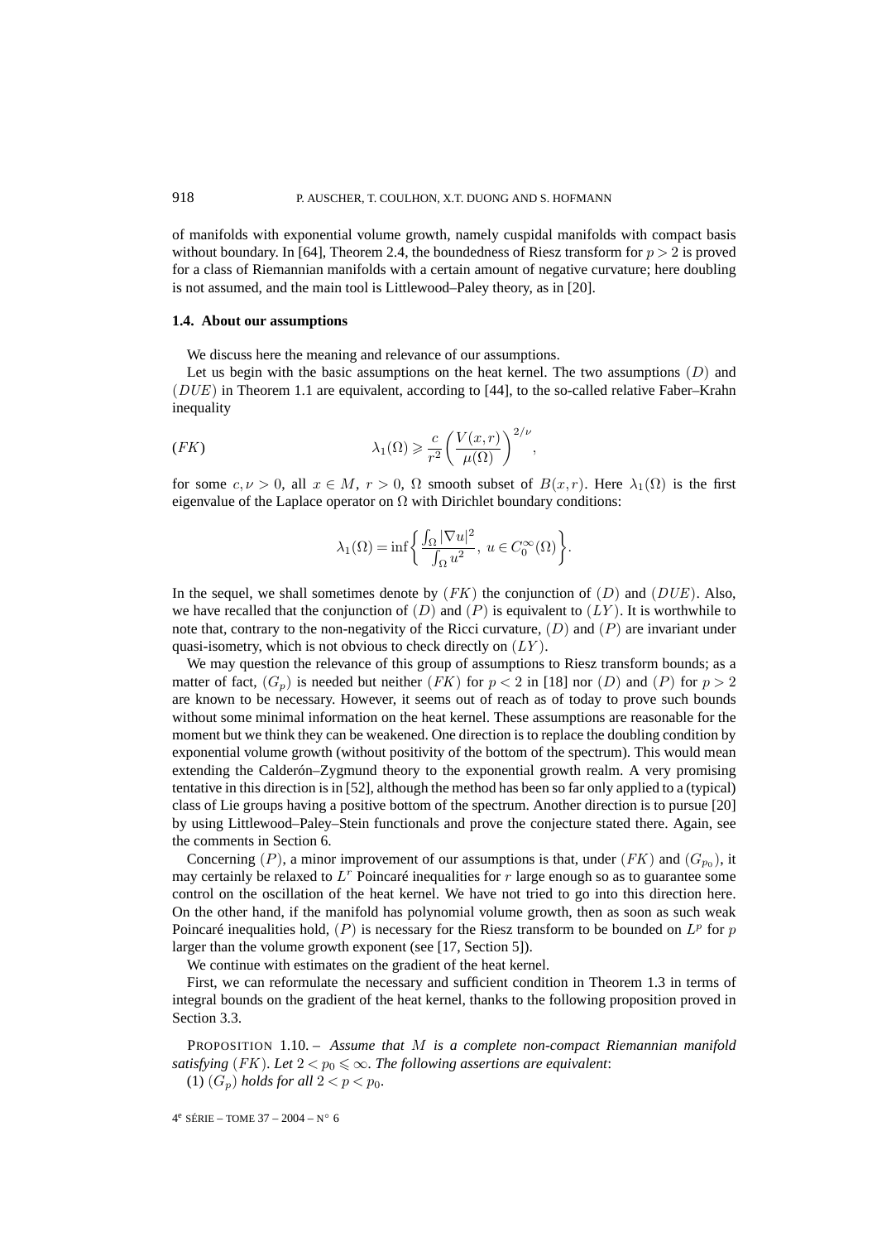of manifolds with exponential volume growth, namely cuspidal manifolds with compact basis without boundary. In [64], Theorem 2.4, the boundedness of Riesz transform for  $p > 2$  is proved for a class of Riemannian manifolds with a certain amount of negative curvature; here doubling is not assumed, and the main tool is Littlewood–Paley theory, as in [20].

#### **1.4. About our assumptions**

We discuss here the meaning and relevance of our assumptions.

Let us begin with the basic assumptions on the heat kernel. The two assumptions  $(D)$  and  $(DUE)$  in Theorem 1.1 are equivalent, according to [44], to the so-called relative Faber–Krahn inequality

(FK) 
$$
\lambda_1(\Omega) \geqslant \frac{c}{r^2} \bigg( \frac{V(x,r)}{\mu(\Omega)} \bigg)^{2/\nu},
$$

for some  $c, \nu > 0$ , all  $x \in M$ ,  $r > 0$ ,  $\Omega$  smooth subset of  $B(x,r)$ . Here  $\lambda_1(\Omega)$  is the first eigenvalue of the Laplace operator on  $\Omega$  with Dirichlet boundary conditions:

$$
\lambda_1(\Omega)=\inf\bigg\{\frac{\int_\Omega|\nabla u|^2}{\int_\Omega u^2},\; u\in C_0^\infty(\Omega)\bigg\}.
$$

In the sequel, we shall sometimes denote by  $(FK)$  the conjunction of  $(D)$  and  $(DUE)$ . Also, we have recalled that the conjunction of  $(D)$  and  $(P)$  is equivalent to  $(LY)$ . It is worthwhile to note that, contrary to the non-negativity of the Ricci curvature,  $(D)$  and  $(P)$  are invariant under quasi-isometry, which is not obvious to check directly on  $(LY)$ .

We may question the relevance of this group of assumptions to Riesz transform bounds; as a matter of fact,  $(G_p)$  is needed but neither  $(FK)$  for  $p < 2$  in [18] nor  $(D)$  and  $(P)$  for  $p > 2$ are known to be necessary. However, it seems out of reach as of today to prove such bounds without some minimal information on the heat kernel. These assumptions are reasonable for the moment but we think they can be weakened. One direction is to replace the doubling condition by exponential volume growth (without positivity of the bottom of the spectrum). This would mean extending the Calderón–Zygmund theory to the exponential growth realm. A very promising tentative in this direction is in [52], although the method has been so far only applied to a (typical) class of Lie groups having a positive bottom of the spectrum. Another direction is to pursue [20] by using Littlewood–Paley–Stein functionals and prove the conjecture stated there. Again, see the comments in Section 6.

Concerning (P), a minor improvement of our assumptions is that, under (FK) and ( $G_{p_0}$ ), it may certainly be relaxed to  $L<sup>r</sup>$  Poincaré inequalities for r large enough so as to guarantee some control on the oscillation of the heat kernel. We have not tried to go into this direction here. On the other hand, if the manifold has polynomial volume growth, then as soon as such weak Poincaré inequalities hold,  $(P)$  is necessary for the Riesz transform to be bounded on  $L^p$  for p larger than the volume growth exponent (see [17, Section 5]).

We continue with estimates on the gradient of the heat kernel.

First, we can reformulate the necessary and sufficient condition in Theorem 1.3 in terms of integral bounds on the gradient of the heat kernel, thanks to the following proposition proved in Section 3.3.

PROPOSITION 1.10. – *Assume that* M *is a complete non-compact Riemannian manifold satisfying* (*FK*). Let  $2 < p_0 \le \infty$ . The following assertions are equivalent: (1)  $(G_p)$  *holds for all*  $2 < p < p_0$ *.* 

$$
4^e \text{ SÉRIE} - \text{TOME } 37 - 2004 - N^\circ 6
$$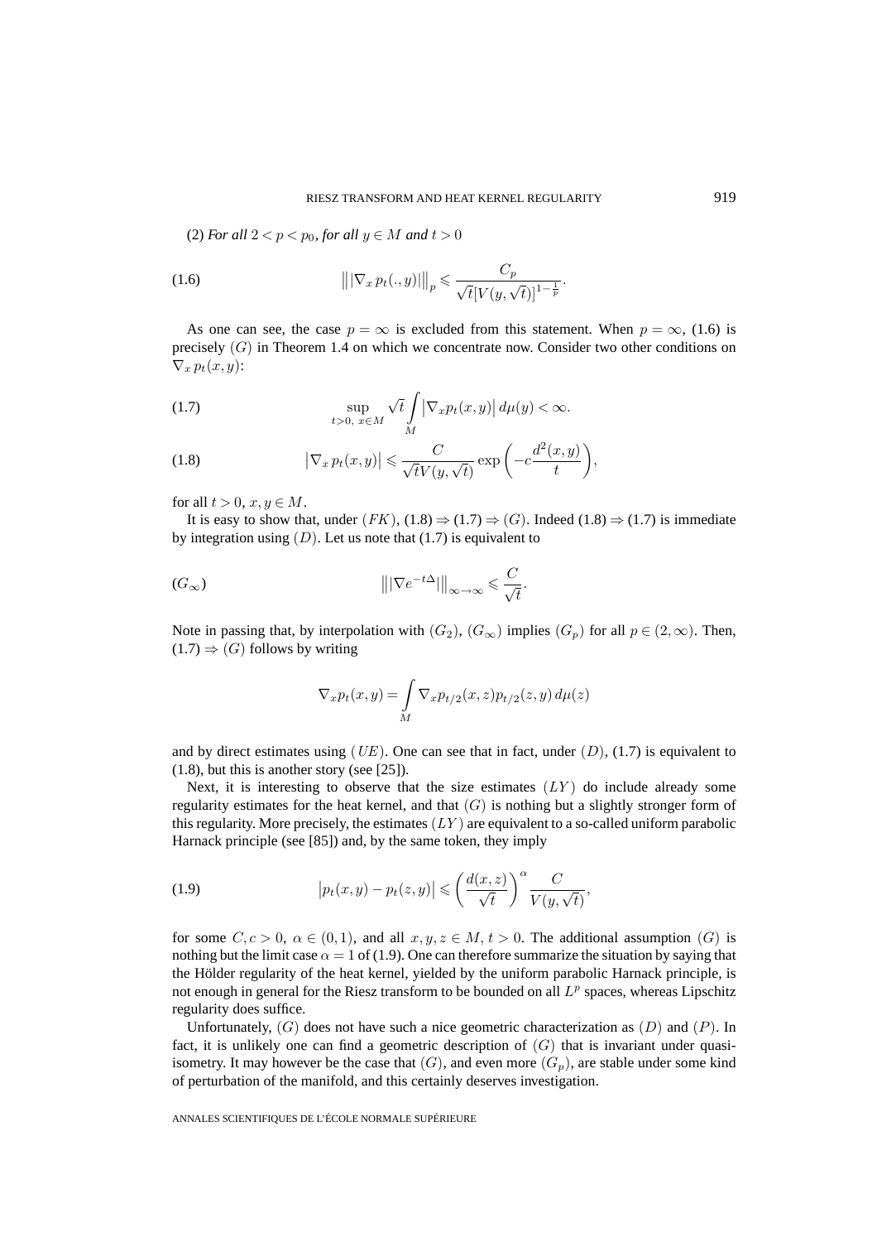(2) *For all*  $2 < p < p_0$ *, for all*  $y \in M$  *and*  $t > 0$ 

(1.6) 
$$
\left\| |\nabla_x p_t(.,y)| \right\|_p \leq \frac{C_p}{\sqrt{t} [V(y,\sqrt{t})]^{1-\frac{1}{p}}}.
$$

As one can see, the case  $p = \infty$  is excluded from this statement. When  $p = \infty$ , (1.6) is precisely (G) in Theorem 1.4 on which we concentrate now. Consider two other conditions on  $\nabla_x p_t(x,y)$ :

(1.7) 
$$
\sup_{t>0, x \in M} \sqrt{t} \int_M |\nabla_x p_t(x, y)| d\mu(y) < \infty.
$$

(1.8) 
$$
\left|\nabla_x p_t(x,y)\right| \leqslant \frac{C}{\sqrt{t}V(y,\sqrt{t})} \exp\left(-c\frac{d^2(x,y)}{t}\right),
$$

for all  $t > 0$ ,  $x, y \in M$ .

It is easy to show that, under  $(FK)$ ,  $(1.8) \Rightarrow (1.7) \Rightarrow (G)$ . Indeed  $(1.8) \Rightarrow (1.7)$  is immediate by integration using  $(D)$ . Let us note that  $(1.7)$  is equivalent to

$$
||\nabla e^{-t\Delta}||_{\infty \to \infty} \leq \frac{C}{\sqrt{t}}.
$$

Note in passing that, by interpolation with  $(G_2)$ ,  $(G_{\infty})$  implies  $(G_p)$  for all  $p \in (2, \infty)$ . Then,  $(1.7) \Rightarrow (G)$  follows by writing

$$
\nabla_x p_t(x, y) = \int\limits_M \nabla_x p_{t/2}(x, z) p_{t/2}(z, y) d\mu(z)
$$

and by direct estimates using  $(UE)$ . One can see that in fact, under  $(D)$ ,  $(1.7)$  is equivalent to (1.8), but this is another story (see [25]).

Next, it is interesting to observe that the size estimates  $(LY)$  do include already some regularity estimates for the heat kernel, and that  $(G)$  is nothing but a slightly stronger form of this regularity. More precisely, the estimates  $(LY)$  are equivalent to a so-called uniform parabolic Harnack principle (see [85]) and, by the same token, they imply

(1.9) 
$$
\left| p_t(x,y) - p_t(z,y) \right| \leqslant \left( \frac{d(x,z)}{\sqrt{t}} \right)^{\alpha} \frac{C}{V(y,\sqrt{t})},
$$

for some  $C, c > 0$ ,  $\alpha \in (0, 1)$ , and all  $x, y, z \in M$ ,  $t > 0$ . The additional assumption  $(G)$  is nothing but the limit case  $\alpha = 1$  of (1.9). One can therefore summarize the situation by saying that the Hölder regularity of the heat kernel, yielded by the uniform parabolic Harnack principle, is not enough in general for the Riesz transform to be bounded on all  $L^p$  spaces, whereas Lipschitz regularity does suffice.

Unfortunately,  $(G)$  does not have such a nice geometric characterization as  $(D)$  and  $(P)$ . In fact, it is unlikely one can find a geometric description of  $(G)$  that is invariant under quasiisometry. It may however be the case that  $(G)$ , and even more  $(G_p)$ , are stable under some kind of perturbation of the manifold, and this certainly deserves investigation.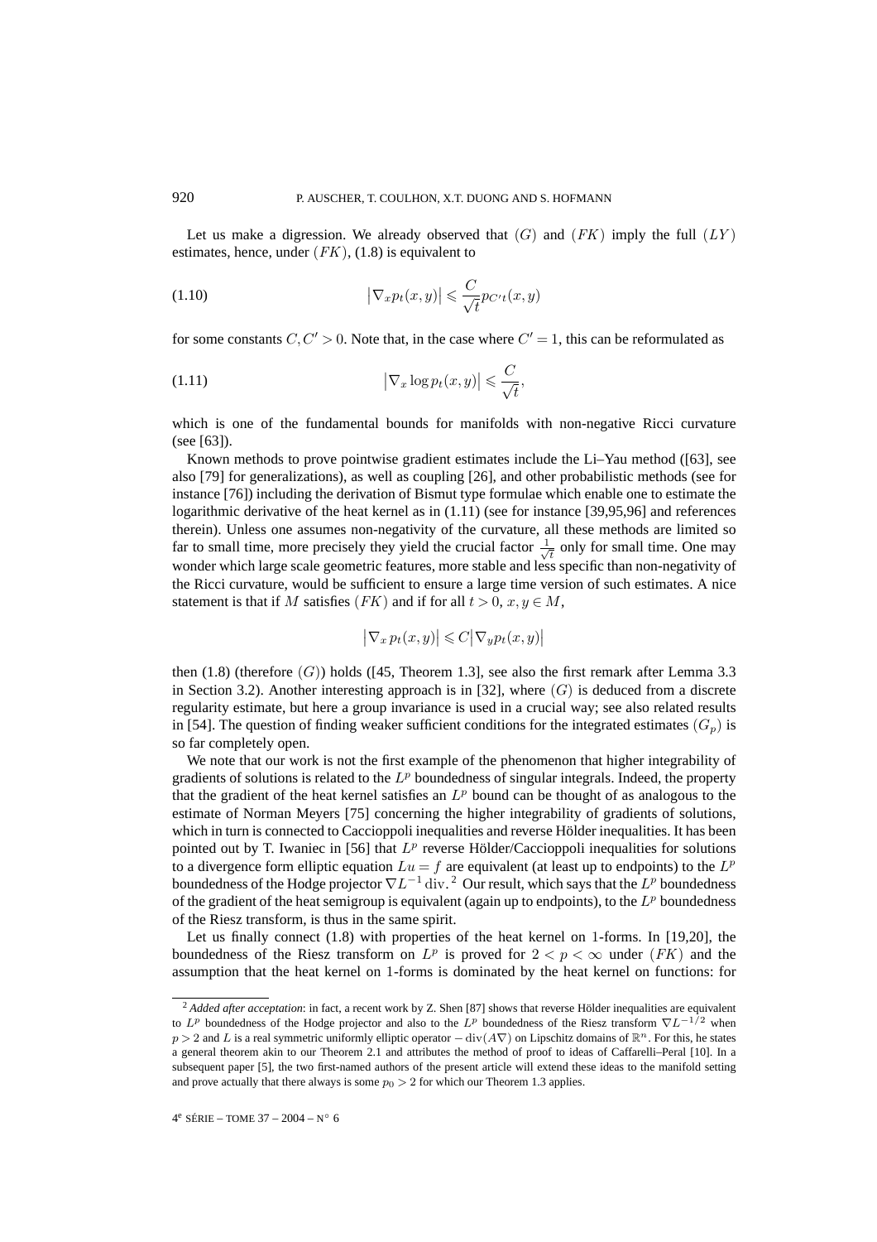Let us make a digression. We already observed that  $(G)$  and  $(FK)$  imply the full  $(LY)$ estimates, hence, under  $(FK)$ , (1.8) is equivalent to

(1.10) 
$$
\left|\nabla_x p_t(x,y)\right| \leqslant \frac{C}{\sqrt{t}} p_{C't}(x,y)
$$

for some constants  $C, C' > 0$ . Note that, in the case where  $C' = 1$ , this can be reformulated as

(1.11) 
$$
\left|\nabla_x \log p_t(x, y)\right| \leqslant \frac{C}{\sqrt{t}},
$$

which is one of the fundamental bounds for manifolds with non-negative Ricci curvature (see [63]).

Known methods to prove pointwise gradient estimates include the Li–Yau method ([63], see also [79] for generalizations), as well as coupling [26], and other probabilistic methods (see for instance [76]) including the derivation of Bismut type formulae which enable one to estimate the logarithmic derivative of the heat kernel as in (1.11) (see for instance [39,95,96] and references therein). Unless one assumes non-negativity of the curvature, all these methods are limited so far to small time, more precisely they yield the crucial factor  $\frac{1}{\sqrt{t}}$  only for small time. One may wonder which large scale geometric features, more stable and less specific than non-negativity of the Ricci curvature, would be sufficient to ensure a large time version of such estimates. A nice statement is that if M satisfies (FK) and if for all  $t > 0$ ,  $x, y \in M$ ,

$$
\big|\nabla_x\, p_t(x,y)\big|\leqslant C\big|\nabla_y p_t(x,y)\big|
$$

then  $(1.8)$  (therefore  $(G)$ ) holds ([45, Theorem 1.3], see also the first remark after Lemma 3.3 in Section 3.2). Another interesting approach is in [32], where  $(G)$  is deduced from a discrete regularity estimate, but here a group invariance is used in a crucial way; see also related results in [54]. The question of finding weaker sufficient conditions for the integrated estimates  $(G_p)$  is so far completely open.

We note that our work is not the first example of the phenomenon that higher integrability of gradients of solutions is related to the  $L^p$  boundedness of singular integrals. Indeed, the property that the gradient of the heat kernel satisfies an  $L^p$  bound can be thought of as analogous to the estimate of Norman Meyers [75] concerning the higher integrability of gradients of solutions, which in turn is connected to Caccioppoli inequalities and reverse Hölder inequalities. It has been pointed out by T. Iwaniec in [56] that  $L^p$  reverse Hölder/Caccioppoli inequalities for solutions to a divergence form elliptic equation  $Lu = f$  are equivalent (at least up to endpoints) to the  $L^p$ boundedness of the Hodge projector  $\nabla L^{-1}$  div.<sup>2</sup> Our result, which says that the  $L^p$  boundedness of the gradient of the heat semigroup is equivalent (again up to endpoints), to the  $L^p$  boundedness of the Riesz transform, is thus in the same spirit.

Let us finally connect  $(1.8)$  with properties of the heat kernel on 1-forms. In [19,20], the boundedness of the Riesz transform on  $L^p$  is proved for  $2 < p < \infty$  under (FK) and the assumption that the heat kernel on 1-forms is dominated by the heat kernel on functions: for

<sup>&</sup>lt;sup>2</sup> Added after acceptation: in fact, a recent work by Z. Shen [87] shows that reverse Hölder inequalities are equivalent to  $L^p$  boundedness of the Hodge projector and also to the  $L^p$  boundedness of the Riesz transform  $\nabla L^{-1/2}$  when  $p > 2$  and L is a real symmetric uniformly elliptic operator  $-$  div $(A\nabla)$  on Lipschitz domains of  $\mathbb{R}^n$ . For this, he states a general theorem akin to our Theorem 2.1 and attributes the method of proof to ideas of Caffarelli–Peral [10]. In a subsequent paper [5], the two first-named authors of the present article will extend these ideas to the manifold setting and prove actually that there always is some  $p_0 > 2$  for which our Theorem 1.3 applies.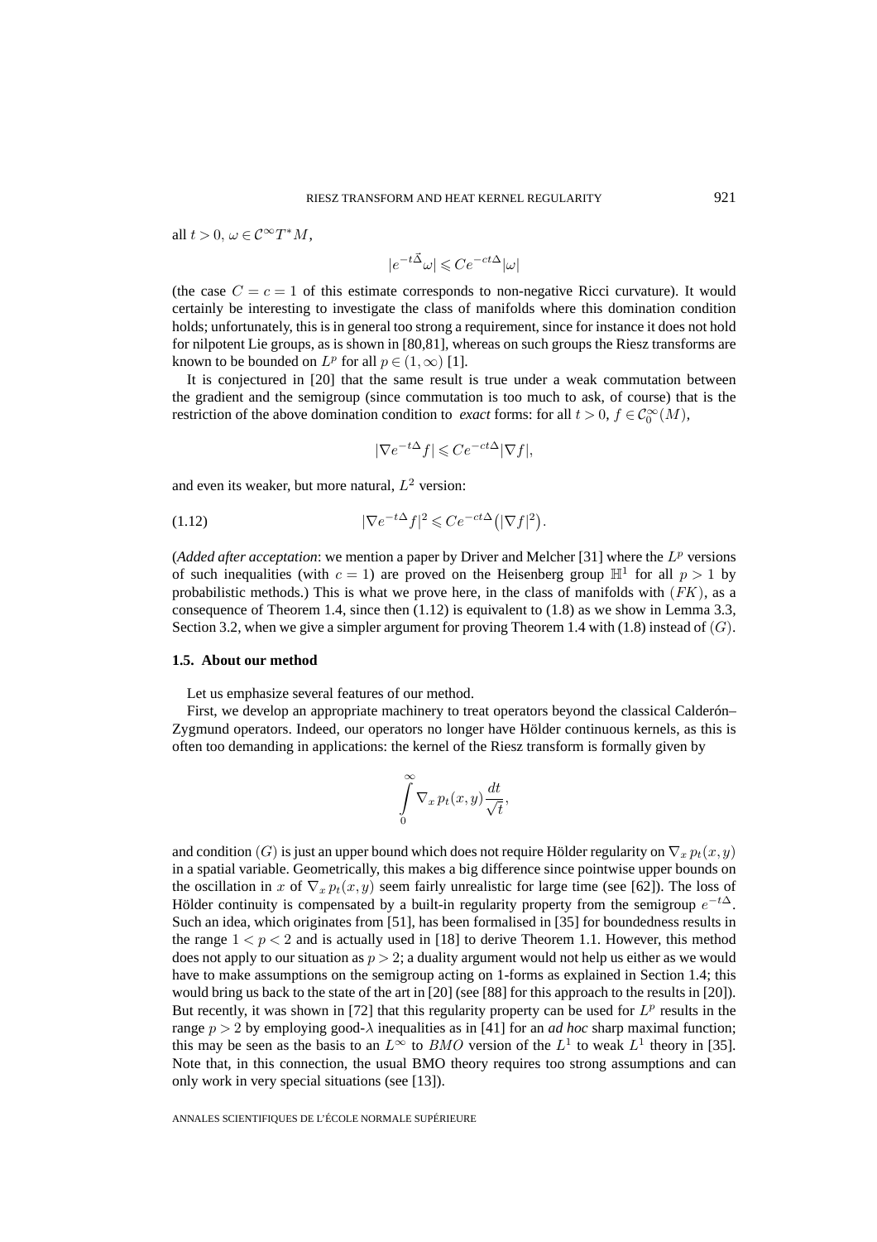all  $t > 0$ ,  $\omega \in C^{\infty}T^{*}M$ ,

 $|e^{-t\vec{\Delta}}\omega| \leqslant Ce^{-ct\Delta}|\omega|$ 

(the case  $C = c = 1$  of this estimate corresponds to non-negative Ricci curvature). It would certainly be interesting to investigate the class of manifolds where this domination condition holds; unfortunately, this is in general too strong a requirement, since for instance it does not hold for nilpotent Lie groups, as is shown in [80,81], whereas on such groups the Riesz transforms are known to be bounded on  $L^p$  for all  $p \in (1,\infty)$  [1].

It is conjectured in [20] that the same result is true under a weak commutation between the gradient and the semigroup (since commutation is too much to ask, of course) that is the restriction of the above domination condition to *exact* forms: for all  $t > 0$ ,  $f \in C_0^{\infty}(M)$ ,

$$
|\nabla e^{-t\Delta}f| \leqslant Ce^{-ct\Delta}|\nabla f|,
$$

and even its weaker, but more natural,  $L^2$  version:

$$
(1.12)\t\t |\nabla e^{-t\Delta}f|^2 \leqslant Ce^{-ct\Delta}(|\nabla f|^2).
$$

(*Added after acceptation*: we mention a paper by Driver and Melcher [31] where the  $L^p$  versions of such inequalities (with  $c = 1$ ) are proved on the Heisenberg group  $\mathbb{H}^1$  for all  $p > 1$  by probabilistic methods.) This is what we prove here, in the class of manifolds with  $(FK)$ , as a consequence of Theorem 1.4, since then  $(1.12)$  is equivalent to  $(1.8)$  as we show in Lemma 3.3, Section 3.2, when we give a simpler argument for proving Theorem 1.4 with  $(1.8)$  instead of  $(G)$ .

#### **1.5. About our method**

Let us emphasize several features of our method.

First, we develop an appropriate machinery to treat operators beyond the classical Calderón– Zygmund operators. Indeed, our operators no longer have Hölder continuous kernels, as this is often too demanding in applications: the kernel of the Riesz transform is formally given by

$$
\int\limits_{0}^{\infty} \nabla_x p_t(x, y) \frac{dt}{\sqrt{t}},
$$

and condition (G) is just an upper bound which does not require Hölder regularity on  $\nabla_x p_t(x, y)$ in a spatial variable. Geometrically, this makes a big difference since pointwise upper bounds on the oscillation in x of  $\nabla_x p_t(x, y)$  seem fairly unrealistic for large time (see [62]). The loss of Hölder continuity is compensated by a built-in regularity property from the semigroup  $e^{-t\Delta}$ . Such an idea, which originates from [51], has been formalised in [35] for boundedness results in the range  $1 < p < 2$  and is actually used in [18] to derive Theorem 1.1. However, this method does not apply to our situation as  $p > 2$ ; a duality argument would not help us either as we would have to make assumptions on the semigroup acting on 1-forms as explained in Section 1.4; this would bring us back to the state of the art in [20] (see [88] for this approach to the results in [20]). But recently, it was shown in [72] that this regularity property can be used for  $L^p$  results in the range  $p > 2$  by employing good- $\lambda$  inequalities as in [41] for an *ad hoc* sharp maximal function; this may be seen as the basis to an  $L^{\infty}$  to *BMO* version of the  $L^{1}$  to weak  $L^{1}$  theory in [35]. Note that, in this connection, the usual BMO theory requires too strong assumptions and can only work in very special situations (see [13]).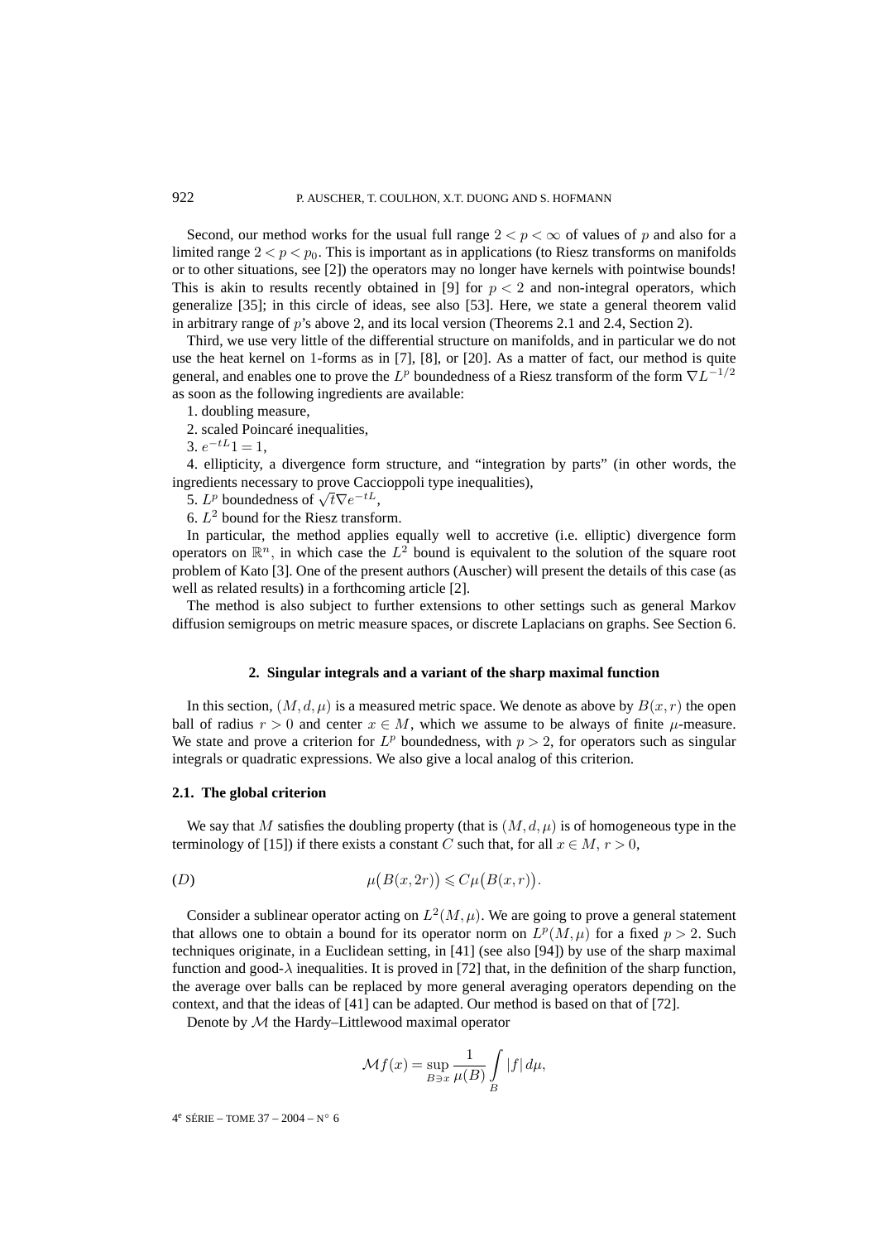Second, our method works for the usual full range  $2 < p < \infty$  of values of p and also for a limited range  $2 < p < p_0$ . This is important as in applications (to Riesz transforms on manifolds or to other situations, see [2]) the operators may no longer have kernels with pointwise bounds! This is akin to results recently obtained in [9] for  $p < 2$  and non-integral operators, which generalize [35]; in this circle of ideas, see also [53]. Here, we state a general theorem valid in arbitrary range of p's above 2, and its local version (Theorems 2.1 and 2.4, Section 2).

Third, we use very little of the differential structure on manifolds, and in particular we do not use the heat kernel on 1-forms as in [7], [8], or [20]. As a matter of fact, our method is quite general, and enables one to prove the  $L^p$  boundedness of a Riesz transform of the form  $\nabla L^{-1/2}$ as soon as the following ingredients are available:

1. doubling measure,

2. scaled Poincaré inequalities,

3.  $e^{-tL}1=1$ ,

4. ellipticity, a divergence form structure, and "integration by parts" (in other words, the ingredients necessary to prove Caccioppoli type inequalities),

5.  $L^p$  boundedness of  $\sqrt{t}\nabla e^{-tL}$ ,

6.  $L^2$  bound for the Riesz transform.

In particular, the method applies equally well to accretive (i.e. elliptic) divergence form operators on  $\mathbb{R}^n$ , in which case the  $L^2$  bound is equivalent to the solution of the square root problem of Kato [3]. One of the present authors (Auscher) will present the details of this case (as well as related results) in a forthcoming article [2].

The method is also subject to further extensions to other settings such as general Markov diffusion semigroups on metric measure spaces, or discrete Laplacians on graphs. See Section 6.

#### **2. Singular integrals and a variant of the sharp maximal function**

In this section,  $(M, d, \mu)$  is a measured metric space. We denote as above by  $B(x, r)$  the open ball of radius  $r > 0$  and center  $x \in M$ , which we assume to be always of finite  $\mu$ -measure. We state and prove a criterion for  $L^p$  boundedness, with  $p > 2$ , for operators such as singular integrals or quadratic expressions. We also give a local analog of this criterion.

# **2.1. The global criterion**

We say that M satisfies the doubling property (that is  $(M, d, \mu)$  is of homogeneous type in the terminology of [15]) if there exists a constant C such that, for all  $x \in M$ ,  $r > 0$ ,

$$
\mu(B(x, 2r)) \leqslant C\mu(B(x, r)).
$$

Consider a sublinear operator acting on  $L^2(M,\mu)$ . We are going to prove a general statement that allows one to obtain a bound for its operator norm on  $L^p(M,\mu)$  for a fixed  $p > 2$ . Such techniques originate, in a Euclidean setting, in [41] (see also [94]) by use of the sharp maximal function and good- $\lambda$  inequalities. It is proved in [72] that, in the definition of the sharp function, the average over balls can be replaced by more general averaging operators depending on the context, and that the ideas of [41] can be adapted. Our method is based on that of [72].

Denote by M the Hardy–Littlewood maximal operator

$$
\mathcal{M}f(x) = \sup_{B \ni x} \frac{1}{\mu(B)} \int\limits_{B} |f| \, d\mu,
$$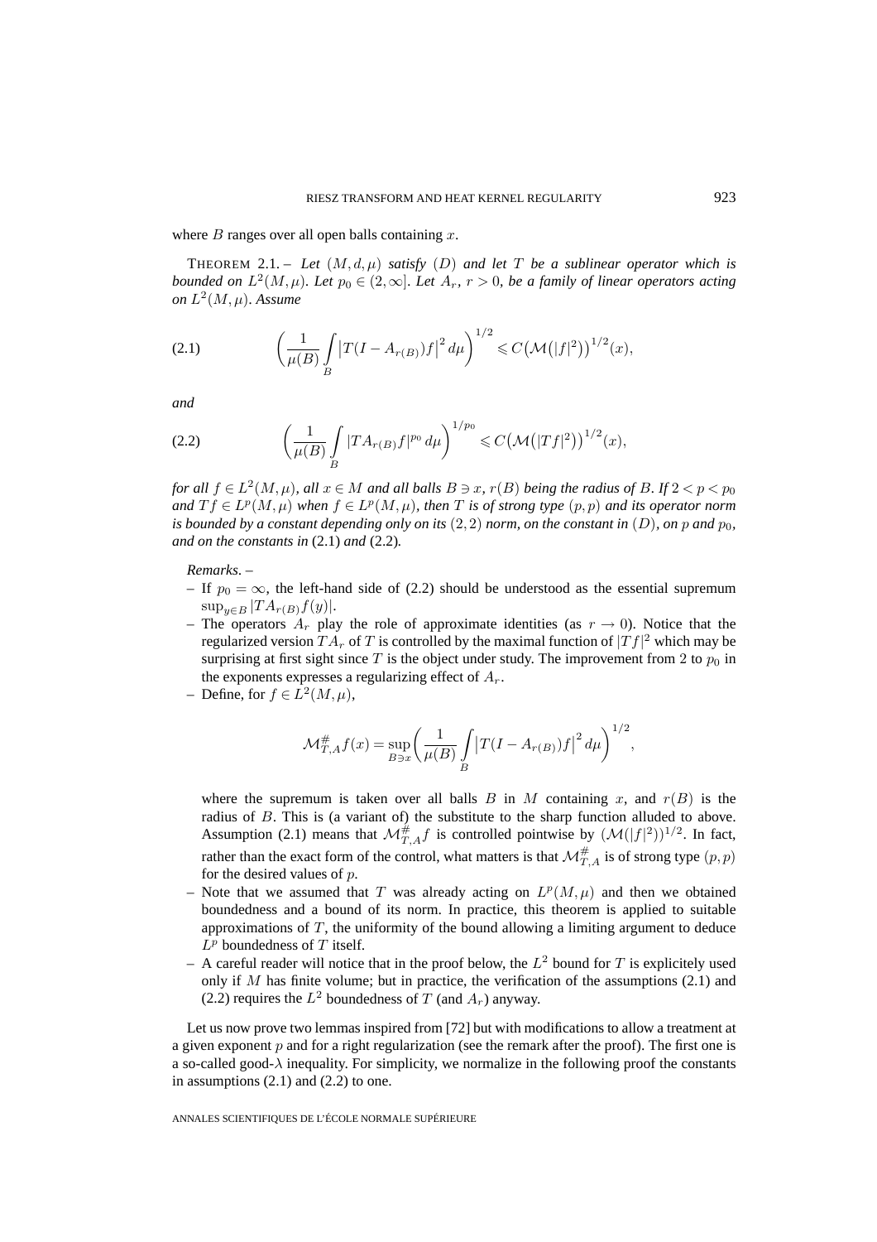where  $B$  ranges over all open balls containing  $x$ .

THEOREM 2.1. – Let  $(M, d, \mu)$  *satisfy*  $(D)$  *and let* T *be a sublinear operator which is bounded on*  $L^2(M,\mu)$ *. Let*  $p_0 \in (2,\infty)$ *. Let*  $A_r$ *,*  $r > 0$ *, be a family of linear operators acting on*  $L^2(M,\mu)$ *. Assume* 

(2.1) 
$$
\left(\frac{1}{\mu(B)}\int_{B} \left|T(I-A_{r(B)})f\right|^2 d\mu\right)^{1/2} \leq C \left(\mathcal{M}(|f|^2)\right)^{1/2}(x),
$$

*and*

(2.2) 
$$
\left(\frac{1}{\mu(B)} \int\limits_B |T A_{r(B)} f|^{p_0} d\mu\right)^{1/p_0} \leqslant C \left(\mathcal{M}(|Tf|^2)\right)^{1/2} (x),
$$

*for all*  $f \in L^2(M,\mu)$ *, all*  $x \in M$  *and all balls*  $B \ni x$ *,*  $r(B)$  *being the radius of* B*.* If  $2 < p < p_0$ *and*  $T f \in L^p(M, \mu)$  *when*  $f \in L^p(M, \mu)$ *, then T is of strong type*  $(p, p)$  *and its operator norm is bounded by a constant depending only on its*  $(2, 2)$  *norm, on the constant in*  $(D)$ *, on p and*  $p_0$ *, and on the constants in* (2.1) *and* (2.2)*.*

#### *Remarks*. –

- If  $p_0 = \infty$ , the left-hand side of (2.2) should be understood as the essential supremum  $\sup_{y\in B} |TA_{r(B)}f(y)|.$
- The operators  $A_r$  play the role of approximate identities (as  $r \to 0$ ). Notice that the regularized version  $TA_r$  of  $T$  is controlled by the maximal function of  $\vert Tf\vert^2$  which may be surprising at first sight since  $T$  is the object under study. The improvement from 2 to  $p_0$  in the exponents expresses a regularizing effect of  $A_r$ .
- Define, for  $f \in L^2(M, \mu)$ ,

$$
\mathcal{M}_{T,A}^{\#} f(x) = \sup_{B \ni x} \left( \frac{1}{\mu(B)} \int_{B} \left| T(I - A_{r(B)}) f \right|^2 d\mu \right)^{1/2},
$$

where the supremum is taken over all balls B in M containing x, and  $r(B)$  is the radius of  $B$ . This is (a variant of) the substitute to the sharp function alluded to above. Assumption (2.1) means that  $\mathcal{M}_{T,A}^{\#}f$  is controlled pointwise by  $(\mathcal{M}(|f|^2))^{1/2}$ . In fact, rather than the exact form of the control, what matters is that  $\mathcal{M}_{T,A}^{\#}$  is of strong type  $(p,p)$ for the desired values of  $p$ .

- Note that we assumed that T was already acting on  $L^p(M,\mu)$  and then we obtained boundedness and a bound of its norm. In practice, this theorem is applied to suitable approximations of  $T$ , the uniformity of the bound allowing a limiting argument to deduce  $L^p$  boundedness of T itself.
- A careful reader will notice that in the proof below, the  $L^2$  bound for T is explicitely used only if M has finite volume; but in practice, the verification of the assumptions  $(2.1)$  and (2.2) requires the  $L^2$  boundedness of T (and  $A_r$ ) anyway.

Let us now prove two lemmas inspired from [72] but with modifications to allow a treatment at a given exponent  $p$  and for a right regularization (see the remark after the proof). The first one is a so-called good- $\lambda$  inequality. For simplicity, we normalize in the following proof the constants in assumptions  $(2.1)$  and  $(2.2)$  to one.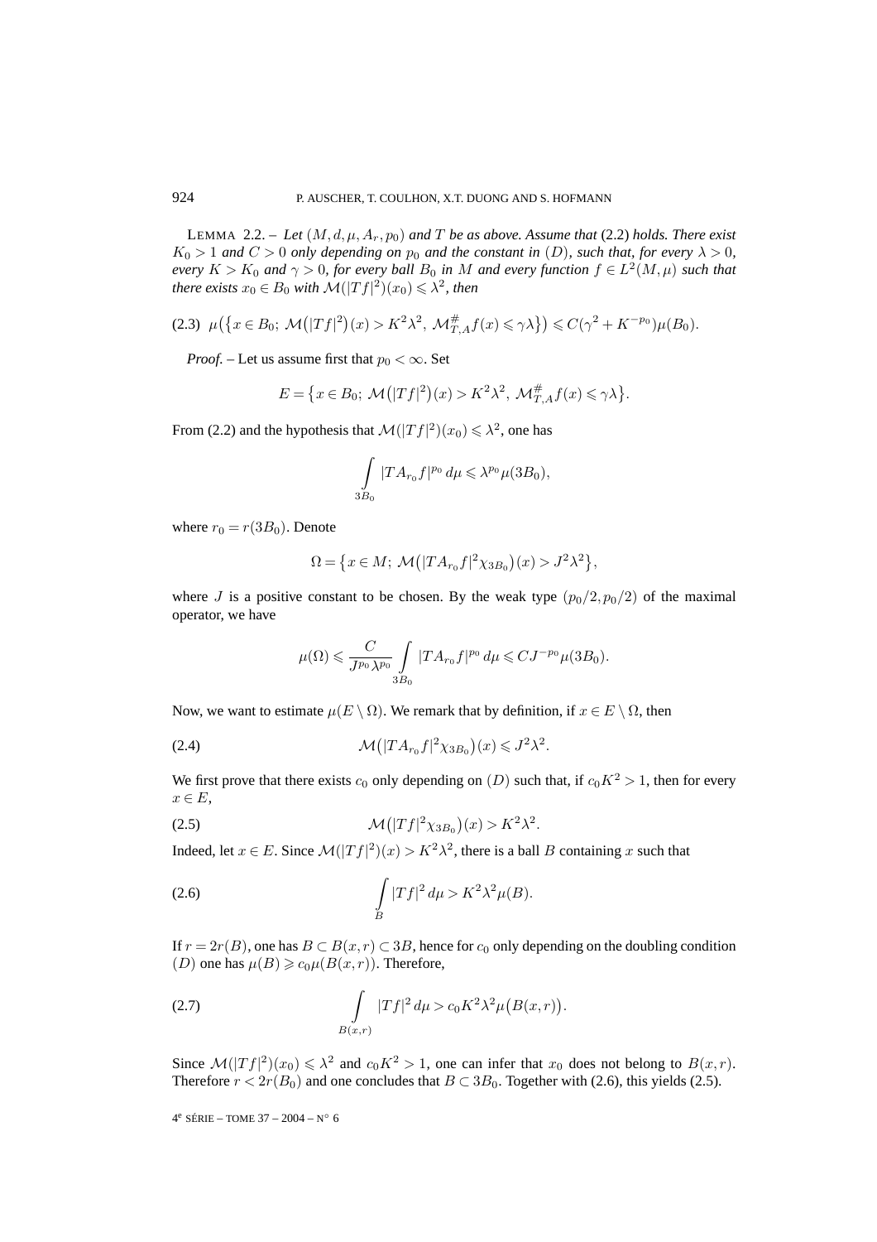LEMMA 2.2. – Let  $(M, d, \mu, A_r, p_0)$  and T be as above. Assume that (2.2) holds. There exist  $K_0 > 1$  *and*  $C > 0$  *only depending on*  $p_0$  *and the constant in* (D)*, such that, for every*  $\lambda > 0$ *, every*  $K > K_0$  *and*  $\gamma > 0$ *, for every ball*  $B_0$  *in* M *and every function*  $f \in L^2(M, \mu)$  *such that there exists*  $x_0 \in B_0$  *with*  $\mathcal{M}(|Tf|^2)(x_0) \leq \lambda^2$ *, then* 

$$
(2.3) \ \mu\big(\big\{x \in B_0; \ \mathcal{M}\big(|Tf|^2\big)(x) > K^2\lambda^2, \ \mathcal{M}_{T,A}^{\#}f(x) \leq \gamma\lambda\big\}\big) \leqslant C(\gamma^2 + K^{-p_0})\mu(B_0).
$$

*Proof.* – Let us assume first that  $p_0 < \infty$ . Set

$$
E = \{x \in B_0; \ \mathcal{M}(|Tf|^2)(x) > K^2 \lambda^2, \ \mathcal{M}_{T,A}^{\#} f(x) \leq \gamma \lambda\}.
$$

From (2.2) and the hypothesis that  $\mathcal{M}(|Tf|^2)(x_0) \leq \lambda^2$ , one has

$$
\int_{3B_0} |T A_{r_0} f|^{p_0} \, d\mu \leqslant \lambda^{p_0} \mu(3B_0),
$$

where  $r_0 = r(3B_0)$ . Denote

$$
\Omega = \{ x \in M; \ \mathcal{M}(|TA_{r_0}f|^2 \chi_{3B_0})(x) > J^2 \lambda^2 \},
$$

where J is a positive constant to be chosen. By the weak type  $(p_0/2, p_0/2)$  of the maximal operator, we have

$$
\mu(\Omega) \leqslant \frac{C}{J^{p_0} \lambda^{p_0}} \int\limits_{3B_0} |T A_{r_0} f|^{p_0} \, d\mu \leqslant C J^{-p_0} \mu(3B_0).
$$

Now, we want to estimate  $\mu(E \setminus \Omega)$ . We remark that by definition, if  $x \in E \setminus \Omega$ , then

$$
\mathcal{M}(|TA_{r_0}f|^2\chi_{3B_0})(x) \leqslant J^2\lambda^2.
$$

We first prove that there exists  $c_0$  only depending on (D) such that, if  $c_0K^2 > 1$ , then for every  $x \in E$ ,

$$
\mathcal{M}(|Tf|^2 \chi_{3B_0})(x) > K^2 \lambda^2.
$$

Indeed, let  $x \in E$ . Since  $\mathcal{M}(|Tf|^2)(x) > K^2 \lambda^2$ , there is a ball B containing x such that

(2.6) 
$$
\int_{B} |Tf|^2 d\mu > K^2 \lambda^2 \mu(B).
$$

If  $r = 2r(B)$ , one has  $B \subset B(x,r) \subset 3B$ , hence for  $c_0$  only depending on the doubling condition (*D*) one has  $\mu(B) \ge c_0 \mu(B(x,r))$ . Therefore,

(2.7) 
$$
\int_{B(x,r)} |Tf|^2 d\mu > c_0 K^2 \lambda^2 \mu(B(x,r)).
$$

Since  $\mathcal{M}(|Tf|^2)(x_0) \leq \lambda^2$  and  $c_0K^2 > 1$ , one can infer that  $x_0$  does not belong to  $B(x,r)$ . Therefore  $r < 2r(B_0)$  and one concludes that  $B \subset 3B_0$ . Together with (2.6), this yields (2.5).

4<sup>e</sup> SÉRIE – TOME 37 – 2004 – N° 6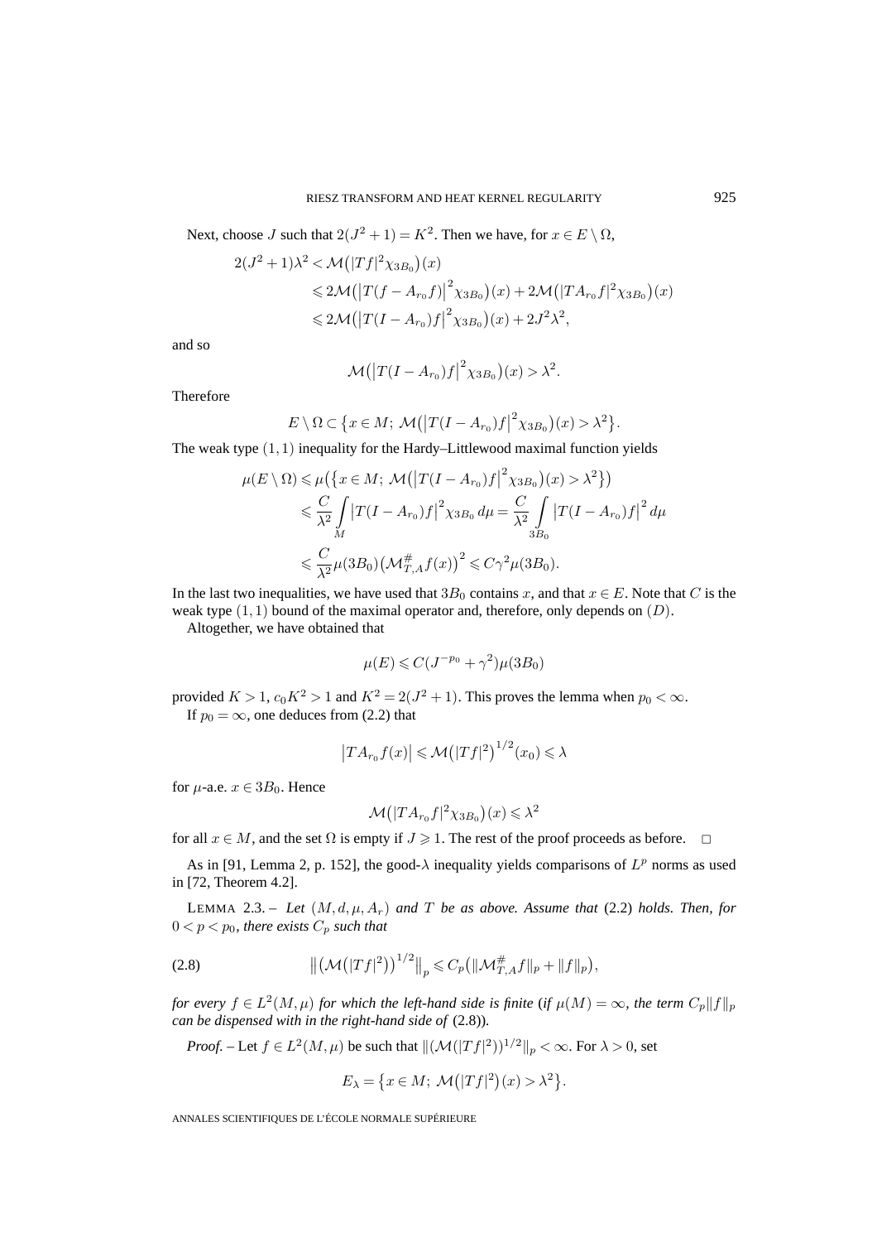Next, choose J such that  $2(J^2 + 1) = K^2$ . Then we have, for  $x \in E \setminus \Omega$ ,

$$
2(J^{2}+1)\lambda^{2} < \mathcal{M}(|Tf|^{2}\chi_{3B_{0}})(x)
$$
  
\n
$$
\leq 2\mathcal{M}(|T(f - A_{r_{0}}f)|^{2}\chi_{3B_{0}})(x) + 2\mathcal{M}(|TA_{r_{0}}f|^{2}\chi_{3B_{0}})(x)
$$
  
\n
$$
\leq 2\mathcal{M}(|T(I - A_{r_{0}})f|^{2}\chi_{3B_{0}})(x) + 2J^{2}\lambda^{2},
$$

and so

$$
\mathcal{M}(|T(I - A_{r_0})f|^2 \chi_{3B_0})(x) > \lambda^2.
$$

Therefore

$$
E \setminus \Omega \subset \big\{x \in M; \, \mathcal{M}\big(\big|T(I - A_{r_0})f\big|^2 \chi_{3B_0}\big)(x) > \lambda^2\big\}.
$$

The weak type  $(1, 1)$  inequality for the Hardy–Littlewood maximal function yields

$$
\mu(E \setminus \Omega) \leq \mu\left(\left\{x \in M; \ \mathcal{M}(|T(I - A_{r_0})f|^2 \chi_{3B_0})(x) > \lambda^2\right\}\right)
$$
  

$$
\leq \frac{C}{\lambda^2} \int_M |T(I - A_{r_0})f|^2 \chi_{3B_0} d\mu = \frac{C}{\lambda^2} \int_{3B_0} |T(I - A_{r_0})f|^2 d\mu
$$
  

$$
\leq \frac{C}{\lambda^2} \mu(3B_0) \left(\mathcal{M}_{T,A}^{\#} f(x)\right)^2 \leq C\gamma^2 \mu(3B_0).
$$

In the last two inequalities, we have used that  $3B_0$  contains x, and that  $x \in E$ . Note that C is the weak type  $(1, 1)$  bound of the maximal operator and, therefore, only depends on  $(D)$ .

Altogether, we have obtained that

$$
\mu(E) \leqslant C(J^{-p_0} + \gamma^2)\mu(3B_0)
$$

provided  $K > 1$ ,  $c_0 K^2 > 1$  and  $K^2 = 2(J^2 + 1)$ . This proves the lemma when  $p_0 < \infty$ . If  $p_0 = \infty$ , one deduces from (2.2) that

$$
|TA_{r_0}f(x)| \leqslant \mathcal{M}(|Tf|^2)^{1/2}(x_0) \leqslant \lambda
$$

for  $\mu$ -a.e.  $x \in 3B_0$ . Hence

$$
\mathcal{M}(|TA_{r_0}f|^2\chi_{3B_0})(x) \leq \lambda^2
$$

for all  $x \in M$ , and the set  $\Omega$  is empty if  $J \ge 1$ . The rest of the proof proceeds as before.  $\Box$ 

As in [91, Lemma 2, p. 152], the good- $\lambda$  inequality yields comparisons of  $L^p$  norms as used in [72, Theorem 4.2].

LEMMA 2.3. – Let  $(M, d, \mu, A_r)$  and T be as above. Assume that (2.2) holds. Then, for  $0 < p < p_0$ , there exists  $C_p$  such that

(2.8) 
$$
\left\| \left( \mathcal{M}(|Tf|^2) \right)^{1/2} \right\|_p \leqslant C_p \left( \|\mathcal{M}^{\#}_{T,A}f\|_p + \|f\|_p \right),
$$

*for every*  $f \in L^2(M,\mu)$  *for which the left-hand side is finite* (*if*  $\mu(M) = \infty$ *, the term*  $C_p||f||_p$ *can be dispensed with in the right-hand side of* (2.8))*.*

*Proof.* – Let  $f \in L^2(M, \mu)$  be such that  $\| (\mathcal{M}(|Tf|^2))^{1/2} \|_p < \infty$ . For  $\lambda > 0$ , set

$$
E_{\lambda} = \{ x \in M; \ \mathcal{M}(|Tf|^2)(x) > \lambda^2 \}.
$$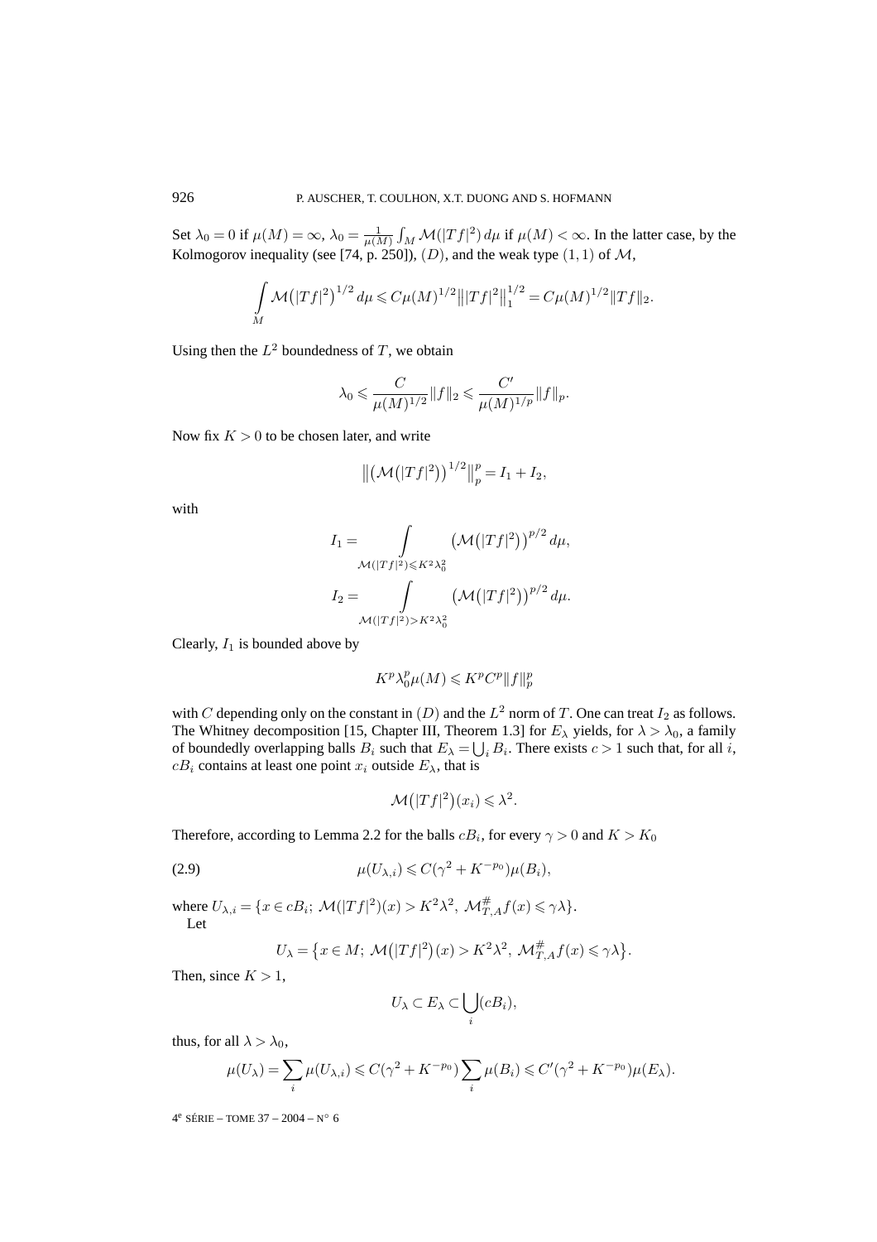Set  $\lambda_0 = 0$  if  $\mu(M) = \infty$ ,  $\lambda_0 = \frac{1}{\mu(M)} \int_M \mathcal{M}(|Tf|^2) d\mu$  if  $\mu(M) < \infty$ . In the latter case, by the Kolmogorov inequality (see [74, p. 250]),  $(D)$ , and the weak type  $(1, 1)$  of M,

$$
\int_{M} \mathcal{M}(|Tf|^{2})^{1/2} d\mu \leq C \mu(M)^{1/2} |||Tf|^{2}||_{1}^{1/2} = C \mu(M)^{1/2} |||Tf||_{2}.
$$

Using then the  $L^2$  boundedness of T, we obtain

$$
\lambda_0 \leqslant \frac{C}{\mu(M)^{1/2}} \|f\|_2 \leqslant \frac{C'}{\mu(M)^{1/p}} \|f\|_p.
$$

Now fix  $K > 0$  to be chosen later, and write

$$
\|(\mathcal{M}(|Tf|^2))^{1/2}\|_p^p = I_1 + I_2,
$$

with

$$
I_1 = \int_{\mathcal{M}(|Tf|^2) \leq K^2 \lambda_0^2} \left(\mathcal{M}(|Tf|^2)\right)^{p/2} d\mu,
$$
  
\n
$$
I_2 = \int_{\mathcal{M}(|Tf|^2) > K^2 \lambda_0^2} \left(\mathcal{M}(|Tf|^2)\right)^{p/2} d\mu.
$$

Clearly,  $I_1$  is bounded above by

$$
K^p \lambda_0^p \mu(M) \leqslant K^p C^p \|f\|_p^p
$$

with C depending only on the constant in  $(D)$  and the  $L^2$  norm of T. One can treat  $I_2$  as follows. The Whitney decomposition [15, Chapter III, Theorem 1.3] for  $E_{\lambda}$  yields, for  $\lambda > \lambda_0$ , a family of boundedly overlapping balls  $B_i$  such that  $E_{\lambda} = \bigcup_i B_i$ . There exists  $c > 1$  such that, for all i,  $cB_i$  contains at least one point  $x_i$  outside  $E_\lambda$ , that is

$$
\mathcal{M}(|Tf|^2)(x_i) \leq \lambda^2.
$$

Therefore, according to Lemma 2.2 for the balls  $cB_i$ , for every  $\gamma > 0$  and  $K > K_0$ 

$$
\mu(U_{\lambda,i}) \leqslant C(\gamma^2 + K^{-p_0})\mu(B_i),
$$

where  $U_{\lambda,i} = \{x \in cB_i; \ \mathcal{M}(|Tf|^2)(x) > K^2\lambda^2, \ \mathcal{M}_{T,A}^{\#}f(x) \leq \gamma \lambda\}.$ Let

$$
U_{\lambda} = \{ x \in M; \ \mathcal{M}(|Tf|^2)(x) > K^2 \lambda^2, \ \mathcal{M}_{T,A}^{\#} f(x) \leq \gamma \lambda \}.
$$

Then, since  $K > 1$ ,

$$
U_{\lambda} \subset E_{\lambda} \subset \bigcup_{i} (cB_i),
$$

thus, for all  $\lambda > \lambda_0$ ,

$$
\mu(U_{\lambda}) = \sum_{i} \mu(U_{\lambda,i}) \leqslant C(\gamma^2 + K^{-p_0}) \sum_{i} \mu(B_i) \leqslant C'(\gamma^2 + K^{-p_0})\mu(E_{\lambda}).
$$

4<sup>e</sup> SÉRIE – TOME 37 – 2004 – N° 6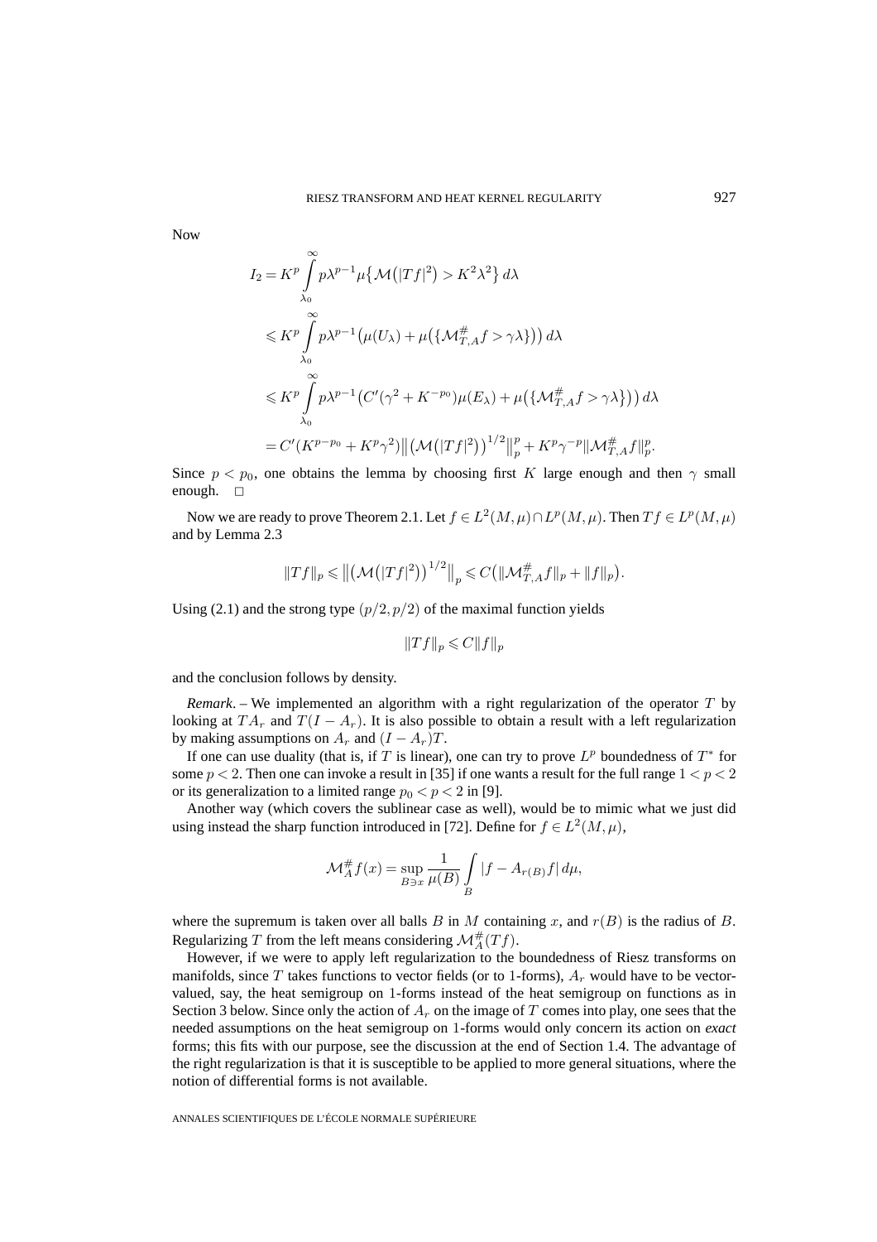Now

$$
I_2 = K^p \int_{\lambda_0}^{\infty} p\lambda^{p-1} \mu \{ \mathcal{M}(|Tf|^2) > K^2 \lambda^2 \} d\lambda
$$
  
\n
$$
\leq K^p \int_{\lambda_0}^{\infty} p\lambda^{p-1} (\mu(U_\lambda) + \mu (\{\mathcal{M}_{T,A}^\# f > \gamma \lambda\})) d\lambda
$$
  
\n
$$
\leq K^p \int_{\lambda_0}^{\infty} p\lambda^{p-1} (C'(\gamma^2 + K^{-p_0})\mu(E_\lambda) + \mu (\{\mathcal{M}_{T,A}^\# f > \gamma \lambda\})) d\lambda
$$
  
\n
$$
= C'(K^{p-p_0} + K^p \gamma^2) ||(\mathcal{M}(|Tf|^2))^{1/2}||_p^p + K^p \gamma^{-p} ||\mathcal{M}_{T,A}^\# f||_p^p.
$$

Since  $p < p_0$ , one obtains the lemma by choosing first K large enough and then  $\gamma$  small enough.  $\square$ 

Now we are ready to prove Theorem 2.1. Let  $f \in L^2(M,\mu) \cap L^p(M,\mu)$ . Then  $Tf \in L^p(M,\mu)$ and by Lemma 2.3

$$
||Tf||_p \le ||(\mathcal{M}(|Tf|^2))^{1/2}||_p \le C(||\mathcal{M}_{T,A}^{\#}f||_p + ||f||_p).
$$

Using (2.1) and the strong type  $(p/2, p/2)$  of the maximal function yields

$$
||Tf||_p \leqslant C||f||_p
$$

and the conclusion follows by density.

*Remark*. – We implemented an algorithm with a right regularization of the operator T by looking at  $TA_r$  and  $T(I - A_r)$ . It is also possible to obtain a result with a left regularization by making assumptions on  $A_r$  and  $(I - A_r)T$ .

If one can use duality (that is, if T is linear), one can try to prove  $L^p$  boundedness of  $T^*$  for some  $p < 2$ . Then one can invoke a result in [35] if one wants a result for the full range  $1 < p < 2$ or its generalization to a limited range  $p_0 < p < 2$  in [9].

Another way (which covers the sublinear case as well), would be to mimic what we just did using instead the sharp function introduced in [72]. Define for  $f \in L^2(M, \mu)$ ,

$$
\mathcal{M}_A^{\#} f(x) = \sup_{B \ni x} \frac{1}{\mu(B)} \int_B |f - A_{r(B)}f| d\mu,
$$

where the supremum is taken over all balls B in M containing x, and  $r(B)$  is the radius of B. Regularizing T from the left means considering  $\mathcal{M}_{A}^{#}(Tf)$ .

However, if we were to apply left regularization to the boundedness of Riesz transforms on manifolds, since T takes functions to vector fields (or to 1-forms),  $A_r$  would have to be vectorvalued, say, the heat semigroup on 1-forms instead of the heat semigroup on functions as in Section 3 below. Since only the action of  $A_r$  on the image of T comes into play, one sees that the needed assumptions on the heat semigroup on 1-forms would only concern its action on *exact* forms; this fits with our purpose, see the discussion at the end of Section 1.4. The advantage of the right regularization is that it is susceptible to be applied to more general situations, where the notion of differential forms is not available.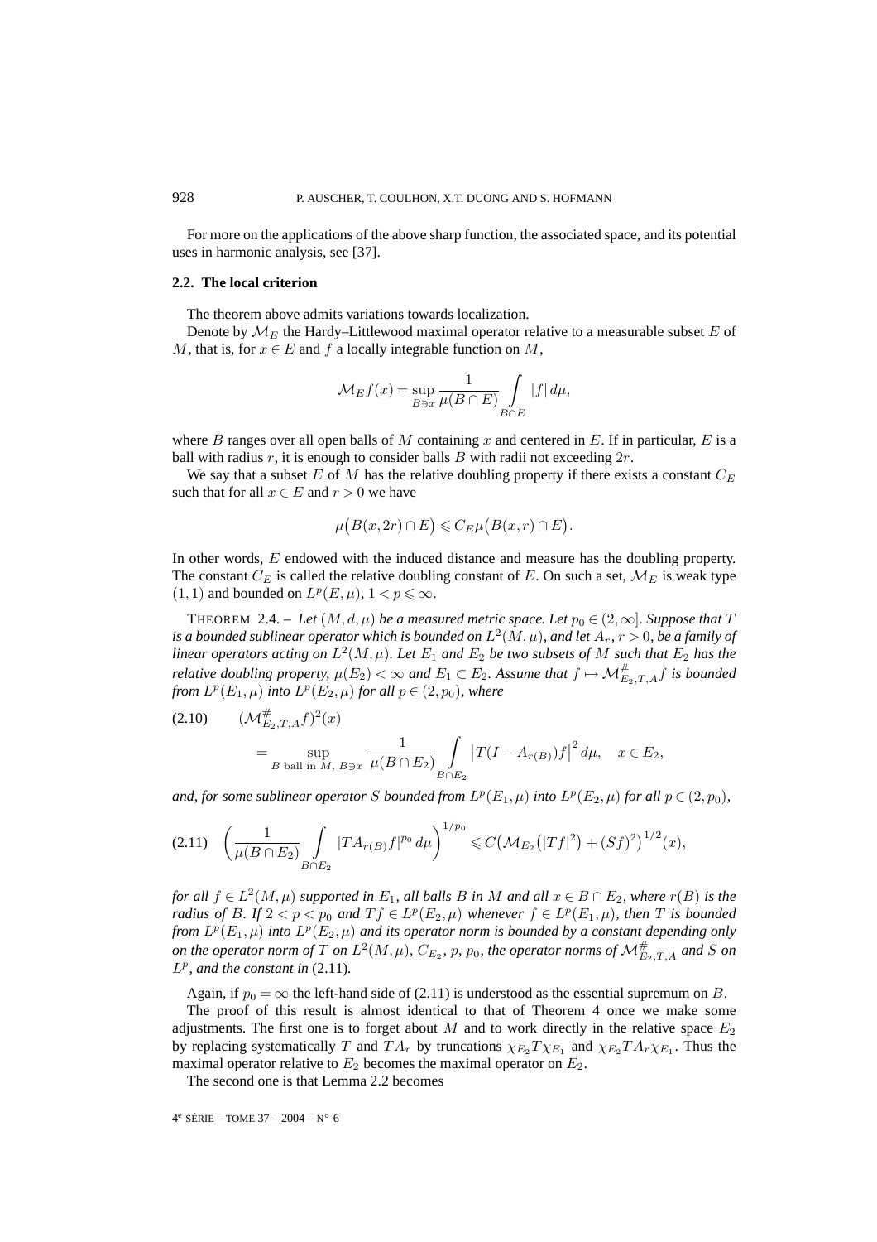For more on the applications of the above sharp function, the associated space, and its potential uses in harmonic analysis, see [37].

### **2.2. The local criterion**

The theorem above admits variations towards localization.

Denote by  $\mathcal{M}_E$  the Hardy–Littlewood maximal operator relative to a measurable subset E of M, that is, for  $x \in E$  and f a locally integrable function on M,

$$
\mathcal{M}_E f(x) = \sup_{B \ni x} \frac{1}{\mu(B \cap E)} \int_{B \cap E} |f| \, d\mu,
$$

where B ranges over all open balls of M containing x and centered in E. If in particular, E is a ball with radius r, it is enough to consider balls  $B$  with radii not exceeding  $2r$ .

We say that a subset E of M has the relative doubling property if there exists a constant  $C_E$ such that for all  $x \in E$  and  $r > 0$  we have

$$
\mu\big(B(x,2r)\cap E\big)\leqslant C_E\mu\big(B(x,r)\cap E\big).
$$

In other words, E endowed with the induced distance and measure has the doubling property. The constant  $C_E$  is called the relative doubling constant of E. On such a set,  $M_E$  is weak type  $(1, 1)$  and bounded on  $L^p(E, \mu)$ ,  $1 < p \leq \infty$ .

THEOREM 2.4. – Let  $(M, d, \mu)$  be a measured metric space. Let  $p_0 \in (2, \infty]$ . Suppose that T *is a bounded sublinear operator which is bounded on*  $L^2(M,\mu)$ *, and let*  $A_r$ *,*  $r > 0$ *, be a family of linear operators acting on*  $L^2(M,\mu)$ *. Let*  $E_1$  *and*  $E_2$  *be two subsets of* M *such that*  $E_2$  *has the relative doubling property,*  $\mu(E_2) < \infty$  and  $E_1 \subset E_2$ . Assume that  $f \mapsto \mathcal{M}_{E_2,T,A}^{\#}f$  is bounded *from*  $L^p(E_1, \mu)$  *into*  $L^p(E_2, \mu)$  *for all*  $p \in (2, p_0)$ *, where* 

(2.10) 
$$
(\mathcal{M}_{E_2,T,A}^{\#} f)^2(x) = \sup_{B \text{ ball in } M, B \ni x} \frac{1}{\mu(B \cap E_2)} \int_{B \cap E_2} |T(I - A_{r(B)})f|^2 d\mu, \quad x \in E_2,
$$

*and, for some sublinear operator* S *bounded from*  $L^p(E_1, \mu)$  *into*  $L^p(E_2, \mu)$  *for all*  $p \in (2, p_0)$ *,* 

$$
(2.11) \quad \left(\frac{1}{\mu(B \cap E_2)} \int\limits_{B \cap E_2} |T A_{r(B)} f|^{p_0} \, d\mu\right)^{1/p_0} \leqslant C \left(\mathcal{M}_{E_2}(|Tf|^2) + (Sf)^2\right)^{1/2}(x),
$$

*for all*  $f \in L^2(M,\mu)$  *supported in*  $E_1$ *, all balls* B *in* M *and all*  $x \in B \cap E_2$ *, where*  $r(B)$  *is the radius of* B. If  $2 < p < p_0$  and  $T f \in L^p(E_2, \mu)$  whenever  $f \in L^p(E_1, \mu)$ , then T is bounded *from*  $L^p(E_1, \mu)$  *into*  $L^p(E_2, \mu)$  *and its operator norm is bounded by a constant depending only on the operator norm of*  $T$  *on*  $L^2(M,\mu)$ *,*  $C_{E_2}$ *,*  $p$ *,*  $p_0$ *, the operator norms of*  $\mathcal{M}_{E_2,T,A}^{\#}$  *and*  $S$  *on*  $L^p$ *, and the constant in* (2.11)*.* 

Again, if  $p_0 = \infty$  the left-hand side of (2.11) is understood as the essential supremum on B.

The proof of this result is almost identical to that of Theorem 4 once we make some adjustments. The first one is to forget about  $M$  and to work directly in the relative space  $E_2$ by replacing systematically T and  $TA_r$  by truncations  $\chi_{E_2}T\chi_{E_1}$  and  $\chi_{E_2}T A_r\chi_{E_1}$ . Thus the maximal operator relative to  $E_2$  becomes the maximal operator on  $E_2$ .

The second one is that Lemma 2.2 becomes

```
4^e SÉRIE – TOME 37 – 2004 – N° 6
```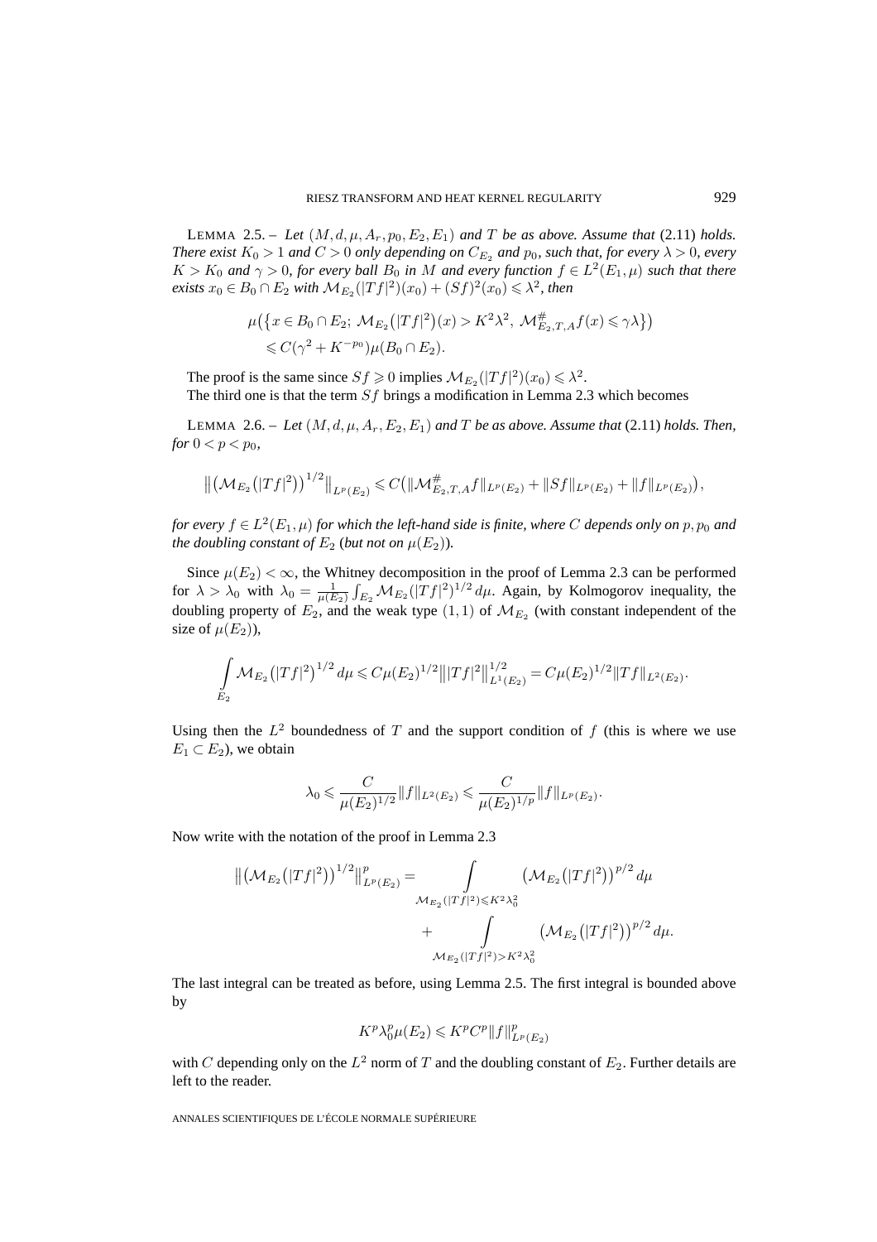LEMMA 2.5. – Let  $(M, d, \mu, A_r, p_0, E_2, E_1)$  and T be as above. Assume that (2.11) holds. *There exist*  $K_0 > 1$  *and*  $C > 0$  *only depending on*  $C_{E_2}$  *and*  $p_0$ *, such that, for every*  $\lambda > 0$ *, every*  $K > K_0$  *and*  $\gamma > 0$ *, for every ball*  $B_0$  *in* M *and every function*  $f \in L^2(E_1, \mu)$  *such that there exists*  $x_0$  ∈  $B_0$  ∩  $E_2$  *with*  $M_{E_2}(|Tf|^2)(x_0) + (Sf)^2(x_0) ≤ \lambda^2$ , then

$$
\mu(\{x \in B_0 \cap E_2; \ \mathcal{M}_{E_2}(|Tf|^2)(x) > K^2 \lambda^2, \ \mathcal{M}_{E_2, T, A}^{\#} f(x) \leq \gamma \lambda\})
$$
  
\$\leq C(\gamma^2 + K^{-p\_0})\mu(B\_0 \cap E\_2).

The proof is the same since  $S_f \ge 0$  implies  $\mathcal{M}_{E_2}(|Tf|^2)(x_0) \le \lambda^2$ .

The third one is that the term  $Sf$  brings a modification in Lemma 2.3 which becomes

LEMMA 2.6. – Let  $(M, d, \mu, A_r, E_2, E_1)$  and T be as above. Assume that (2.11) holds. Then, *for*  $0 < p < p_0$ *,* 

$$
\left\| \left(\mathcal{M}_{E_2}(|Tf|^2)\right)^{1/2} \right\|_{L^p(E_2)} \leqslant C \left( \|\mathcal{M}_{E_2,T,A}^{\#}f\|_{L^p(E_2)} + \|Sf\|_{L^p(E_2)} + \|f\|_{L^p(E_2)}\right),
$$

*for every*  $f \in L^2(E_1, \mu)$  *for which the left-hand side is finite, where* C *depends only on* p,  $p_0$  *and the doubling constant of*  $E_2$  (*but not on*  $\mu(E_2)$ ).

Since  $\mu(E_2) < \infty$ , the Whitney decomposition in the proof of Lemma 2.3 can be performed for  $\lambda > \lambda_0$  with  $\lambda_0 = \frac{1}{\mu(E_2)} \int_{E_2} \mathcal{M}_{E_2} (|Tf|^2)^{1/2} d\mu$ . Again, by Kolmogorov inequality, the doubling property of  $E_2$ , and the weak type  $(1,1)$  of  $\mathcal{M}_{E_2}$  (with constant independent of the size of  $\mu(E_2)$ ),

$$
\int_{E_2} \mathcal{M}_{E_2}(|Tf|^2)^{1/2} d\mu \leq C \mu(E_2)^{1/2} |||Tf|^2||_{L^1(E_2)}^{1/2} = C \mu(E_2)^{1/2} ||Tf||_{L^2(E_2)}.
$$

Using then the  $L^2$  boundedness of T and the support condition of f (this is where we use  $E_1 \subset E_2$ ), we obtain

$$
\lambda_0 \leqslant \frac{C}{\mu(E_2)^{1/2}} \|f\|_{L^2(E_2)} \leqslant \frac{C}{\mu(E_2)^{1/p}} \|f\|_{L^p(E_2)}.
$$

Now write with the notation of the proof in Lemma 2.3

$$
\|(\mathcal{M}_{E_2}(|Tf|^2))^{1/2}\|_{L^p(E_2)}^p = \int_{\mathcal{M}_{E_2}(|Tf|^2) \le K^2 \lambda_0^2} (\mathcal{M}_{E_2}(|Tf|^2))^{p/2} d\mu + \int_{\mathcal{M}_{E_2}(|Tf|^2) > K^2 \lambda_0^2} (\mathcal{M}_{E_2}(|Tf|^2))^{p/2} d\mu.
$$

The last integral can be treated as before, using Lemma 2.5. The first integral is bounded above by

$$
K^p \lambda_0^p \mu(E_2) \leqslant K^p C^p ||f||_{L^p(E_2)}^p
$$

with C depending only on the  $L^2$  norm of T and the doubling constant of  $E_2$ . Further details are left to the reader.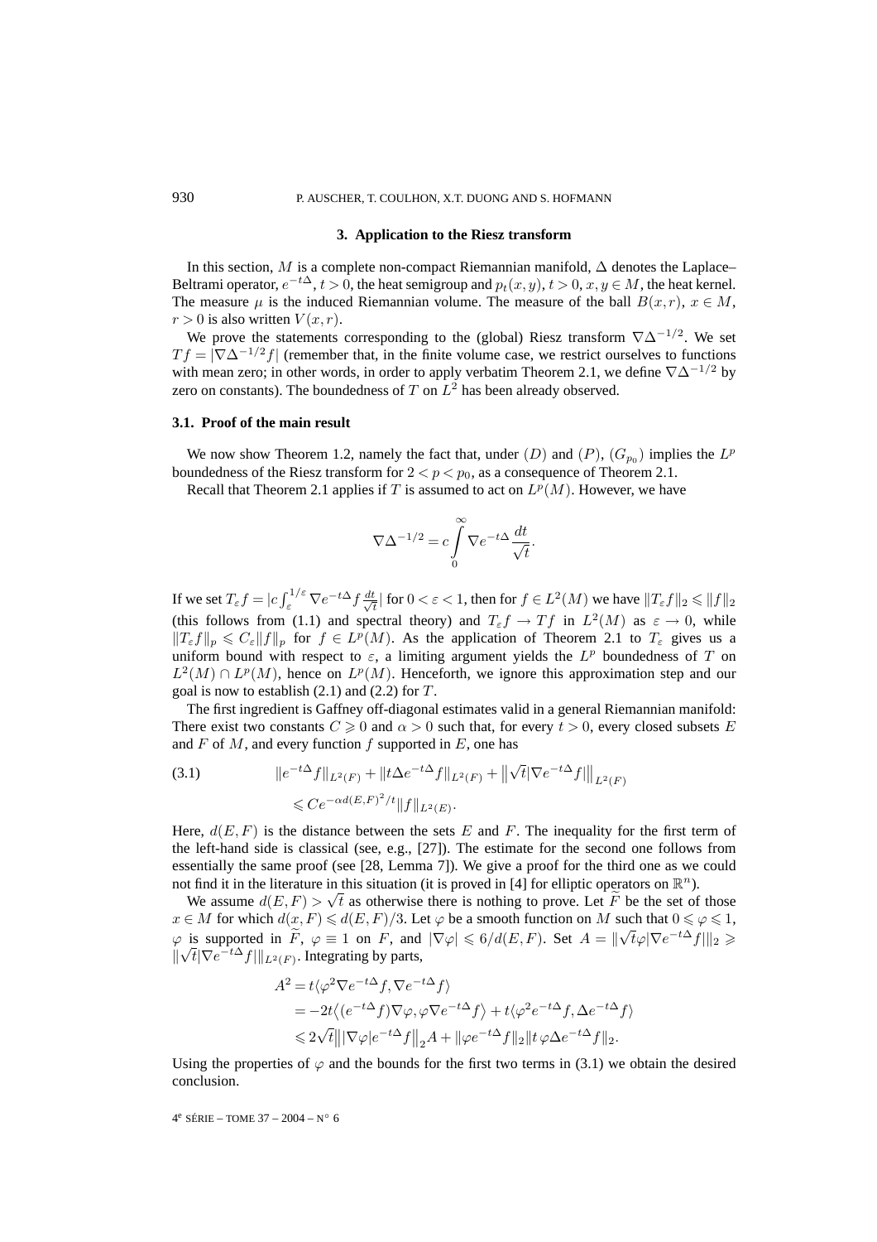# **3. Application to the Riesz transform**

In this section, M is a complete non-compact Riemannian manifold,  $\Delta$  denotes the Laplace– Beltrami operator,  $e^{-t\Delta}$ ,  $t > 0$ , the heat semigroup and  $p_t(x, y)$ ,  $t > 0$ ,  $x, y \in M$ , the heat kernel. The measure  $\mu$  is the induced Riemannian volume. The measure of the ball  $B(x, r)$ ,  $x \in M$ ,  $r > 0$  is also written  $V(x, r)$ .

We prove the statements corresponding to the (global) Riesz transform  $\nabla \Delta^{-1/2}$ . We set  $T f = |\nabla \Delta^{-1/2} f|$  (remember that, in the finite volume case, we restrict ourselves to functions with mean zero; in other words, in order to apply verbatim Theorem 2.1, we define  $\nabla \Delta^{-1/2}$  by zero on constants). The boundedness of  $T$  on  $L^2$  has been already observed.

#### **3.1. Proof of the main result**

We now show Theorem 1.2, namely the fact that, under  $(D)$  and  $(P)$ ,  $(G_{p_0})$  implies the  $L^p$ boundedness of the Riesz transform for  $2 < p < p_0$ , as a consequence of Theorem 2.1.

Recall that Theorem 2.1 applies if T is assumed to act on  $L^p(M)$ . However, we have

$$
\nabla \Delta^{-1/2} = c \int_{0}^{\infty} \nabla e^{-t\Delta} \frac{dt}{\sqrt{t}}.
$$

If we set  $T_{\varepsilon} f = |c \int_{\varepsilon}^{1/\varepsilon} \nabla e^{-t\Delta} f \frac{dt}{\sqrt{t}}$  $\frac{t}{t}$  | for  $0 < \varepsilon < 1$ , then for  $f \in L^2(M)$  we have  $||T_{\varepsilon}f||_2 \leq ||f||_2$ (this follows from (1.1) and spectral theory) and  $T_{\varepsilon}f \to Tf$  in  $L^2(M)$  as  $\varepsilon \to 0$ , while  $||T_{\varepsilon}f||_p \leq C_{\varepsilon}||f||_p$  for  $f \in L^p(M)$ . As the application of Theorem 2.1 to  $T_{\varepsilon}$  gives us a uniform bound with respect to  $\varepsilon$ , a limiting argument yields the  $L^p$  boundedness of T on  $L^2(M) \cap L^p(M)$ , hence on  $L^p(M)$ . Henceforth, we ignore this approximation step and our goal is now to establish  $(2.1)$  and  $(2.2)$  for T.

The first ingredient is Gaffney off-diagonal estimates valid in a general Riemannian manifold: There exist two constants  $C \geq 0$  and  $\alpha > 0$  such that, for every  $t > 0$ , every closed subsets E and  $F$  of  $M$ , and every function  $f$  supported in  $E$ , one has

(3.1) 
$$
||e^{-t\Delta}f||_{L^{2}(F)} + ||t\Delta e^{-t\Delta}f||_{L^{2}(F)} + ||\sqrt{t}|\nabla e^{-t\Delta}f||_{L^{2}(F)} \leq Ce^{-\alpha d(E,F)^{2}/t}||f||_{L^{2}(E)}.
$$

Here,  $d(E, F)$  is the distance between the sets E and F. The inequality for the first term of the left-hand side is classical (see, e.g., [27]). The estimate for the second one follows from essentially the same proof (see [28, Lemma 7]). We give a proof for the third one as we could not find it in the literature in this situation (it is proved in [4] for elliptic operators on  $\mathbb{R}^n$ ).

We assume  $d(E, F) > \sqrt{t}$  as otherwise there is nothing to prove. Let  $\widetilde{F}$  be the set of those  $x \in M$  for which  $d(x, F) \le d(E, F)/3$ . Let  $\varphi$  be a smooth function on M such that  $0 \le \varphi \le 1$ ,  $\varphi$  is supported in  $\widetilde{F}$ ,  $\varphi \equiv 1$  on F, and  $|\nabla \varphi| \leq 6/d(E, F)$ . Set  $A = ||\sqrt{t}\varphi||\nabla e^{-t\Delta}f||_2 \geq$  $\varphi$  is supported in *F*,  $\varphi = 1$  on *F*, and<br> $\|\sqrt{t}|\nabla e^{-t\Delta}f\|_{L^2(F)}$ . Integrating by parts,

$$
A^{2} = t\langle \varphi^{2} \nabla e^{-t\Delta} f, \nabla e^{-t\Delta} f \rangle
$$
  
= -2t\langle (e^{-t\Delta} f) \nabla \varphi, \varphi \nabla e^{-t\Delta} f \rangle + t\langle \varphi^{2} e^{-t\Delta} f, \Delta e^{-t\Delta} f \rangle  
\$\leq 2\sqrt{t} |||\nabla \varphi| e^{-t\Delta} f||\_{2} A + ||\varphi e^{-t\Delta} f||\_{2} ||t \varphi \Delta e^{-t\Delta} f||\_{2}.

Using the properties of  $\varphi$  and the bounds for the first two terms in (3.1) we obtain the desired conclusion.

4<sup>e</sup> SÉRIE – TOME 37 – 2004 – N° 6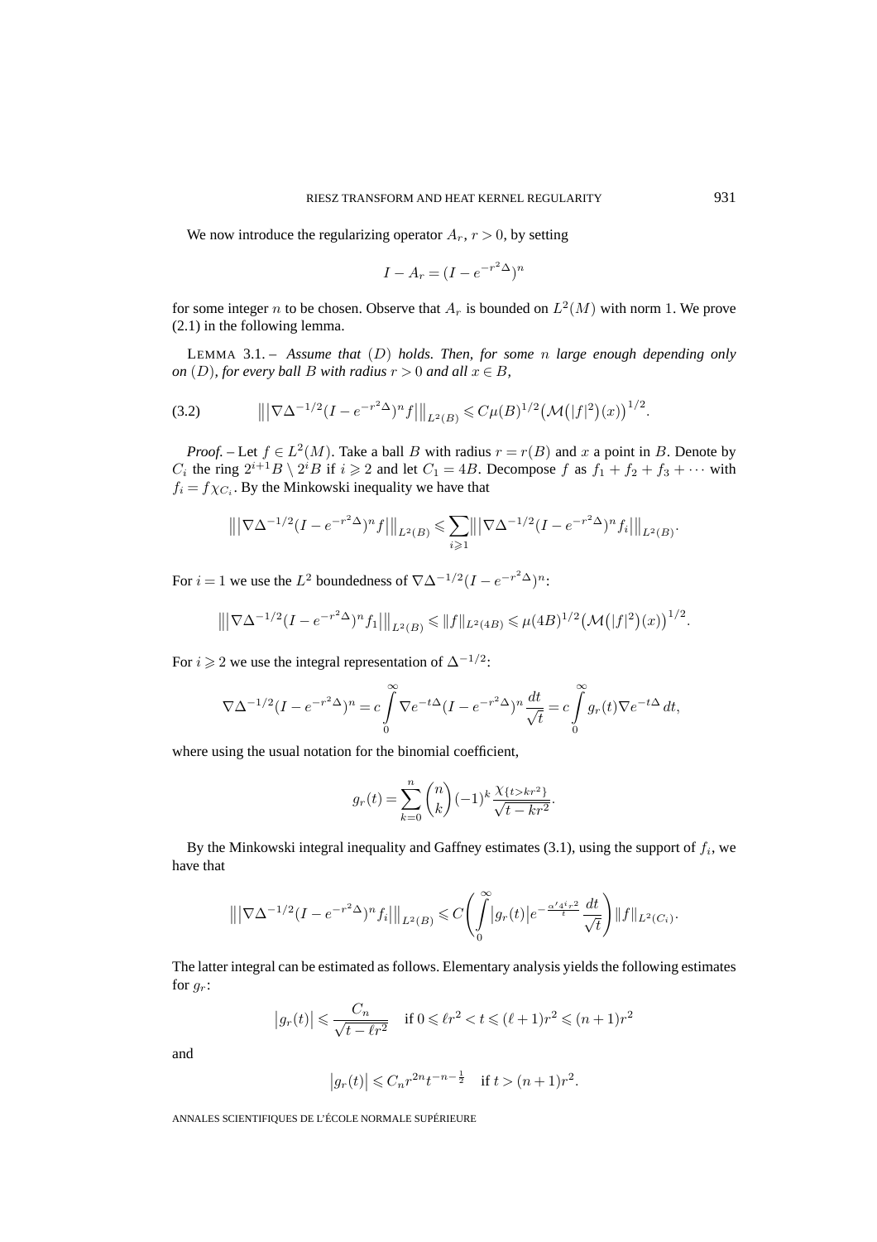We now introduce the regularizing operator  $A_r$ ,  $r > 0$ , by setting

$$
I - A_r = (I - e^{-r^2 \Delta})^n
$$

for some integer n to be chosen. Observe that  $A_r$  is bounded on  $L^2(M)$  with norm 1. We prove (2.1) in the following lemma.

LEMMA 3.1. – *Assume that* (D) *holds. Then, for some* n *large enough depending only on* (D), for every ball B with radius  $r > 0$  and all  $x \in B$ ,

$$
(3.2) \t\t |||\nabla \Delta^{-1/2} (I - e^{-r^2 \Delta})^n f|||_{L^2(B)} \leq C \mu(B)^{1/2} \big(\mathcal{M}(|f|^2)(x)\big)^{1/2}.
$$

*Proof.* – Let  $f \in L^2(M)$ . Take a ball B with radius  $r = r(B)$  and x a point in B. Denote by  $C_i$  the ring  $2^{i+1}B \setminus 2^iB$  if  $i \geq 2$  and let  $C_1 = 4B$ . Decompose f as  $f_1 + f_2 + f_3 + \cdots$  with  $f_i = f \chi_{C_i}$ . By the Minkowski inequality we have that

$$
\left\| |\nabla \Delta^{-1/2} (I - e^{-r^2 \Delta})^n f| \right\|_{L^2(B)} \leq \sum_{i \geq 1} \left\| |\nabla \Delta^{-1/2} (I - e^{-r^2 \Delta})^n f_i| \right\|_{L^2(B)}.
$$

For  $i = 1$  we use the  $L^2$  boundedness of  $\nabla \Delta^{-1/2} (I - e^{-r^2 \Delta})^n$ :

$$
\left\| |\nabla \Delta^{-1/2} (I - e^{-r^2 \Delta})^n f_1| \right\|_{L^2(B)} \leq \|f\|_{L^2(4B)} \leq \mu(4B)^{1/2} \left(\mathcal{M}(|f|^2)(x)\right)^{1/2}.
$$

For  $i \geq 2$  we use the integral representation of  $\Delta^{-1/2}$ :

$$
\nabla \Delta^{-1/2} (I - e^{-r^2 \Delta})^n = c \int_0^\infty \nabla e^{-t\Delta} (I - e^{-r^2 \Delta})^n \frac{dt}{\sqrt{t}} = c \int_0^\infty g_r(t) \nabla e^{-t\Delta} dt,
$$

where using the usual notation for the binomial coefficient,

$$
g_r(t) = \sum_{k=0}^{n} {n \choose k} (-1)^k \frac{\chi_{\{t > kr^2\}}}{\sqrt{t - kr^2}}.
$$

By the Minkowski integral inequality and Gaffney estimates  $(3.1)$ , using the support of  $f_i$ , we have that

$$
\left\| |\nabla \Delta^{-1/2} (I - e^{-r^2 \Delta})^n f_i \right\|_{L^2(B)} \leq C \left( \int_0^\infty |g_r(t)| e^{-\frac{\alpha'^{4^i r^2}}{t}} \frac{dt}{\sqrt{t}} \right) \|f\|_{L^2(C_i)}.
$$

The latter integral can be estimated as follows. Elementary analysis yields the following estimates for  $q_r$ :

$$
\left| g_r(t) \right| \leqslant \frac{C_n}{\sqrt{t - \ell r^2}} \quad \text{if } 0 \leqslant \ell r^2 < t \leqslant (\ell + 1)r^2 \leqslant (n + 1)r^2
$$

and

$$
|g_r(t)| \leq C_n r^{2n} t^{-n - \frac{1}{2}}
$$
 if  $t > (n+1)r^2$ .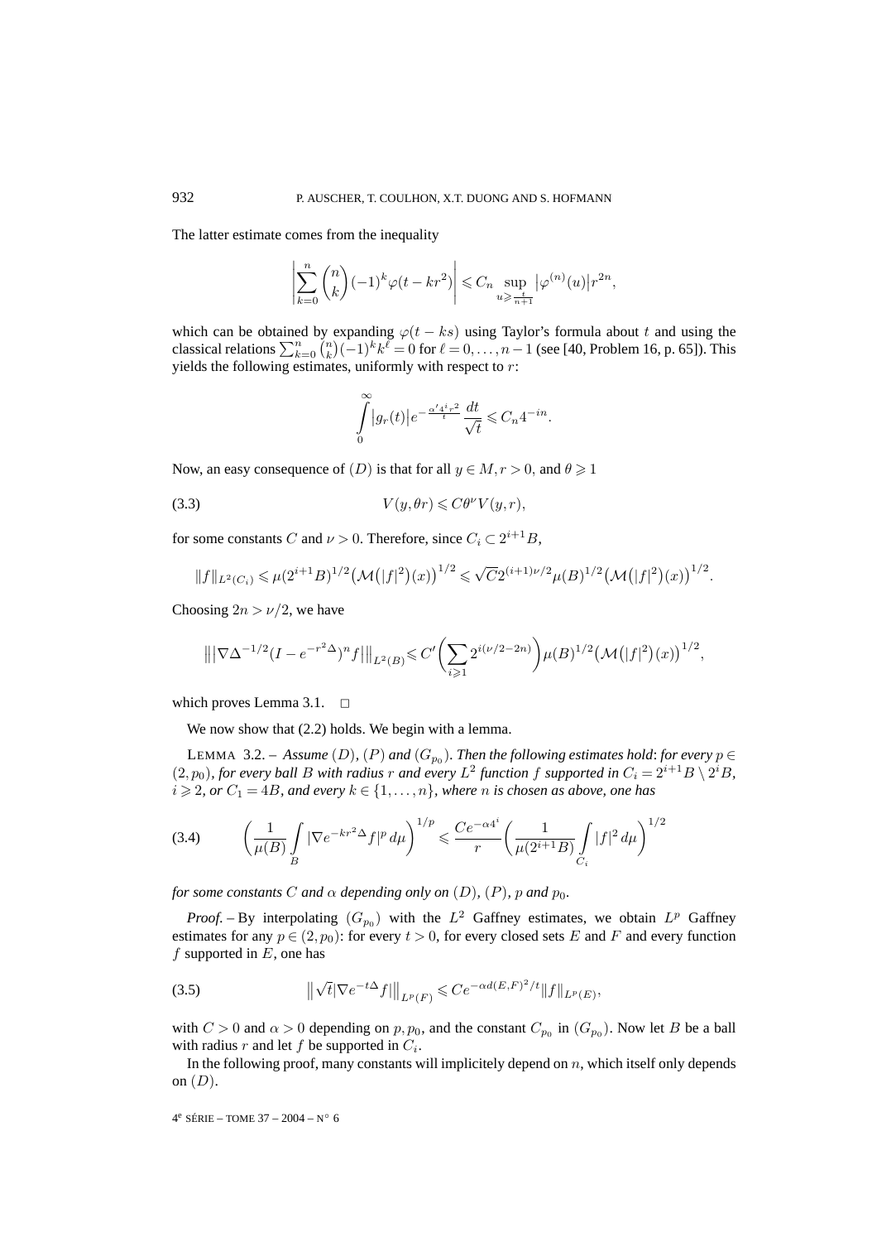The latter estimate comes from the inequality

$$
\left|\sum_{k=0}^n \binom{n}{k}(-1)^k\varphi(t-kr^2)\right|\leqslant C_n\sup_{u\geqslant \frac{t}{n+1}}\big|\varphi^{(n)}(u)\big|r^{2n},
$$

which can be obtained by expanding  $\varphi(t - ks)$  using Taylor's formula about t and using the classical relations  $\sum_{k=0}^{n} {n \choose k} (-1)^k k^{\ell} = 0$  for  $\ell = 0, \ldots, n-1$  (see [40, Problem 16, p. 65]). This yields the following estimates, uniformly with respect to  $r$ :

$$
\int\limits_0^\infty \bigl|g_r(t)\bigr| e^{-\frac{\alpha'4^ir^2}{t}} \frac{dt}{\sqrt{t}} \leqslant C_n 4^{-in}.
$$

Now, an easy consequence of  $(D)$  is that for all  $y \in M, r > 0$ , and  $\theta \geq 1$ 

$$
(3.3) \t V(y, \theta r) \leq C \theta^{\nu} V(y, r),
$$

for some constants C and  $\nu > 0$ . Therefore, since  $C_i \subset 2^{i+1}B$ ,

$$
||f||_{L^{2}(C_{i})} \leq \mu(2^{i+1}B)^{1/2} \left(\mathcal{M}(|f|^{2})(x)\right)^{1/2} \leq \sqrt{C}2^{(i+1)\nu/2} \mu(B)^{1/2} \left(\mathcal{M}(|f|^{2})(x)\right)^{1/2}.
$$

Choosing  $2n > \nu/2$ , we have

$$
\left\| |\nabla \Delta^{-1/2} (I - e^{-r^2 \Delta})^n f| \right\|_{L^2(B)} \leqslant C' \left( \sum_{i \geqslant 1} 2^{i(\nu/2 - 2n)} \right) \mu(B)^{1/2} \left( \mathcal{M}(|f|^2)(x) \right)^{1/2},
$$

which proves Lemma 3.1.  $\Box$ 

We now show that  $(2.2)$  holds. We begin with a lemma.

LEMMA 3.2. – Assume (D), (P) and  $(G_{p_0})$ . Then the following estimates hold: for every  $p \in$  $(2, p_0)$ , for every ball B with radius r and every  $L^2$  function f supported in  $C_i = 2^{i+1}B \setminus 2^iB$ ,  $i \geqslant 2$ , or  $C_1 = 4B$ , and every  $k \in \{1, \ldots, n\}$ , where n is chosen as above, one has

$$
(3.4) \qquad \left(\frac{1}{\mu(B)} \int\limits_B |\nabla e^{-kr^2\Delta} f|^p \, d\mu\right)^{1/p} \leqslant \frac{Ce^{-\alpha 4^i}}{r} \left(\frac{1}{\mu(2^{i+1}B)} \int\limits_{C_i} |f|^2 \, d\mu\right)^{1/2}
$$

*for some constants* C *and*  $\alpha$  *depending only on* (D), (P), p *and*  $p_0$ *.* 

*Proof.* – By interpolating  $(G_{p0})$  with the  $L^2$  Gaffney estimates, we obtain  $L^p$  Gaffney estimates for any  $p \in (2, p_0)$ : for every  $t > 0$ , for every closed sets E and F and every function f supported in  $E$ , one has

(3.5) 
$$
\|\sqrt{t}|\nabla e^{-t\Delta}f|\|_{L^p(F)} \leqslant Ce^{-\alpha d(E,F)^2/t}\|f\|_{L^p(E)},
$$

with  $C > 0$  and  $\alpha > 0$  depending on  $p, p_0$ , and the constant  $C_{p_0}$  in  $(G_{p_0})$ . Now let B be a ball with radius r and let f be supported in  $C_i$ .

In the following proof, many constants will implicitely depend on  $n$ , which itself only depends on  $(D)$ .

 $4^e$  SÉRIE – TOME 37 – 2004 – N° 6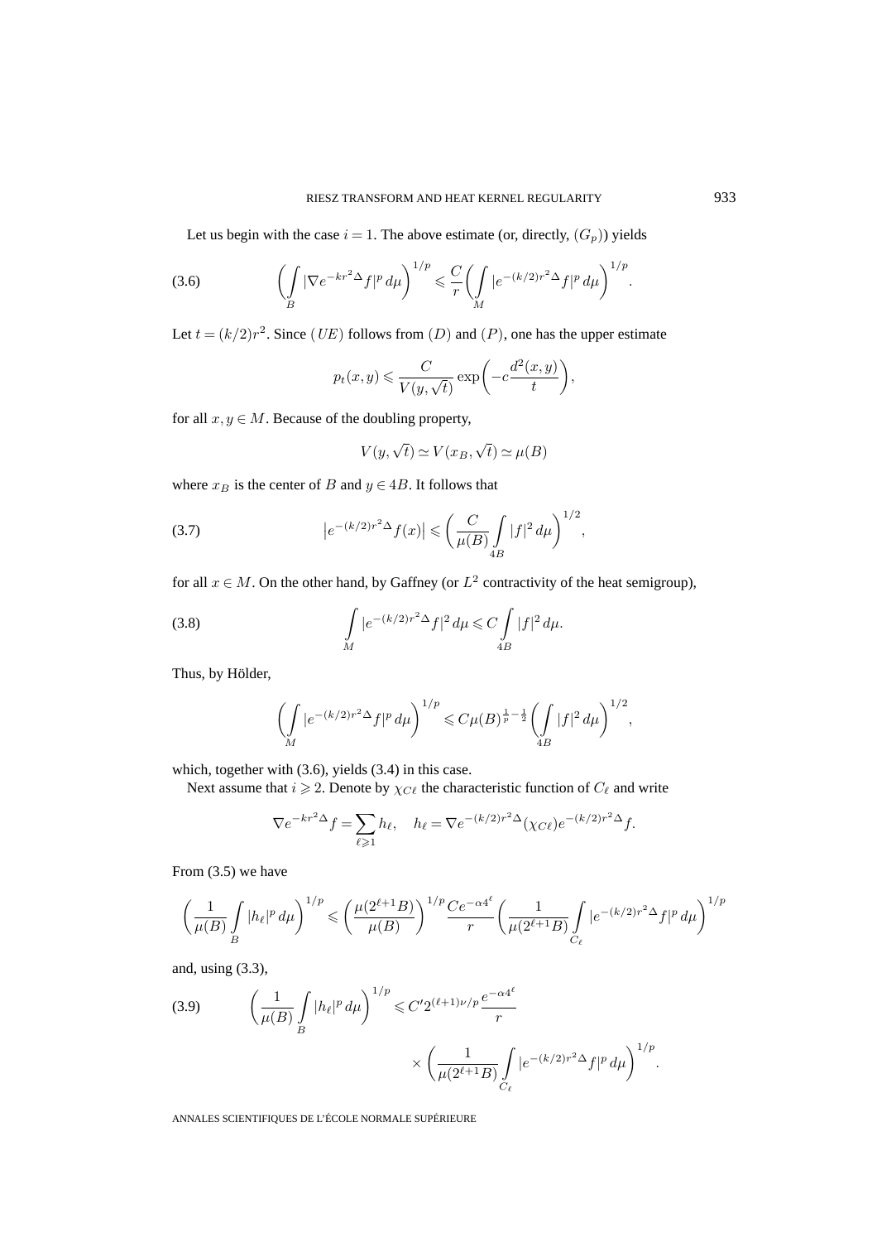Let us begin with the case  $i = 1$ . The above estimate (or, directly,  $(G_p)$ ) yields

(3.6) 
$$
\left(\int\limits_B |\nabla e^{-kr^2\Delta} f|^p \, d\mu\right)^{1/p} \leq \frac{C}{r} \left(\int\limits_M |e^{-(k/2)r^2\Delta} f|^p \, d\mu\right)^{1/p}.
$$

Let  $t = (k/2)r^2$ . Since (*UE*) follows from (*D*) and (*P*), one has the upper estimate

$$
p_t(x,y) \leqslant \frac{C}{V(y,\sqrt{t})} \exp\biggl(-c\frac{d^2(x,y)}{t}\biggr),
$$

for all  $x, y \in M$ . Because of the doubling property,

$$
V(y,\sqrt{t})\simeq V(x_B,\sqrt{t})\simeq \mu(B)
$$

where  $x_B$  is the center of B and  $y \in 4B$ . It follows that

(3.7) 
$$
\left| e^{-(k/2)r^2 \Delta} f(x) \right| \leqslant \left( \frac{C}{\mu(B)} \int_{4B} |f|^2 d\mu \right)^{1/2},
$$

for all  $x \in M$ . On the other hand, by Gaffney (or  $L^2$  contractivity of the heat semigroup),

(3.8) 
$$
\int_{M} |e^{-(k/2)r^{2}} \Delta f|^{2} d\mu \leq C \int_{4B} |f|^{2} d\mu.
$$

Thus, by Hölder,

$$
\left(\int\limits_M |e^{-(k/2)r^2\Delta} f|^p \, d\mu\right)^{1/p} \leqslant C\mu(B)^{\frac{1}{p}-\frac{1}{2}} \left(\int\limits_{4B} |f|^2 \, d\mu\right)^{1/2},
$$

which, together with (3.6), yields (3.4) in this case.

Next assume that  $i \geqslant 2$ . Denote by  $\chi_{C\ell}$  the characteristic function of  $C_{\ell}$  and write

$$
\nabla e^{-kr^2\Delta} f = \sum_{\ell \geq 1} h_\ell, \quad h_\ell = \nabla e^{-(k/2)r^2\Delta} (\chi_{C\ell}) e^{-(k/2)r^2\Delta} f.
$$

From (3.5) we have

$$
\left(\frac{1}{\mu(B)}\int\limits_{B}|h_{\ell}|^{p}\,d\mu\right)^{1/p}\leqslant \left(\frac{\mu(2^{\ell+1}B)}{\mu(B)}\right)^{1/p}\frac{Ce^{-\alpha 4^{\ell}}}{r}\bigg(\frac{1}{\mu(2^{\ell+1}B)}\int\limits_{C_{\ell}}|e^{-(k/2)r^{2}\Delta}f|^{p}\,d\mu\bigg)^{1/p}
$$

and, using (3.3),

(3.9) 
$$
\left(\frac{1}{\mu(B)} \int_{B} |h_{\ell}|^{p} d\mu\right)^{1/p} \leq C' 2^{(\ell+1)\nu/p} \frac{e^{-\alpha 4^{\ell}}}{r} \times \left(\frac{1}{\mu(2^{\ell+1}B)} \int_{C_{\ell}} |e^{-(k/2)r^{2} \Delta} f|^{p} d\mu\right)^{1/p}.
$$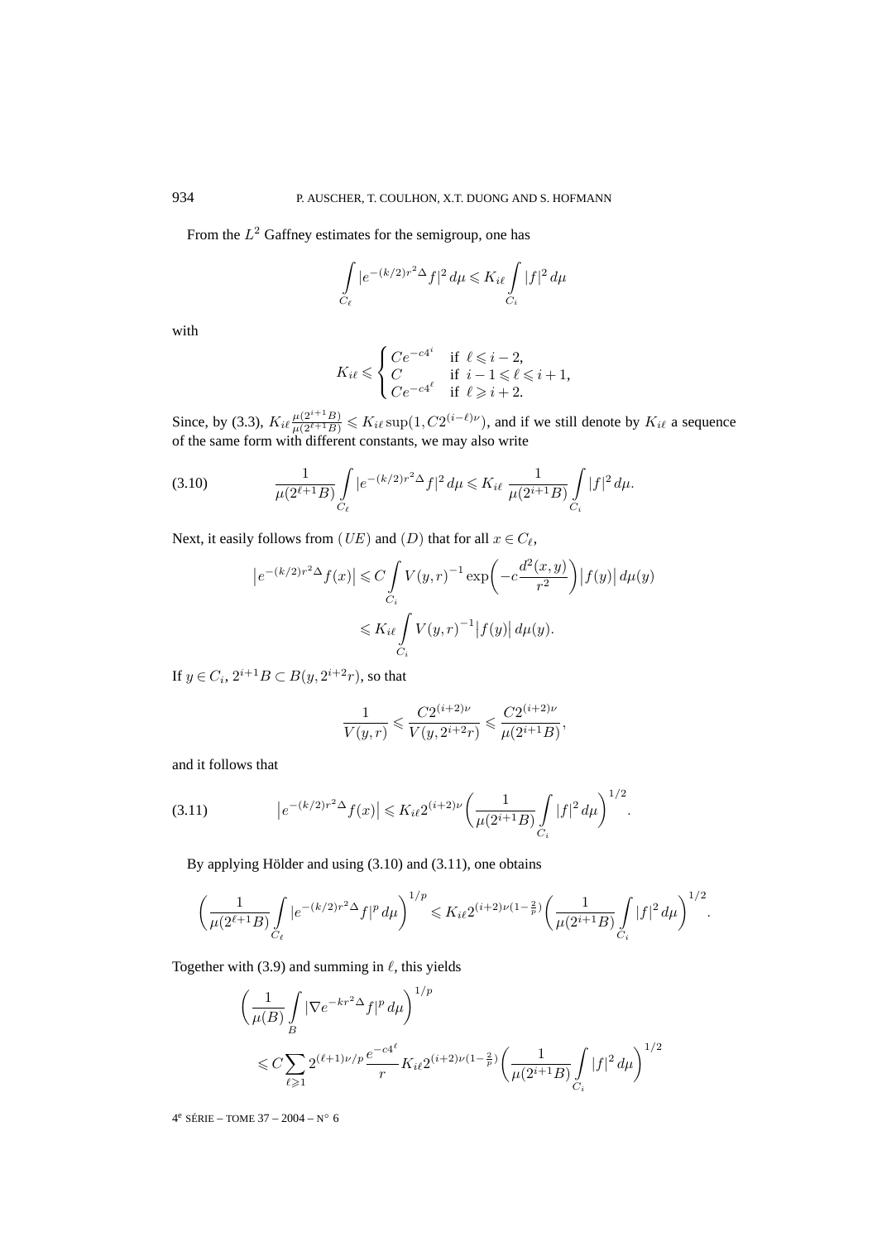From the  $L^2$  Gaffney estimates for the semigroup, one has

$$
\int\limits_{C_{\ell}}|e^{-(k/2)r^2\Delta}f|^2\,d\mu\leqslant K_{i\ell}\int\limits_{C_{i}}|f|^2\,d\mu
$$

with

$$
K_{i\ell} \leqslant \begin{cases} Ce^{-c4^i} & \text{if } \ell \leqslant i-2, \\ C & \text{if } i-1 \leqslant \ell \leqslant i+1, \\ Ce^{-c4^\ell} & \text{if } \ell \geqslant i+2. \end{cases}
$$

Since, by (3.3),  $K_{i\ell} \frac{\mu(2^{i+1}B)}{\mu(2^{\ell+1}B)} \leqslant K_{i\ell} \sup(1, C2^{(i-\ell)\nu})$ , and if we still denote by  $K_{i\ell}$  a sequence of the same form with different constants, we may also write

$$
(3.10) \qquad \qquad \frac{1}{\mu(2^{\ell+1}B)} \int\limits_{C_{\ell}} |e^{-(k/2)r^2\Delta} f|^2 \, d\mu \leqslant K_{i\ell} \, \frac{1}{\mu(2^{i+1}B)} \int\limits_{C_i} |f|^2 \, d\mu.
$$

Next, it easily follows from (UE) and (D) that for all  $x \in C_{\ell}$ ,

$$
|e^{-(k/2)r^2\Delta}f(x)| \leq C \int\limits_{C_i} V(y,r)^{-1} \exp\left(-c\frac{d^2(x,y)}{r^2}\right) |f(y)| d\mu(y)
$$
  

$$
\leq K_{i\ell} \int\limits_{C_i} V(y,r)^{-1} |f(y)| d\mu(y).
$$

If  $y \in C_i$ ,  $2^{i+1}B \subset B(y, 2^{i+2}r)$ , so that

$$
\frac{1}{V(y,r)} \leqslant \frac{C2^{(i+2)\nu}}{V(y, 2^{i+2}r)} \leqslant \frac{C2^{(i+2)\nu}}{\mu(2^{i+1}B)},
$$

and it follows that

$$
(3.11) \qquad \qquad \left| e^{-(k/2)r^2 \Delta} f(x) \right| \leqslant K_{i\ell} 2^{(i+2)\nu} \left( \frac{1}{\mu(2^{i+1}B)} \int\limits_{C_i} |f|^2 \, d\mu \right)^{1/2}.
$$

By applying Hölder and using (3.10) and (3.11), one obtains

$$
\left(\frac{1}{\mu(2^{\ell+1}B)}\int\limits_{C_{\ell}}|e^{-(k/2)r^2\Delta}f|^p\,d\mu\right)^{1/p}\leqslant K_{i\ell}2^{(i+2)\nu(1-\frac{2}{p})}\left(\frac{1}{\mu(2^{i+1}B)}\int\limits_{C_{i}}|f|^2\,d\mu\right)^{1/2}.
$$

Together with  $(3.9)$  and summing in  $\ell$ , this yields

$$
\begin{aligned} & \left( \frac{1}{\mu(B)} \int\limits_{B} |\nabla e^{-kr^2 \Delta} f|^p \, d\mu \right)^{1/p} \\ &\leqslant C \sum\limits_{\ell \geqslant 1} 2^{(\ell+1)\nu/p} \frac{e^{-c4^\ell}}{r} K_{i\ell} 2^{(i+2)\nu(1-\frac{2}{p})} \bigg( \frac{1}{\mu(2^{i+1}B)} \int\limits_{C_i} |f|^2 \, d\mu \bigg)^{1/2} \end{aligned}
$$

4e SÉRIE – TOME 37 – 2004 – N◦ 6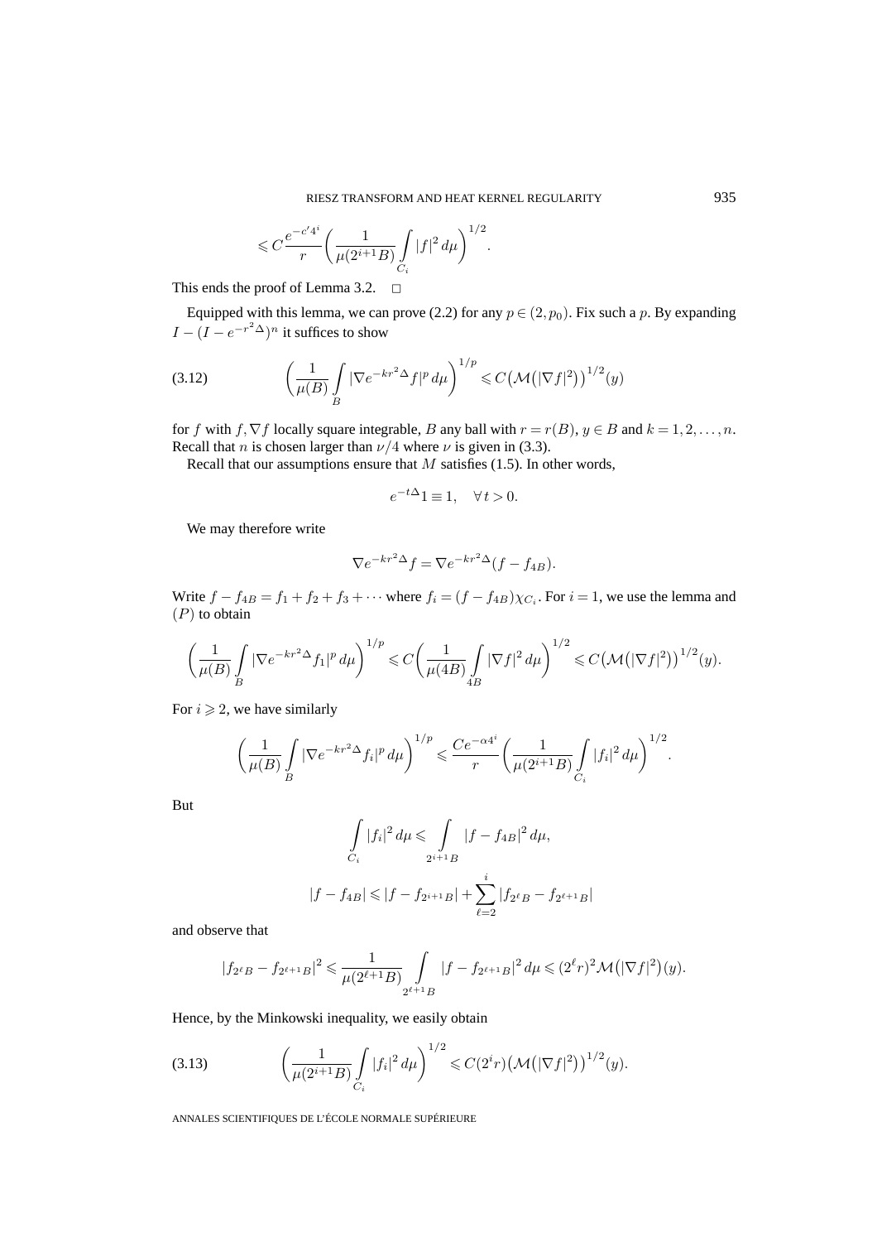$$
\leqslant C \frac{e^{-c'4^i}}{r}\bigg(\frac{1}{\mu(2^{i+1}B)}\int\limits_{C_i}|f|^2\,d\mu\bigg)^{1/2}.
$$

This ends the proof of Lemma 3.2.  $\Box$ 

Equipped with this lemma, we can prove (2.2) for any  $p \in (2, p_0)$ . Fix such a p. By expanding  $I - (I - e^{-r^2\Delta})^n$  it suffices to show

$$
(3.12)\qquad \qquad \left(\frac{1}{\mu(B)}\int\limits_B |\nabla e^{-kr^2\Delta}f|^p\,d\mu\right)^{1/p}\leqslant C\left(\mathcal{M}\left(|\nabla f|^2\right)\right)^{1/2}(y)
$$

for f with f,  $\nabla f$  locally square integrable, B any ball with  $r = r(B)$ ,  $y \in B$  and  $k = 1, 2, \ldots, n$ . Recall that *n* is chosen larger than  $\nu/4$  where  $\nu$  is given in (3.3).

Recall that our assumptions ensure that  $M$  satisfies (1.5). In other words,

$$
e^{-t\Delta}1 \equiv 1, \quad \forall \, t > 0.
$$

We may therefore write

$$
\nabla e^{-kr^2\Delta} f = \nabla e^{-kr^2\Delta} (f - f_{4B}).
$$

Write  $f - f_{4B} = f_1 + f_2 + f_3 + \cdots$  where  $f_i = (f - f_{4B})\chi_{C_i}$ . For  $i = 1$ , we use the lemma and  $(P)$  to obtain

$$
\left(\frac{1}{\mu(B)}\int\limits_B |\nabla e^{-kr^2\Delta} f_1|^p\,d\mu\right)^{1/p}\leqslant C\left(\frac{1}{\mu(4B)}\int\limits_{4B} |\nabla f|^2\,d\mu\right)^{1/2}\leqslant C\left(\mathcal{M}\left(|\nabla f|^2\right)\right)^{1/2}(y).
$$

For  $i \geqslant 2$ , we have similarly

$$
\left(\frac{1}{\mu(B)} \int\limits_B |\nabla e^{-kr^2\Delta} f_i|^p \, d\mu \right)^{1/p} \leqslant \frac{Ce^{-\alpha 4^i}}{r} \left(\frac{1}{\mu(2^{i+1}B)} \int\limits_{C_i} |f_i|^2 \, d\mu \right)^{1/2}.
$$

But

$$
\int_{C_i} |f_i|^2 d\mu \le \int_{2^{i+1}B} |f - f_{4B}|^2 d\mu,
$$
  

$$
|f - f_{4B}| \le |f - f_{2^{i+1}B}| + \sum_{\ell=2}^i |f_{2^{\ell}B} - f_{2^{\ell+1}B}|
$$

and observe that

$$
|f_{2^{\ell}B} - f_{2^{\ell+1}B}|^2 \leq \frac{1}{\mu(2^{\ell+1}B)} \int_{2^{\ell+1}B} |f - f_{2^{\ell+1}B}|^2 d\mu \leq (2^{\ell}r)^2 \mathcal{M}(|\nabla f|^2)(y).
$$

Hence, by the Minkowski inequality, we easily obtain

(3.13) 
$$
\left(\frac{1}{\mu(2^{i+1}B)}\int\limits_{C_i}|f_i|^2 d\mu\right)^{1/2} \leqslant C(2^i r)\left(\mathcal{M}\left(|\nabla f|^2\right)\right)^{1/2}(y).
$$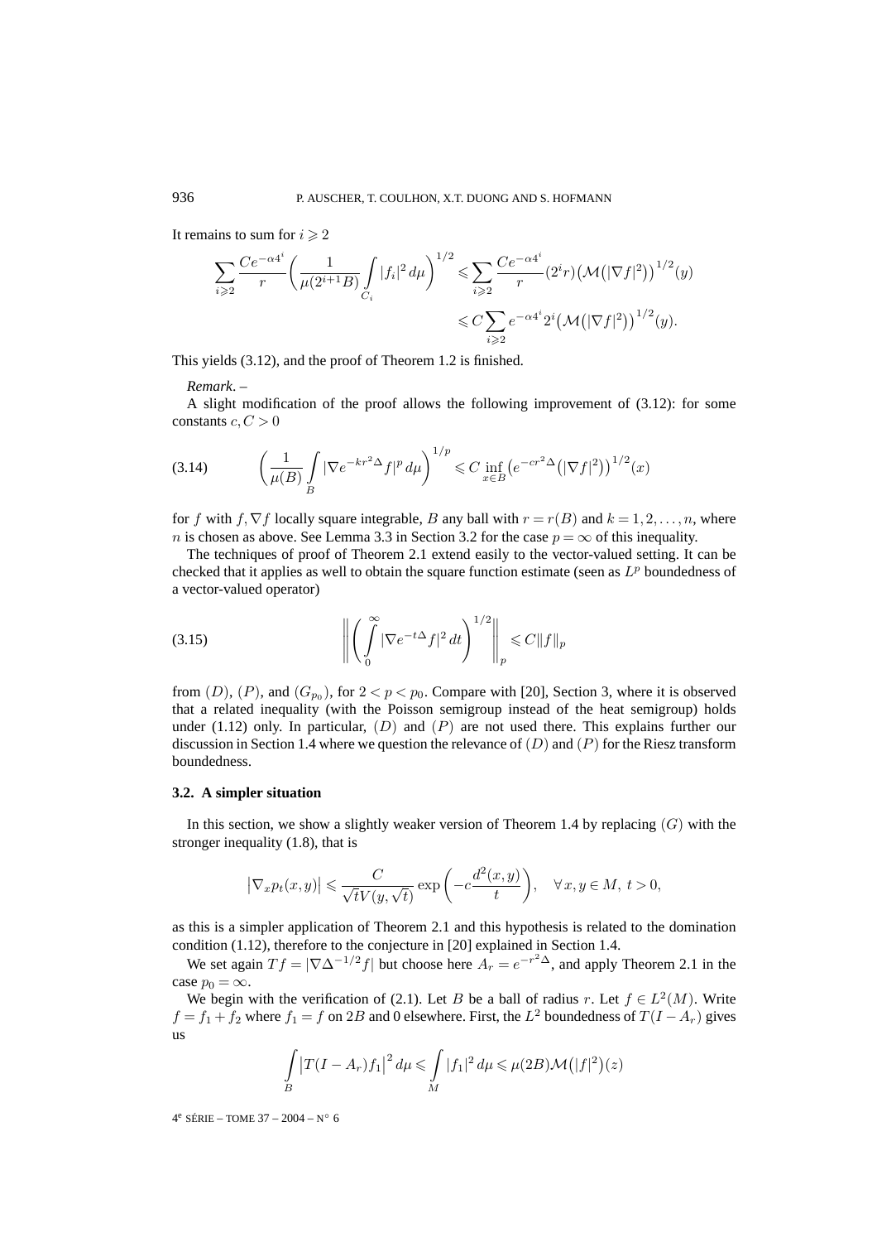It remains to sum for  $i \geqslant 2$ 

$$
\sum_{i\geqslant 2} \frac{Ce^{-\alpha 4^i}}{r} \left( \frac{1}{\mu(2^{i+1}B)} \int\limits_{C_i} |f_i|^2 \, d\mu \right)^{1/2} \leqslant \sum_{i\geqslant 2} \frac{Ce^{-\alpha 4^i}}{r} (2^i r) \left( \mathcal{M}(|\nabla f|^2) \right)^{1/2}(y) \leqslant C \sum_{i\geqslant 2} e^{-\alpha 4^i} 2^i \left( \mathcal{M}(|\nabla f|^2) \right)^{1/2}(y).
$$

This yields (3.12), and the proof of Theorem 1.2 is finished.

*Remark*. –

A slight modification of the proof allows the following improvement of (3.12): for some constants  $c, C > 0$ 

(3.14) 
$$
\left(\frac{1}{\mu(B)} \int_{B} |\nabla e^{-kr^2 \Delta} f|^p d\mu \right)^{1/p} \leq C \inf_{x \in B} \left( e^{-cr^2 \Delta} (|\nabla f|^2) \right)^{1/2} (x)
$$

for f with f,  $\nabla f$  locally square integrable, B any ball with  $r = r(B)$  and  $k = 1, 2, \ldots, n$ , where n is chosen as above. See Lemma 3.3 in Section 3.2 for the case  $p = \infty$  of this inequality.

The techniques of proof of Theorem 2.1 extend easily to the vector-valued setting. It can be checked that it applies as well to obtain the square function estimate (seen as  $L^p$  boundedness of a vector-valued operator)

(3.15) 
$$
\left\| \left( \int_{0}^{\infty} |\nabla e^{-t\Delta} f|^2 dt \right)^{1/2} \right\|_{p} \leq C \|f\|_{p}
$$

from  $(D)$ ,  $(P)$ , and  $(G_{p_0})$ , for  $2 < p < p_0$ . Compare with [20], Section 3, where it is observed that a related inequality (with the Poisson semigroup instead of the heat semigroup) holds under (1.12) only. In particular,  $(D)$  and  $(P)$  are not used there. This explains further our discussion in Section 1.4 where we question the relevance of  $(D)$  and  $(P)$  for the Riesz transform boundedness.

#### **3.2. A simpler situation**

In this section, we show a slightly weaker version of Theorem 1.4 by replacing  $(G)$  with the stronger inequality (1.8), that is

$$
\left|\nabla_x p_t(x,y)\right| \leqslant \frac{C}{\sqrt{t}V(y,\sqrt{t})} \exp\left(-c\frac{d^2(x,y)}{t}\right), \quad \forall \, x,y \in M, \ t > 0,
$$

as this is a simpler application of Theorem 2.1 and this hypothesis is related to the domination condition (1.12), therefore to the conjecture in [20] explained in Section 1.4.

We set again  $T f = |\nabla \Delta^{-1/2} f|$  but choose here  $A_r = e^{-r^2 \Delta}$ , and apply Theorem 2.1 in the case  $p_0 = \infty$ .

We begin with the verification of (2.1). Let B be a ball of radius r. Let  $f \in L^2(M)$ . Write  $f = f_1 + f_2$  where  $f_1 = f$  on 2B and 0 elsewhere. First, the  $L^2$  boundedness of  $T(I - A_r)$  gives us

$$
\int\limits_B |T(I - A_r)f_1|^2 d\mu \leq \int\limits_M |f_1|^2 d\mu \leq \mu(2B)\mathcal{M}(|f|^2)(z)
$$

4<sup>e</sup> SÉRIE – TOME 37 – 2004 – N° 6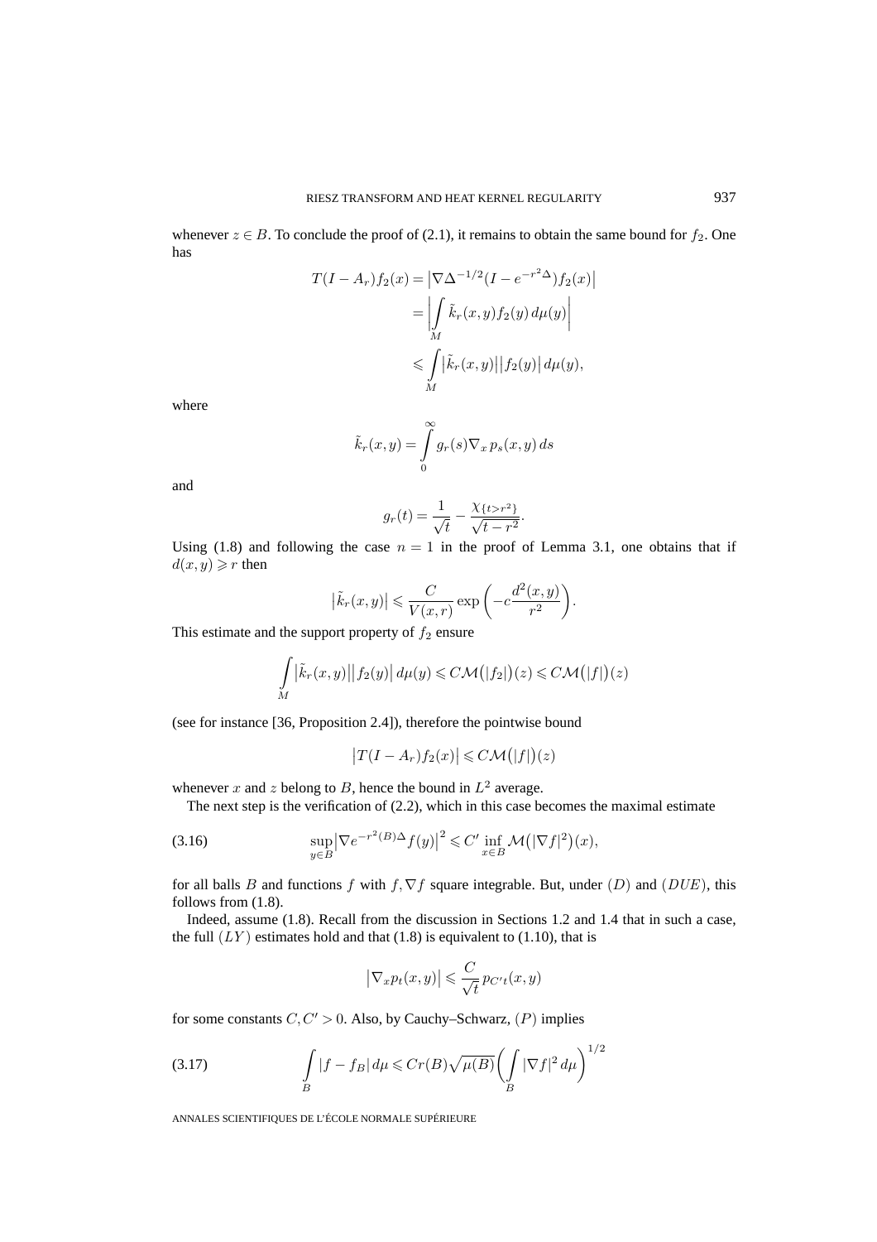whenever  $z \in B$ . To conclude the proof of (2.1), it remains to obtain the same bound for  $f_2$ . One has

$$
T(I - A_r) f_2(x) = \left| \nabla \Delta^{-1/2} (I - e^{-r^2 \Delta}) f_2(x) \right|
$$
  
= 
$$
\left| \int_M \tilde{k}_r(x, y) f_2(y) d\mu(y) \right|
$$
  

$$
\leq \int_M |\tilde{k}_r(x, y)| |f_2(y)| d\mu(y),
$$

where

$$
\tilde{k}_r(x,y) = \int\limits_0^\infty g_r(s) \nabla_x \, p_s(x,y) \, ds
$$

and

$$
g_r(t) = \frac{1}{\sqrt{t}} - \frac{\chi_{\{t > r^2\}}}{\sqrt{t - r^2}}.
$$

Using (1.8) and following the case  $n = 1$  in the proof of Lemma 3.1, one obtains that if  $d(x, y) \geqslant r$  then

$$
\left|\tilde{k}_r(x,y)\right| \leqslant \frac{C}{V(x,r)} \exp\bigg(-c\frac{d^2(x,y)}{r^2}\bigg).
$$

This estimate and the support property of  $f_2$  ensure

$$
\int_{M} \left| \tilde{k}_{r}(x, y) \right| \left| f_{2}(y) \right| d\mu(y) \leq C \mathcal{M}(|f_{2}|)(z) \leq C \mathcal{M}(|f|)(z)
$$

(see for instance [36, Proposition 2.4]), therefore the pointwise bound

$$
\big|T(I-A_r)f_2(x)\big|\leqslant C\mathcal{M}\big(|f|\big)(z)
$$

whenever x and z belong to B, hence the bound in  $L^2$  average.

The next step is the verification of (2.2), which in this case becomes the maximal estimate

(3.16) 
$$
\sup_{y\in B} |\nabla e^{-r^2(B)\Delta} f(y)|^2 \leq C' \inf_{x\in B} \mathcal{M}(|\nabla f|^2)(x),
$$

for all balls B and functions f with f,  $\nabla f$  square integrable. But, under (D) and (DUE), this follows from (1.8).

Indeed, assume (1.8). Recall from the discussion in Sections 1.2 and 1.4 that in such a case, the full  $(LY)$  estimates hold and that (1.8) is equivalent to (1.10), that is

$$
\big|\nabla_x p_t(x,y)\big|\leqslant \frac{C}{\sqrt{t}}\,p_{C't}(x,y)
$$

for some constants  $C, C' > 0$ . Also, by Cauchy–Schwarz,  $(P)$  implies

$$
\int_{B} |f - f_B| \, d\mu \le C r(B) \sqrt{\mu(B)} \left( \int_{B} |\nabla f|^2 \, d\mu \right)^{1/2}
$$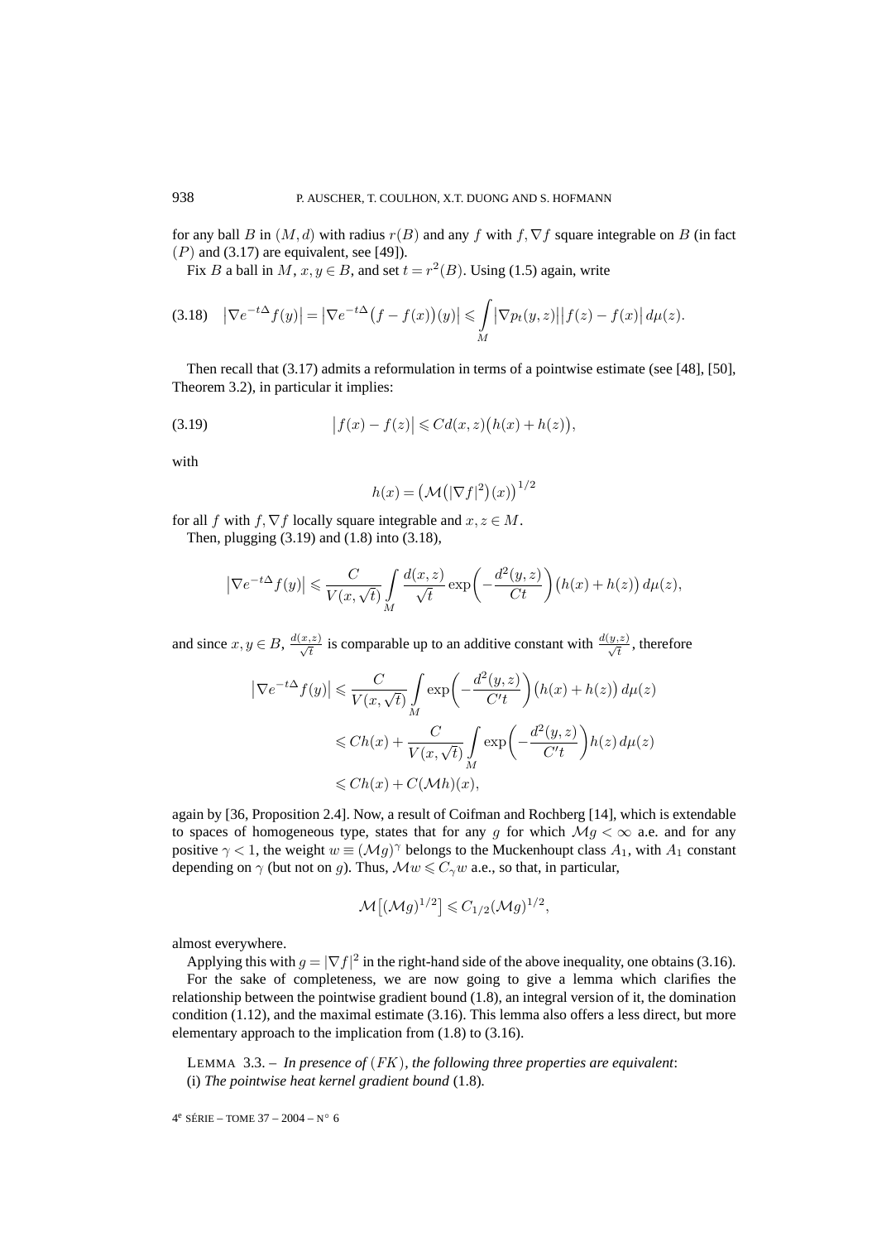for any ball B in  $(M, d)$  with radius  $r(B)$  and any f with f,  $\nabla f$  square integrable on B (in fact  $(P)$  and (3.17) are equivalent, see [49]).

Fix B a ball in M,  $x, y \in B$ , and set  $t = r^2(B)$ . Using (1.5) again, write

$$
(3.18)\quad \left|\nabla e^{-t\Delta}f(y)\right| = \left|\nabla e^{-t\Delta}\big(f - f(x)\big)(y)\right| \leqslant \int\limits_M \left|\nabla p_t(y, z)\right|\left|f(z) - f(x)\right|d\mu(z).
$$

Then recall that (3.17) admits a reformulation in terms of a pointwise estimate (see [48], [50], Theorem 3.2), in particular it implies:

(3.19) 
$$
|f(x) - f(z)| \le C d(x, z) (h(x) + h(z)),
$$

with

$$
h(x) = (\mathcal{M}(|\nabla f|^2)(x))^{1/2}
$$

for all f with  $f, \nabla f$  locally square integrable and  $x, z \in M$ .

Then, plugging (3.19) and (1.8) into (3.18),

$$
\left|\nabla e^{-t\Delta}f(y)\right| \leqslant \frac{C}{V(x,\sqrt{t})} \int\limits_M \frac{d(x,z)}{\sqrt{t}} \exp\left(-\frac{d^2(y,z)}{Ct}\right) \left(h(x)+h(z)\right) d\mu(z),
$$

and since  $x, y \in B$ ,  $\frac{d(x,z)}{\sqrt{t}}$  is comparable up to an additive constant with  $\frac{d(y,z)}{\sqrt{t}}$ , therefore

$$
\left|\nabla e^{-t\Delta} f(y)\right| \leq \frac{C}{V(x,\sqrt{t})} \int_M \exp\left(-\frac{d^2(y,z)}{C't}\right) \left(h(x) + h(z)\right) d\mu(z)
$$
  

$$
\leq Ch(x) + \frac{C}{V(x,\sqrt{t})} \int_M \exp\left(-\frac{d^2(y,z)}{C't}\right) h(z) d\mu(z)
$$
  

$$
\leq Ch(x) + C(\mathcal{M}h)(x),
$$

again by [36, Proposition 2.4]. Now, a result of Coifman and Rochberg [14], which is extendable to spaces of homogeneous type, states that for any g for which  $Mg < \infty$  a.e. and for any positive  $\gamma$  < 1, the weight  $w \equiv (\mathcal{M}g)^{\gamma}$  belongs to the Muckenhoupt class  $A_1$ , with  $A_1$  constant depending on  $\gamma$  (but not on g). Thus,  $\mathcal{M}w \leq C_{\gamma}w$  a.e., so that, in particular,

$$
\mathcal{M}[(\mathcal{M}g)^{1/2}] \leq C_{1/2}(\mathcal{M}g)^{1/2},
$$

almost everywhere.

Applying this with  $g = |\nabla f|^2$  in the right-hand side of the above inequality, one obtains (3.16). For the sake of completeness, we are now going to give a lemma which clarifies the relationship between the pointwise gradient bound (1.8), an integral version of it, the domination condition (1.12), and the maximal estimate (3.16). This lemma also offers a less direct, but more elementary approach to the implication from (1.8) to (3.16).

LEMMA 3.3. – *In presence of* (FK)*, the following three properties are equivalent*: (i) *The pointwise heat kernel gradient bound* (1.8)*.*

 $4^e$  SÉRIE – TOME 37 – 2004 – N° 6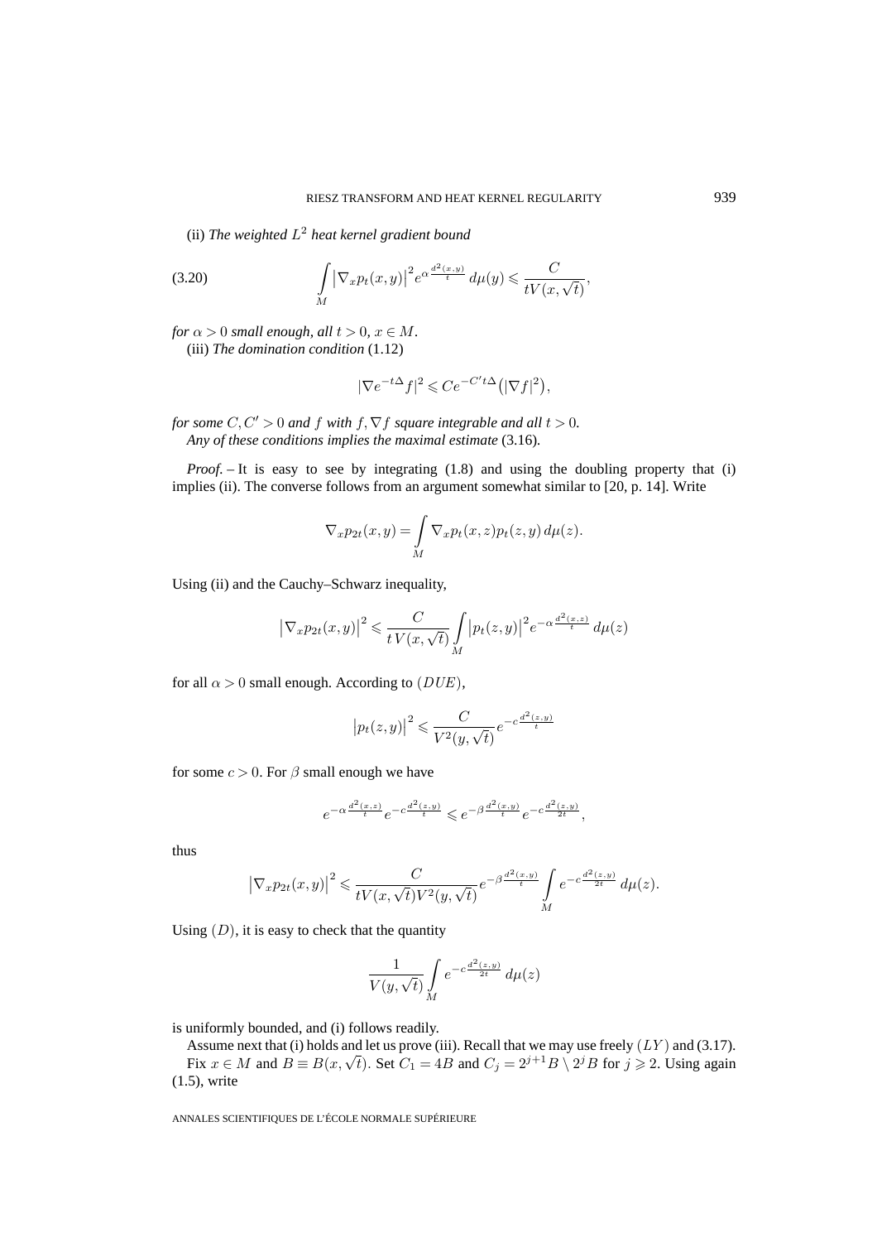(ii) *The weighted*  $L^2$  *heat kernel gradient bound* 

(3.20) 
$$
\int\limits_M |\nabla_x p_t(x,y)|^2 e^{\alpha \frac{d^2(x,y)}{t}} d\mu(y) \leqslant \frac{C}{tV(x,\sqrt{t})},
$$

*for*  $\alpha > 0$  *small enough, all*  $t > 0$ *,*  $x \in M$ *.* (iii) *The domination condition* (1.12)

$$
|\nabla e^{-t\Delta} f|^2 \leqslant Ce^{-C't\Delta} \big( |\nabla f|^2 \big),
$$

*for some*  $C, C' > 0$  *and*  $f$  *with*  $f, \nabla f$  *square integrable and all*  $t > 0$ *. Any of these conditions implies the maximal estimate* (3.16)*.*

*Proof.* – It is easy to see by integrating (1.8) and using the doubling property that (i) implies (ii). The converse follows from an argument somewhat similar to [20, p. 14]. Write

$$
\nabla_x p_{2t}(x,y) = \int\limits_M \nabla_x p_t(x,z) p_t(z,y) \, d\mu(z).
$$

Using (ii) and the Cauchy–Schwarz inequality,

$$
\left|\nabla_x p_{2t}(x,y)\right|^2 \leqslant \frac{C}{t\,V(x,\sqrt{t})} \int\limits_M \left|p_t(z,y)\right|^2 e^{-\alpha \frac{d^2(x,z)}{t}} \, d\mu(z)
$$

for all  $\alpha > 0$  small enough. According to  $(DUE)$ ,

$$
\left| p_t(z,y) \right|^2 \leqslant \frac{C}{V^2(y,\sqrt{t})} e^{-c \frac{d^2(z,y)}{t}}
$$

for some  $c > 0$ . For  $\beta$  small enough we have

$$
e^{-\alpha \frac{d^2(x,z)}{t}} e^{-c \frac{d^2(z,y)}{t}} \leqslant e^{-\beta \frac{d^2(x,y)}{t}} e^{-c \frac{d^2(z,y)}{2t}},
$$

thus

$$
\left|\nabla_x p_{2t}(x,y)\right|^2 \leqslant \frac{C}{tV(x,\sqrt{t})V^2(y,\sqrt{t})}e^{-\beta\frac{d^2(x,y)}{t}}\int\limits_{M}e^{-c\frac{d^2(z,y)}{2t}}\,d\mu(z).
$$

Using  $(D)$ , it is easy to check that the quantity

$$
\frac{1}{V(y,\sqrt{t})} \int\limits_M e^{-c \frac{d^2(z,y)}{2t}} \, d\mu(z)
$$

is uniformly bounded, and (i) follows readily.

Assume next that (i) holds and let us prove (iii). Recall that we may use freely  $(LY)$  and (3.17).

Fix  $x \in M$  and  $B \equiv B(x, \sqrt{t})$ . Set  $C_1 = 4B$  and  $C_j = 2^{j+1}B \setminus 2^jB$  for  $j \ge 2$ . Using again (1.5), write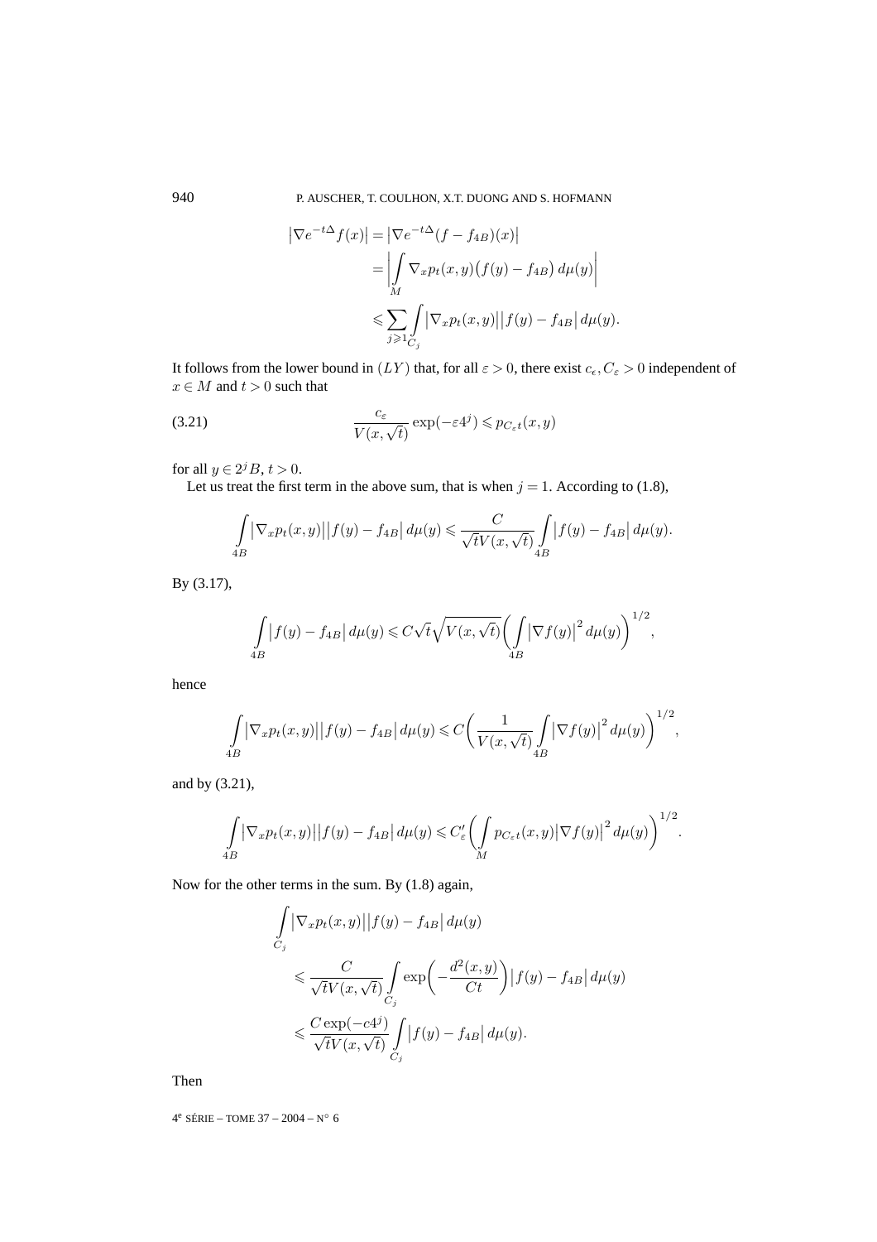$$
\left| \nabla e^{-t\Delta} f(x) \right| = \left| \nabla e^{-t\Delta} (f - f_{4B})(x) \right|
$$
  
\n
$$
= \left| \int_M \nabla_x p_t(x, y) (f(y) - f_{4B}) d\mu(y) \right|
$$
  
\n
$$
\leq \sum_{j \geqslant 1} \int_{C_j} \left| \nabla_x p_t(x, y) \right| |f(y) - f_{4B}| d\mu(y).
$$

It follows from the lower bound in  $(LY)$  that, for all  $\varepsilon > 0$ , there exist  $c_{\epsilon}, C_{\varepsilon} > 0$  independent of  $x \in M$  and  $t > 0$  such that

(3.21) 
$$
\frac{c_{\varepsilon}}{V(x,\sqrt{t})} \exp(-\varepsilon 4^j) \leqslant p_{C_{\varepsilon}t}(x,y)
$$

for all  $y \in 2^{j}B$ ,  $t > 0$ .

Let us treat the first term in the above sum, that is when  $j = 1$ . According to (1.8),

$$
\int_{4B} \left| \nabla_x p_t(x, y) \right| |f(y) - f_{4B}| \, d\mu(y) \leq \frac{C}{\sqrt{t} V(x, \sqrt{t})} \int_{4B} \left| f(y) - f_{4B} \right| d\mu(y).
$$

By (3.17),

$$
\int_{4B} \left| f(y) - f_{4B} \right| d\mu(y) \leqslant C\sqrt{t} \sqrt{V(x, \sqrt{t})} \left( \int_{4B} \left| \nabla f(y) \right|^2 d\mu(y) \right)^{1/2},
$$

hence

$$
\int_{4B} \left| \nabla_x p_t(x, y) \right| |f(y) - f_{4B}| \, d\mu(y) \leq C \left( \frac{1}{V(x, \sqrt{t})} \int_{4B} \left| \nabla f(y) \right|^2 d\mu(y) \right)^{1/2},
$$

and by (3.21),

$$
\int_{4B} \left| \nabla_x p_t(x, y) \right| |f(y) - f_{4B}| \, d\mu(y) \leq C'_{\varepsilon} \left( \int_M p_{C_{\varepsilon}t}(x, y) \left| \nabla f(y) \right|^2 d\mu(y) \right)^{1/2}.
$$

Now for the other terms in the sum. By (1.8) again,

$$
\int_{C_j} \left| \nabla_x p_t(x, y) \right| |f(y) - f_{4B}| d\mu(y)
$$
\n
$$
\leq \frac{C}{\sqrt{t}V(x, \sqrt{t})} \int_{C_j} \exp\left(-\frac{d^2(x, y)}{Ct}\right) |f(y) - f_{4B}| d\mu(y)
$$
\n
$$
\leq \frac{C \exp(-c4^j)}{\sqrt{t}V(x, \sqrt{t})} \int_{C_j} |f(y) - f_{4B}| d\mu(y).
$$

Then

4<sup>e</sup> SÉRIE – TOME 37 – 2004 – N° 6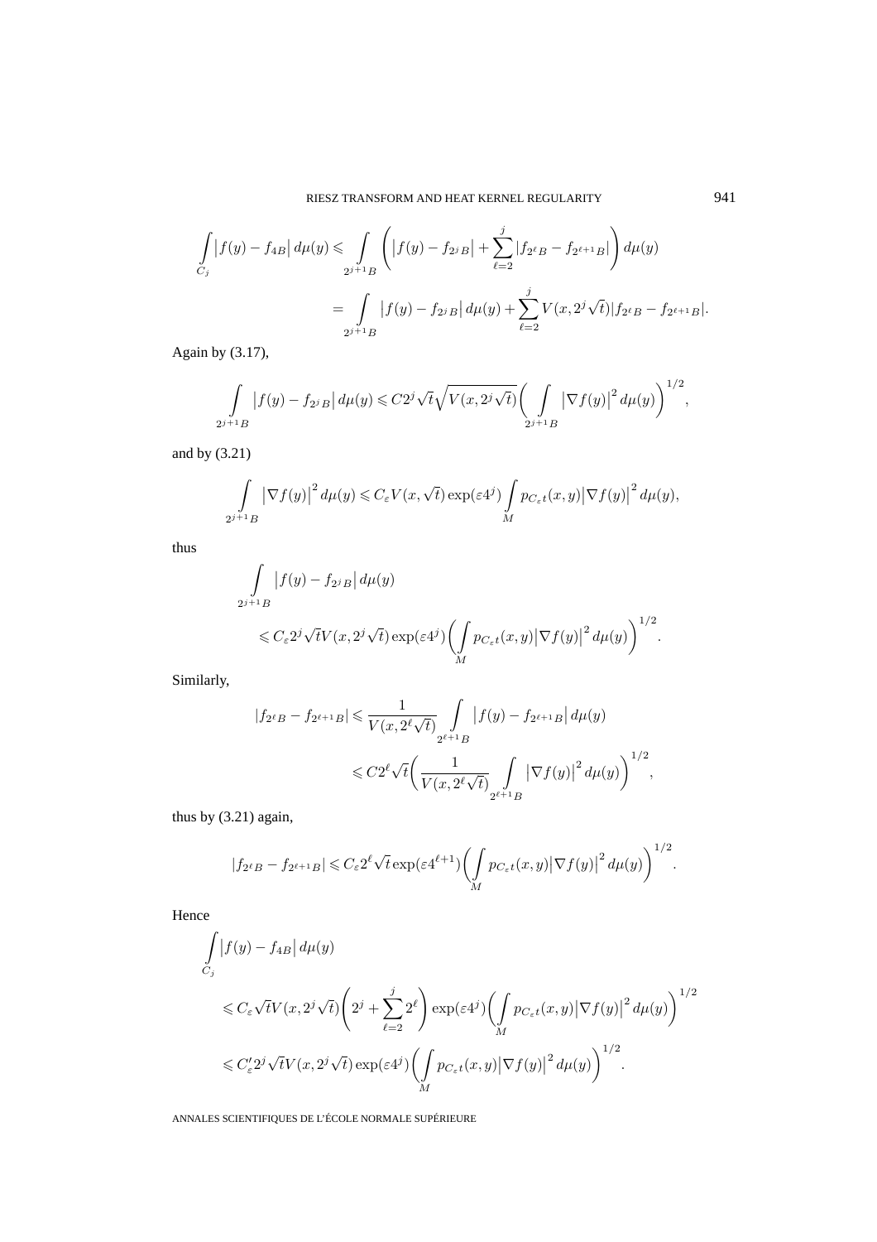$$
\int_{C_j} |f(y) - f_{4B}| d\mu(y) \le \int_{2^{j+1}B} \left( |f(y) - f_{2^{j}B}| + \sum_{\ell=2}^j |f_{2^{\ell}B} - f_{2^{\ell+1}B}|\right) d\mu(y)
$$
  
= 
$$
\int_{2^{j+1}B} |f(y) - f_{2^{j}B}| d\mu(y) + \sum_{\ell=2}^j V(x, 2^j \sqrt{t}) |f_{2^{\ell}B} - f_{2^{\ell+1}B}|.
$$

Again by (3.17),

$$
\int_{2^{j+1}B} |f(y) - f_{2^{j}B}| d\mu(y) \leq C2^{j} \sqrt{t} \sqrt{V(x, 2^{j}\sqrt{t})} \left(\int_{2^{j+1}B} |\nabla f(y)|^{2} d\mu(y)\right)^{1/2},
$$

and by (3.21)

$$
\int_{2^{j+1}B} |\nabla f(y)|^2 d\mu(y) \leq C_{\varepsilon} V(x,\sqrt{t}) \exp(\varepsilon 4^j) \int_{M} p_{C_{\varepsilon}t}(x,y) |\nabla f(y)|^2 d\mu(y),
$$

thus

$$
\int_{2^{j+1}B} |f(y) - f_{2^jB}| d\mu(y)
$$
  
\n
$$
\leq C_{\varepsilon} 2^j \sqrt{t} V(x, 2^j \sqrt{t}) \exp(\varepsilon 4^j) \left( \int_M p_{C_{\varepsilon}t}(x, y) |\nabla f(y)|^2 d\mu(y) \right)^{1/2}.
$$

Similarly,

$$
|f_{2^{\ell}B} - f_{2^{\ell+1}B}| \leq \frac{1}{V(x, 2^{\ell}\sqrt{t})} \int_{2^{\ell+1}B} |f(y) - f_{2^{\ell+1}B}| d\mu(y)
$$
  

$$
\leq C2^{\ell} \sqrt{t} \left( \frac{1}{V(x, 2^{\ell}\sqrt{t})} \int_{2^{\ell+1}B} |\nabla f(y)|^{2} d\mu(y) \right)^{1/2},
$$

thus by (3.21) again,

$$
|f_{2^{\ell}B} - f_{2^{\ell+1}B}| \leqslant C_{\varepsilon} 2^{\ell} \sqrt{t} \exp(\varepsilon 4^{\ell+1}) \left( \int_M p_{C_{\varepsilon}t}(x, y) |\nabla f(y)|^2 d\mu(y) \right)^{1/2}.
$$

Hence

$$
\begin{split} & \int\limits_{C_j} \left| f(y) - f_{4B} \right| d\mu(y) \\ & \quad \leqslant C_\varepsilon \sqrt{t} V(x, 2^j \sqrt{t}) \left( 2^j + \sum_{\ell=2}^j 2^\ell \right) \exp(\varepsilon 4^j) \biggl( \int\limits_M p_{C_\varepsilon t}(x, y) \left| \nabla f(y) \right|^2 d\mu(y) \biggr)^{1/2} \\ & \quad \leqslant C'_\varepsilon 2^j \sqrt{t} V(x, 2^j \sqrt{t}) \exp(\varepsilon 4^j) \biggl( \int\limits_M p_{C_\varepsilon t}(x, y) \left| \nabla f(y) \right|^2 d\mu(y) \biggr)^{1/2}. \end{split}
$$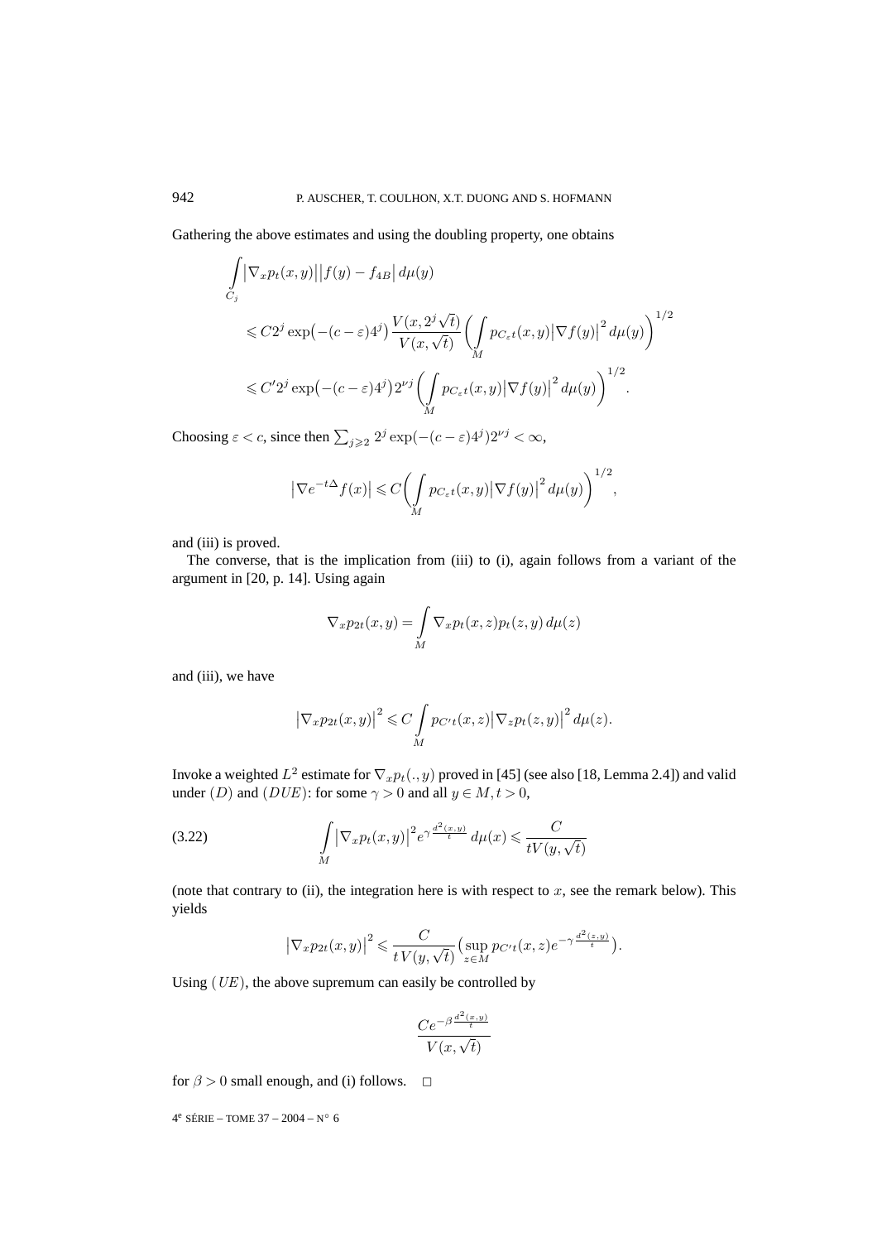Gathering the above estimates and using the doubling property, one obtains

$$
\int_{C_j} \left| \nabla_x p_t(x, y) \right| |f(y) - f_{4B}| d\mu(y)
$$
\n
$$
\leq C2^j \exp(-(c - \varepsilon)4^j) \frac{V(x, 2^j \sqrt{t})}{V(x, \sqrt{t})} \left( \int_M p_{C_{\varepsilon}t}(x, y) \left| \nabla f(y) \right|^2 d\mu(y) \right)^{1/2}
$$
\n
$$
\leq C' 2^j \exp(-(c - \varepsilon)4^j) 2^{\nu j} \left( \int_M p_{C_{\varepsilon}t}(x, y) \left| \nabla f(y) \right|^2 d\mu(y) \right)^{1/2}.
$$

Choosing  $\varepsilon < c$ , since then  $\sum_{j \geqslant 2} 2^j \exp(-(c - \varepsilon) 4^j) 2^{\nu j} < \infty$ ,

$$
\left|\nabla e^{-t\Delta}f(x)\right| \leqslant C\left(\int\limits_{M}p_{C_{\varepsilon}t}(x,y)\big|\nabla f(y)\big|^2\,d\mu(y)\right)^{1/2},
$$

and (iii) is proved.

The converse, that is the implication from (iii) to (i), again follows from a variant of the argument in [20, p. 14]. Using again

$$
\nabla_x p_{2t}(x, y) = \int\limits_M \nabla_x p_t(x, z) p_t(z, y) d\mu(z)
$$

and (iii), we have

$$
\left|\nabla_x p_{2t}(x,y)\right|^2 \leqslant C \int\limits_M p_{C't}(x,z) \left|\nabla_z p_t(z,y)\right|^2 d\mu(z).
$$

Invoke a weighted  $L^2$  estimate for  $\nabla_x p_t(.,y)$  proved in [45] (see also [18, Lemma 2.4]) and valid under (D) and ( $DUE$ ): for some  $\gamma > 0$  and all  $y \in M, t > 0$ ,

(3.22) 
$$
\int\limits_M |\nabla_x p_t(x,y)|^2 e^{\gamma \frac{d^2(x,y)}{t}} d\mu(x) \leqslant \frac{C}{tV(y,\sqrt{t})}
$$

(note that contrary to  $(ii)$ , the integration here is with respect to  $x$ , see the remark below). This yields

$$
\left|\nabla_x p_{2t}(x,y)\right|^2 \leq \frac{C}{t\,V(y,\sqrt{t})} \left(\sup_{z\in M} p_{C't}(x,z)e^{-\gamma\frac{d^2(z,y)}{t}}\right).
$$

Using  $(UE)$ , the above supremum can easily be controlled by

$$
\frac{Ce^{-\beta \frac{d^2(x,y)}{t}}}{V(x,\sqrt{t})}
$$

for  $\beta > 0$  small enough, and (i) follows.  $\Box$ 

4<sup>e</sup> SÉRIE – TOME 37 – 2004 – N° 6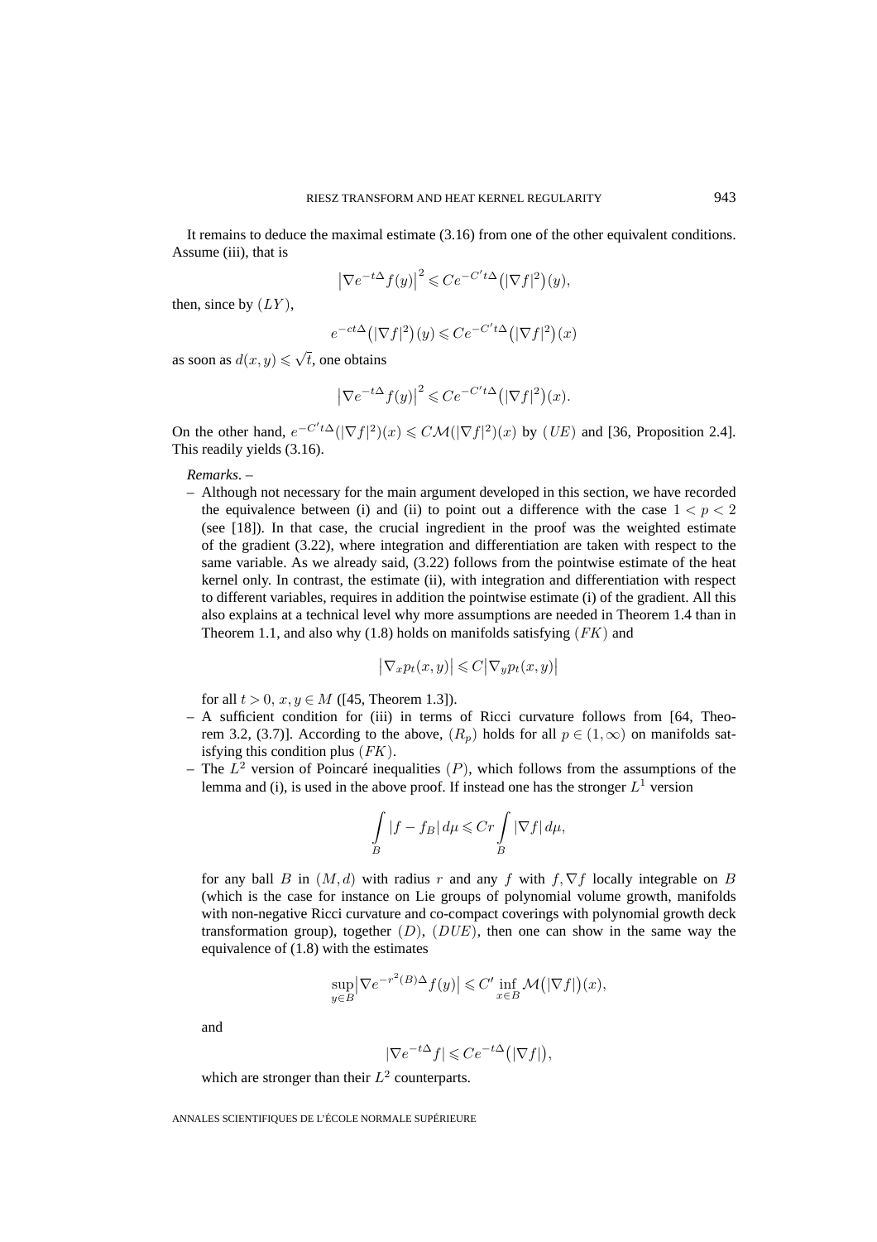It remains to deduce the maximal estimate (3.16) from one of the other equivalent conditions. Assume (iii), that is

$$
\left|\nabla e^{-t\Delta}f(y)\right|^2 \leqslant Ce^{-C't\Delta}\big(\left|\nabla f\right|^2\big)(y),
$$

then, since by  $(LY)$ ,

$$
e^{-ct\Delta}(|\nabla f|^2)(y) \leqslant Ce^{-C't\Delta}(|\nabla f|^2)(x)
$$

as soon as  $d(x, y) \leq \sqrt{t}$ , one obtains

$$
\left|\nabla e^{-t\Delta}f(y)\right|^2 \leqslant Ce^{-C't\Delta}\big(\left|\nabla f\right|^2\big)(x).
$$

On the other hand,  $e^{-C't\Delta}(|\nabla f|^2)(x) \leq C\mathcal{M}(|\nabla f|^2)(x)$  by  $(UE)$  and [36, Proposition 2.4]. This readily yields (3.16).

*Remarks*. –

– Although not necessary for the main argument developed in this section, we have recorded the equivalence between (i) and (ii) to point out a difference with the case  $1 < p < 2$ (see [18]). In that case, the crucial ingredient in the proof was the weighted estimate of the gradient (3.22), where integration and differentiation are taken with respect to the same variable. As we already said, (3.22) follows from the pointwise estimate of the heat kernel only. In contrast, the estimate (ii), with integration and differentiation with respect to different variables, requires in addition the pointwise estimate (i) of the gradient. All this also explains at a technical level why more assumptions are needed in Theorem 1.4 than in Theorem 1.1, and also why (1.8) holds on manifolds satisfying  $(FK)$  and

$$
\big|\nabla_x p_t(x,y)\big|\leqslant C\big|\nabla_y p_t(x,y)\big|
$$

for all  $t > 0$ ,  $x, y \in M$  ([45, Theorem 1.3]).

- A sufficient condition for (iii) in terms of Ricci curvature follows from [64, Theorem 3.2, (3.7)]. According to the above,  $(R_p)$  holds for all  $p \in (1,\infty)$  on manifolds satisfying this condition plus (FK).
- The  $L^2$  version of Poincaré inequalities (P), which follows from the assumptions of the lemma and (i), is used in the above proof. If instead one has the stronger  $L^1$  version

$$
\int\limits_B|f-f_B|\,d\mu\leqslant Cr\int\limits_B|\nabla f|\,d\mu,
$$

for any ball B in  $(M, d)$  with radius r and any f with f,  $\nabla f$  locally integrable on B (which is the case for instance on Lie groups of polynomial volume growth, manifolds with non-negative Ricci curvature and co-compact coverings with polynomial growth deck transformation group), together  $(D)$ ,  $(DUE)$ , then one can show in the same way the equivalence of (1.8) with the estimates

$$
\sup_{y \in B} \left| \nabla e^{-r^2(B)\Delta} f(y) \right| \leq C' \inf_{x \in B} \mathcal{M}(|\nabla f|)(x),
$$

and

$$
|\nabla e^{-t\Delta} f| \leqslant Ce^{-t\Delta} \big( |\nabla f| \big),
$$

which are stronger than their  $L^2$  counterparts.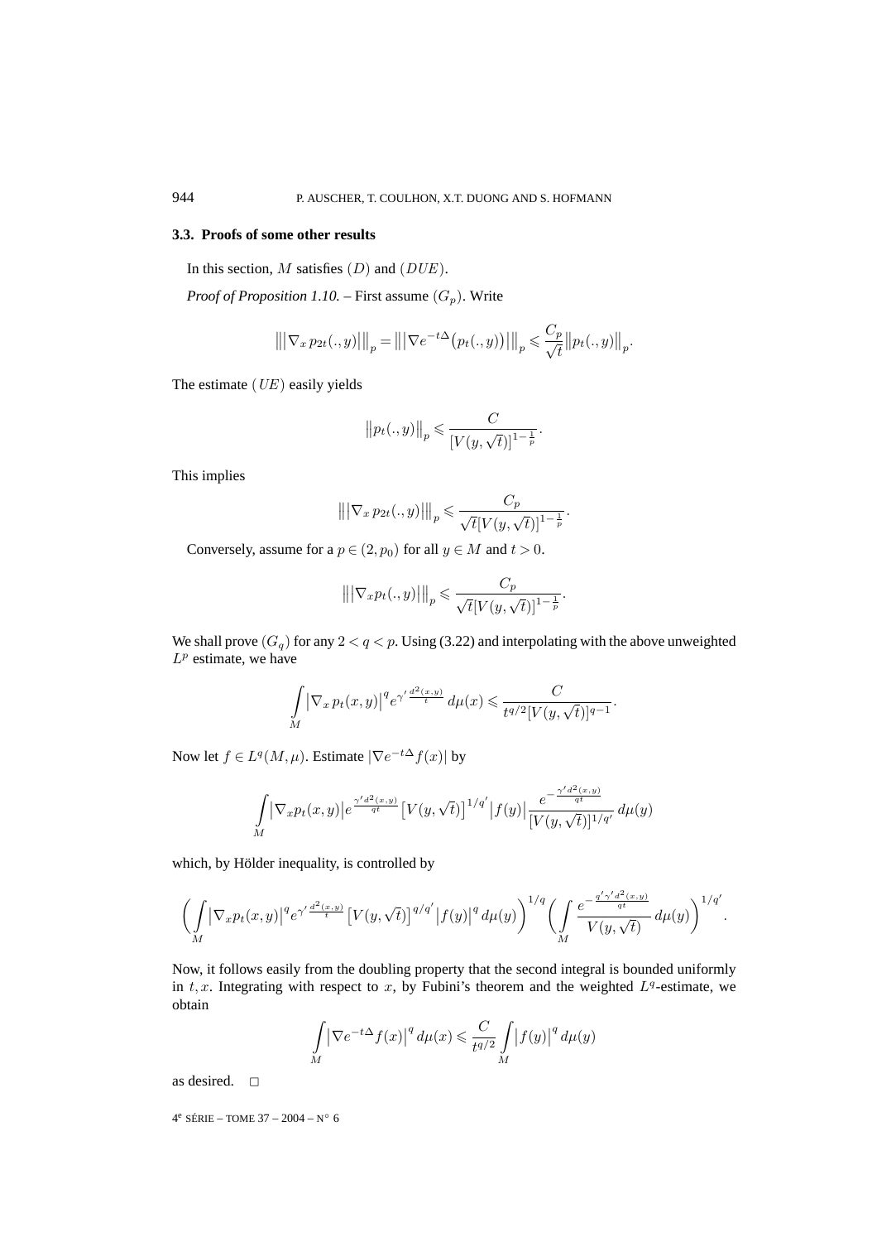# **3.3. Proofs of some other results**

In this section,  $M$  satisfies  $(D)$  and  $(DUE)$ .

*Proof of Proposition 1.10.* – First assume  $(G_p)$ . Write

$$
\left\| |\nabla_x p_{2t}(.,y)| \right\|_p = \left\| |\nabla e^{-t\Delta} (p_t(.,y))| \right\|_p \leq \frac{C_p}{\sqrt{t}} \left\| p_t(.,y) \right\|_p.
$$

The estimate  $(UE)$  easily yields

$$
\big\| p_t(.,y) \big\|_p \leqslant \frac{C}{[V(y,\sqrt{t})]^{1-\frac{1}{p}}}.
$$

This implies

$$
\left\| |\nabla_x p_{2t}(.,y)| \right\|_p \leq \frac{C_p}{\sqrt{t} [V(y,\sqrt{t})]^{1-\frac{1}{p}}}.
$$

Conversely, assume for a  $p \in (2, p_0)$  for all  $y \in M$  and  $t > 0$ .

$$
\left\| |\nabla_x p_t(.,y)| \right\|_p \leqslant \frac{C_p}{\sqrt{t} [V(y,\sqrt{t})]^{1-\frac{1}{p}}}.
$$

We shall prove  $(G_q)$  for any  $2 < q < p$ . Using (3.22) and interpolating with the above unweighted  $L^p$  estimate, we have

$$
\int\limits_{M} \big|\nabla_x\, p_t(x,y)\big|^q e^{\gamma' \frac{d^2(x,y)}{t}} \, d\mu(x) \leqslant \frac{C}{t^{q/2} [V(y,\sqrt{t})]^{q-1}}.
$$

Now let  $f \in L^q(M,\mu)$ . Estimate  $|\nabla e^{-t\Delta} f(x)|$  by

$$
\int_{M} \left| \nabla_{x} p_{t}(x, y) \right| e^{\frac{\gamma' d^{2}(x, y)}{qt}} \left[ V(y, \sqrt{t}) \right]^{1/q'} \left| f(y) \right| \frac{e^{-\frac{\gamma' d^{2}(x, y)}{qt}}}{[V(y, \sqrt{t})]^{1/q'}} d\mu(y)
$$

which, by Hölder inequality, is controlled by

$$
\bigg(\int\limits_M |\nabla_x p_t(x,y)|^q e^{\gamma' \frac{d^2(x,y)}{t}} \big[V(y,\sqrt{t})\big]^{q/q'} \big|f(y)\big|^q\,d\mu(y)\bigg)^{1/q'}\bigg(\int\limits_M \frac{e^{-\frac{q'\gamma' d^2(x,y)}{qt}}}{V(y,\sqrt{t})}\,d\mu(y)\bigg)^{1/q'}.
$$

Now, it follows easily from the doubling property that the second integral is bounded uniformly in t, x. Integrating with respect to x, by Fubini's theorem and the weighted  $L<sup>q</sup>$ -estimate, we obtain

$$
\int_{M} \left| \nabla e^{-t\Delta} f(x) \right|^{q} d\mu(x) \leqslant \frac{C}{t^{q/2}} \int_{M} \left| f(y) \right|^{q} d\mu(y)
$$

as desired.  $\square$ 

4e SÉRIE – TOME 37 – 2004 – N◦ 6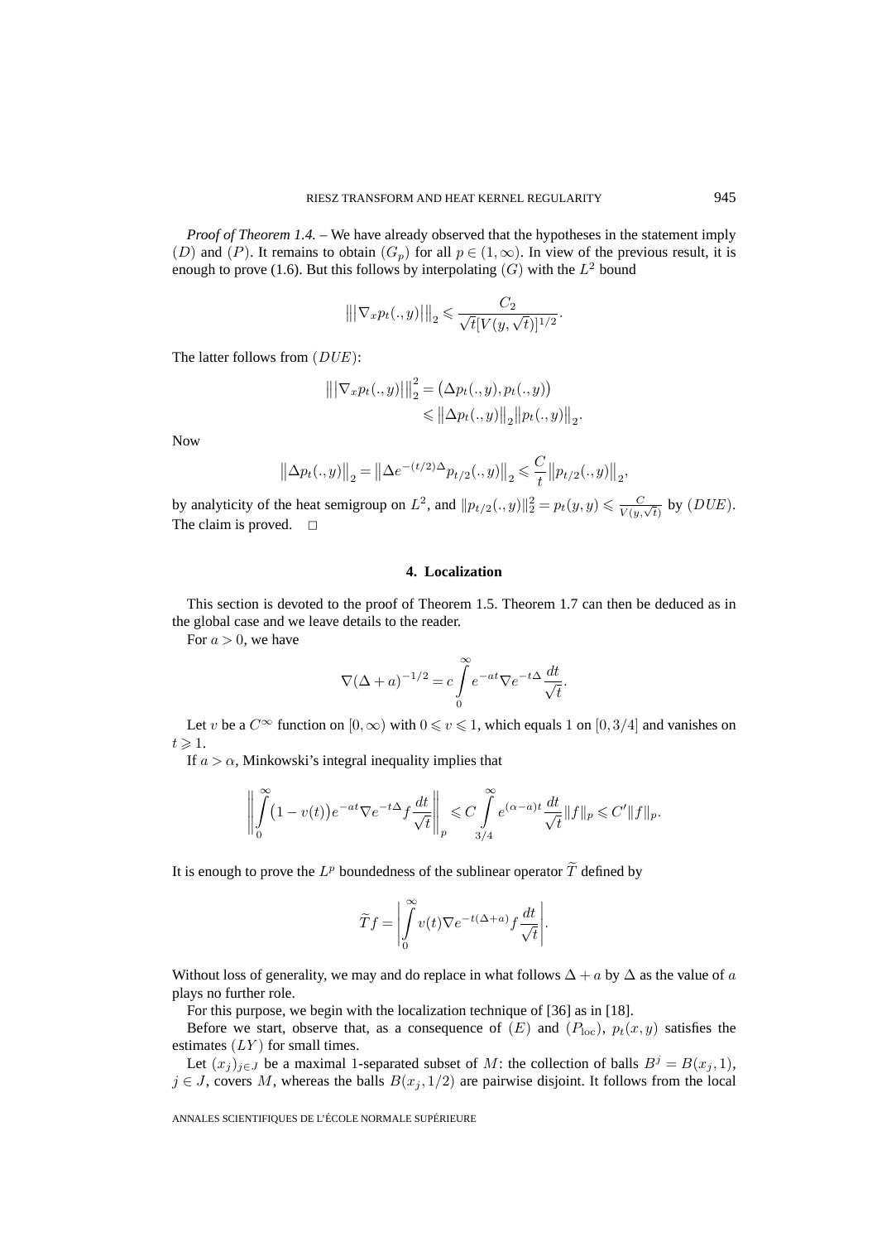*Proof of Theorem 1.4.* – We have already observed that the hypotheses in the statement imply (D) and (P). It remains to obtain  $(G_p)$  for all  $p \in (1,\infty)$ . In view of the previous result, it is enough to prove (1.6). But this follows by interpolating  $(G)$  with the  $L^2$  bound

$$
\left\| |\nabla_x p_t(.,y)| \right\|_2 \leq \frac{C_2}{\sqrt{t} [V(y,\sqrt{t})]^{1/2}}.
$$

The latter follows from  $(DUE)$ :

$$
\|\nabla_x p_t(.,y)\|_2^2 = (\Delta p_t(.,y), p_t(.,y))
$$
  
\$\leq \|\Delta p\_t(.,y)\|\_2 \|p\_t(.,y)\|\_2\$.

Now

$$
\left\|\Delta p_t(.,y)\right\|_2 = \left\|\Delta e^{-(t/2)\Delta} p_{t/2}(.,y)\right\|_2 \leq \frac{C}{t} \left\|p_{t/2}(.,y)\right\|_2,
$$

by analyticity of the heat semigroup on  $L^2$ , and  $||p_{t/2}(., y)||_2^2 = p_t(y, y) \le \frac{C}{V(y, \sqrt{t})}$  by  $(DUE)$ . The claim is proved.  $\square$ 

# **4. Localization**

This section is devoted to the proof of Theorem 1.5. Theorem 1.7 can then be deduced as in the global case and we leave details to the reader.

For  $a > 0$ , we have

$$
\nabla (\Delta + a)^{-1/2} = c \int_{0}^{\infty} e^{-at} \nabla e^{-t\Delta} \frac{dt}{\sqrt{t}}.
$$

Let v be a  $C^{\infty}$  function on  $[0,\infty)$  with  $0 \le v \le 1$ , which equals 1 on  $[0,3/4]$  and vanishes on  $t \geqslant 1$ .

If  $a > \alpha$ , Minkowski's integral inequality implies that

$$
\left\| \int_{0}^{\infty} (1 - v(t)) e^{-at} \nabla e^{-t\Delta} f \frac{dt}{\sqrt{t}} \right\|_{p} \leq C \int_{3/4}^{\infty} e^{(\alpha - a)t} \frac{dt}{\sqrt{t}} \|f\|_{p} \leq C' \|f\|_{p}.
$$

It is enough to prove the  $L^p$  boundedness of the sublinear operator  $\widetilde{T}$  defined by

$$
\widetilde Tf=\left|\int\limits_0^\infty v(t)\nabla e^{-t(\Delta+a)}f\frac{dt}{\sqrt t}\right|.
$$

Without loss of generality, we may and do replace in what follows  $\Delta + a$  by  $\Delta$  as the value of a plays no further role.

For this purpose, we begin with the localization technique of [36] as in [18].

Before we start, observe that, as a consequence of  $(E)$  and  $(P_{loc}), p_t(x, y)$  satisfies the estimates  $(LY)$  for small times.

Let  $(x_j)_{j\in J}$  be a maximal 1-separated subset of M: the collection of balls  $B^j = B(x_j, 1)$ ,  $j \in J$ , covers M, whereas the balls  $B(x_j, 1/2)$  are pairwise disjoint. It follows from the local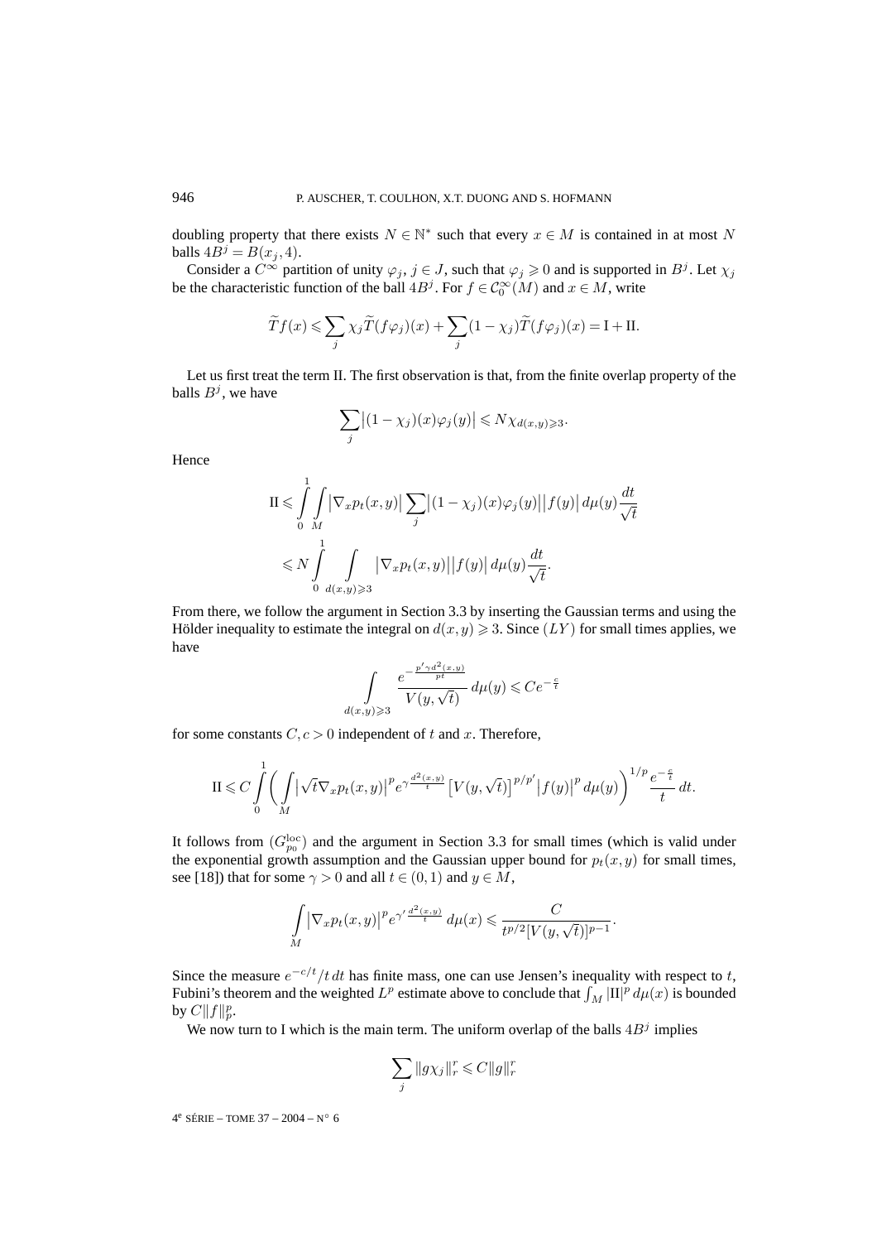doubling property that there exists  $N \in \mathbb{N}^*$  such that every  $x \in M$  is contained in at most N balls  $4B^j = B(x_j, 4)$ .

Consider a  $C^{\infty}$  partition of unity  $\varphi_j$ ,  $j \in J$ , such that  $\varphi_j \geq 0$  and is supported in  $B^j$ . Let  $\chi_j$ be the characteristic function of the ball  $4B^j$ . For  $f \in C_0^{\infty}(M)$  and  $x \in M$ , write

$$
\widetilde{T}f(x) \leqslant \sum_{j} \chi_{j} \widetilde{T}(f\varphi_{j})(x) + \sum_{j} (1 - \chi_{j}) \widetilde{T}(f\varphi_{j})(x) = I + II.
$$

Let us first treat the term II. The first observation is that, from the finite overlap property of the balls  $B^j$ , we have

$$
\sum_{j} \left| (1 - \chi_j)(x) \varphi_j(y) \right| \leq N \chi_{d(x,y) \geq 3}.
$$

Hence

$$
\Pi \leqslant \int_{0}^{1} \int_{M} \left| \nabla_{x} p_{t}(x, y) \right| \sum_{j} \left| (1 - \chi_{j})(x) \varphi_{j}(y) \right| \left| f(y) \right| d\mu(y) \frac{dt}{\sqrt{t}}
$$
  

$$
\leqslant N \int_{0}^{1} \int_{d(x, y) \geqslant 3} \left| \nabla_{x} p_{t}(x, y) \right| \left| f(y) \right| d\mu(y) \frac{dt}{\sqrt{t}}.
$$

From there, we follow the argument in Section 3.3 by inserting the Gaussian terms and using the Hölder inequality to estimate the integral on  $d(x, y) \ge 3$ . Since  $(LY)$  for small times applies, we have

$$
\int\limits_{d(x,y)\geqslant 3}\frac{e^{-\frac{p'\gamma d^2(x,y)}{pt}}}{V(y,\sqrt{t})}\,d\mu(y)\leqslant Ce^{-\frac{c}{t}}
$$

for some constants  $C, c > 0$  independent of t and x. Therefore,

$$
\mathrm{II} \leqslant C \int\limits_{0}^{1} \bigg( \int\limits_{M} \big| \sqrt{t} \nabla_x p_t(x,y) \big|^p e^{\gamma \frac{d^2(x,y)}{t}} \big[ V(y,\sqrt{t}) \big]^{p/p'} \big| f(y) \big|^p \, d\mu(y) \bigg)^{1/p} \frac{e^{-\frac{c}{t}}}{t} \, dt.
$$

It follows from  $(G_{p_0}^{\text{loc}})$  and the argument in Section 3.3 for small times (which is valid under the exponential growth assumption and the Gaussian upper bound for  $p_t(x, y)$  for small times, see [18]) that for some  $\gamma > 0$  and all  $t \in (0, 1)$  and  $y \in M$ ,

$$
\int\limits_M \left|\nabla_x p_t(x,y)\right|^p e^{\gamma' \frac{d^2(x,y)}{t}} \, d\mu(x) \leqslant \frac{C}{t^{p/2} [V(y,\sqrt{t})]^{p-1}}.
$$

Since the measure  $e^{-c/t}/t dt$  has finite mass, one can use Jensen's inequality with respect to t, Fubini's theorem and the weighted  $L^p$  estimate above to conclude that  $\int_M |\Pi|^p d\mu(x)$  is bounded by  $C||f||_p^p$ .

We now turn to I which is the main term. The uniform overlap of the balls  $4B<sup>j</sup>$  implies

$$
\sum_{j} \|g\chi_j\|_r^r \leqslant C \|g\|_r^r
$$

 $4^e$  SÉRIE – TOME 37 – 2004 – N° 6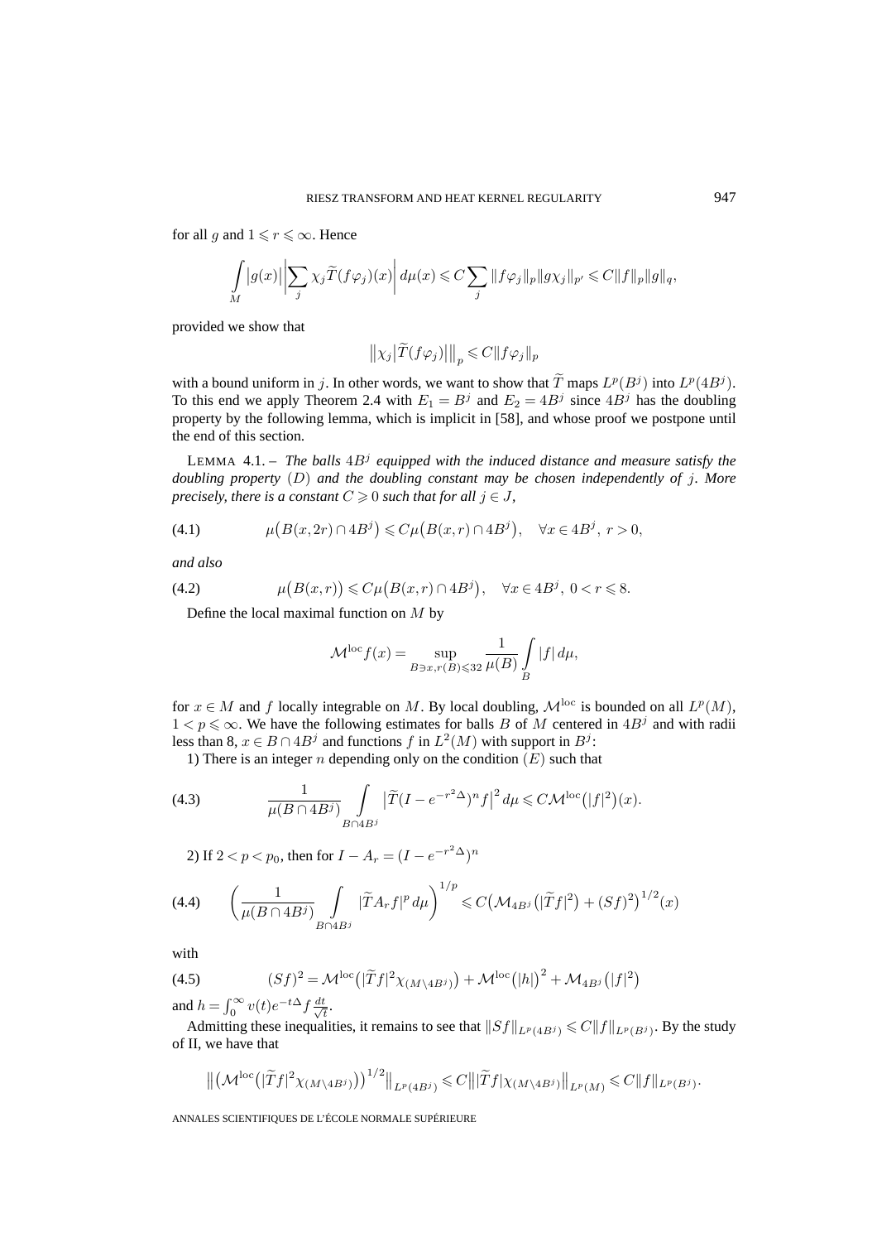for all g and  $1 \leq r \leq \infty$ . Hence

$$
\int\limits_M|g(x)|\left|\sum_j\chi_j\widetilde{T}(f\varphi_j)(x)\right|d\mu(x)\leqslant C\sum_j\|f\varphi_j\|_p\|g\chi_j\|_{p'}\leqslant C\|f\|_p\|g\|_q,
$$

provided we show that

$$
\left\|\chi_j\big|\widetilde{T}(f\varphi_j)\big|\right\|_p \leqslant C \|f\varphi_j\|_p
$$

with a bound uniform in j. In other words, we want to show that  $\widetilde{T}$  maps  $L^p(B^j)$  into  $L^p(4B^j)$ . To this end we apply Theorem 2.4 with  $E_1 = B^j$  and  $E_2 = 4B^j$  since  $4B^j$  has the doubling property by the following lemma, which is implicit in [58], and whose proof we postpone until the end of this section.

LEMMA 4.1. – *The balls*  $4B^j$  *equipped with the induced distance and measure satisfy the doubling property* (D) *and the doubling constant may be chosen independently of* j*. More precisely, there is a constant*  $C \geqslant 0$  *such that for all*  $j \in J$ *,* 

(4.1) 
$$
\mu\big(B(x,2r)\cap 4B^j\big)\leqslant C\mu\big(B(x,r)\cap 4B^j\big), \quad \forall x\in 4B^j,\ r>0,
$$

*and also*

(4.2) 
$$
\mu\big(B(x,r)\big) \leqslant C\mu\big(B(x,r)\cap 4B^j\big), \quad \forall x\in 4B^j, \ 0
$$

Define the local maximal function on  $M$  by

$$
\mathcal{M}^{\text{loc}} f(x) = \sup_{B \ni x, r(B) \leq 32} \frac{1}{\mu(B)} \int_{B} |f| \, d\mu,
$$

for  $x \in M$  and f locally integrable on M. By local doubling,  $\mathcal{M}^{loc}$  is bounded on all  $L^p(M)$ ,  $1 < p \leq \infty$ . We have the following estimates for balls B of M centered in  $4B^j$  and with radii less than 8,  $x \in B \cap 4B^j$  and functions f in  $L^2(M)$  with support in  $B^j$ :

1) There is an integer n depending only on the condition  $(E)$  such that

(4.3) 
$$
\frac{1}{\mu(B \cap 4B^j)} \int\limits_{B \cap 4B^j} \left| \widetilde{T} (I - e^{-r^2 \Delta})^n f \right|^2 d\mu \leq C \mathcal{M}^{\text{loc}}(|f|^2)(x).
$$

2) If  $2 < p < p_0$ , then for  $I - A_r = (I - e^{-r^2\Delta})^n$ 

$$
(4.4)\qquad \left(\frac{1}{\mu(B\cap 4B^j)}\int\limits_{B\cap 4B^j}|\widetilde{T}A_rf|^p\,d\mu\right)^{1/p}\leqslant C\left(\mathcal{M}_{4B^j}\left(|\widetilde{T}f|^2\right)+(Sf)^2\right)^{1/2}(x)
$$

with

(4.5) 
$$
(Sf)^2 = \mathcal{M}^{\text{loc}}\big(|\widetilde{T}f|^2 \chi_{(M\setminus 4B^j)}\big) + \mathcal{M}^{\text{loc}}\big(|h|\big)^2 + \mathcal{M}_{4B^j}\big(|f|^2\big)
$$

and  $h = \int_0^\infty v(t)e^{-t\Delta} f \frac{dt}{\sqrt{t}}$  $\frac{t}{t}$ .

Admitting these inequalities, it remains to see that  $||Sf||_{L^p(4B^j)} \leq C||f||_{L^p(B^j)}$ . By the study of II, we have that

$$
\left\| \left( \mathcal{M}^{\text{loc}} \left( |\widetilde{T} f|^{2} \chi(M \setminus 4 B^{j}) \right) \right)^{1/2} \right\|_{L^{p}(4 B^{j})} \leq C \left\| |\widetilde{T} f| \chi(M \setminus 4 B^{j}) \right\|_{L^{p}(M)} \leq C \|f\|_{L^{p}(B^{j})}.
$$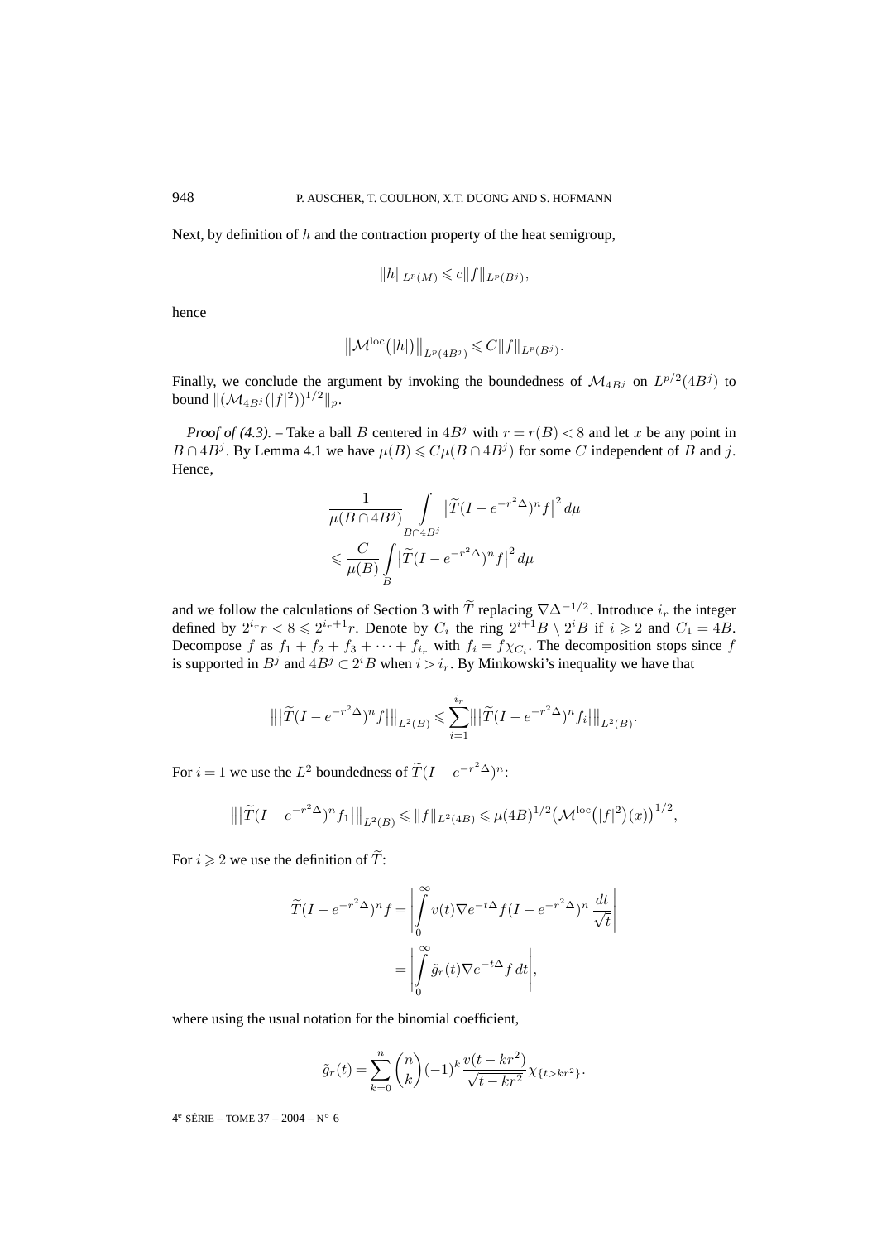Next, by definition of  $h$  and the contraction property of the heat semigroup,

$$
||h||_{L^p(M)} \leq c||f||_{L^p(B^j)},
$$

hence

$$
\left\|\mathcal{M}^{\text{loc}}\bigl(|h|\bigr)\right\|_{L^p(4B^j)} \leqslant C \|f\|_{L^p(B^j)}.
$$

Finally, we conclude the argument by invoking the boundedness of  $\mathcal{M}_{4Bj}$  on  $L^{p/2}(4B^j)$  to bound  $\|(\mathcal{M}_{4B^j}(|f|^2))^{1/2}\|_p.$ 

*Proof of (4.3).* – Take a ball B centered in  $4B^j$  with  $r = r(B) < 8$  and let x be any point in  $B \cap 4B^j$ . By Lemma 4.1 we have  $\mu(B) \leq C \mu(B \cap 4B^j)$  for some C independent of B and j. Hence,

$$
\frac{1}{\mu(B\cap 4B^j)}\int\limits_{B\cap 4B^j} \left|\tilde T(I - e^{-r^2\Delta})^n f\right|^2 d\mu
$$
\n
$$
\leqslant \frac{C}{\mu(B)}\int\limits_{B} \left|\tilde T(I - e^{-r^2\Delta})^n f\right|^2 d\mu
$$

and we follow the calculations of Section 3 with  $\widetilde{T}$  replacing  $\nabla \Delta^{-1/2}$ . Introduce  $i_r$  the integer defined by  $2^{i_r}r < 8 \leq 2^{i_r+1}r$ . Denote by  $C_i$  the ring  $2^{i+1}B \setminus 2^iB$  if  $i \geq 2$  and  $C_1 = 4B$ . Decompose f as  $f_1 + f_2 + f_3 + \cdots + f_{i_r}$  with  $f_i = f \chi_{C_i}$ . The decomposition stops since f is supported in  $B^j$  and  $4B^j \subset 2^iB$  when  $i>i_r$ . By Minkowski's inequality we have that

$$
\left\| \left| \tilde{T} (I - e^{-r^2 \Delta})^n f \right| \right\|_{L^2(B)} \leqslant \sum_{i=1}^{i_r} \left\| \left| \tilde{T} (I - e^{-r^2 \Delta})^n f_i \right| \right\|_{L^2(B)}
$$

.

For  $i = 1$  we use the  $L^2$  boundedness of  $\widetilde{T}(I - e^{-r^2\Delta})^n$ :

$$
\left\| \left| \widetilde{T} (I - e^{-r^2 \Delta})^n f_1 \right| \right\|_{L^2(B)} \leqslant \| f \|_{L^2(4B)} \leqslant \mu(4B)^{1/2} \left( \mathcal{M}^{\rm loc} \left( |f|^2 \right) (x) \right)^{1/2},
$$

For  $i \geqslant 2$  we use the definition of T:

$$
\widetilde{T}(I - e^{-r^2\Delta})^n f = \left| \int_0^\infty v(t) \nabla e^{-t\Delta} f(I - e^{-r^2\Delta})^n \frac{dt}{\sqrt{t}} \right|
$$

$$
= \left| \int_0^\infty \widetilde{g}_r(t) \nabla e^{-t\Delta} f dt \right|,
$$

where using the usual notation for the binomial coefficient,

$$
\tilde{g}_r(t) = \sum_{k=0}^n \binom{n}{k} (-1)^k \frac{v(t - kr^2)}{\sqrt{t - kr^2}} \chi_{\{t > kr^2\}}.
$$

 $4^e$  SÉRIE – TOME 37 – 2004 – N° 6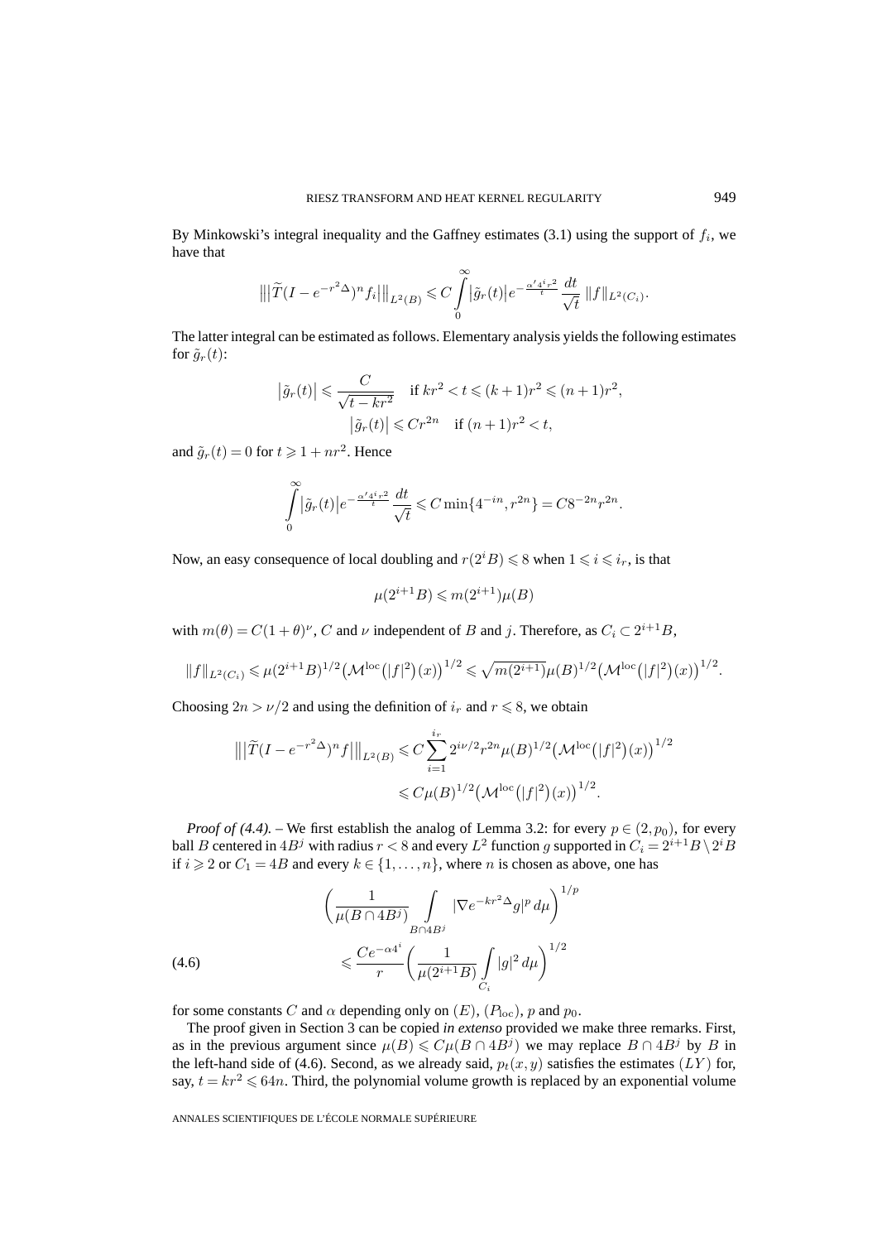By Minkowski's integral inequality and the Gaffney estimates (3.1) using the support of  $f_i$ , we have that

$$
\left\| |\widetilde{T}(I - e^{-r^2\Delta})^n f_i| \right\|_{L^2(B)} \leq C \int_{0}^{\infty} |\widetilde{g}_r(t)| e^{-\frac{\alpha'^{4^i r^2}}{t}} \frac{dt}{\sqrt{t}} \, \|f\|_{L^2(C_i)}.
$$

The latter integral can be estimated as follows. Elementary analysis yields the following estimates for  $\tilde{g}_r(t)$ :

$$
\left|\tilde{g}_r(t)\right| \leqslant \frac{C}{\sqrt{t - kr^2}} \quad \text{if } kr^2 < t \leqslant (k+1)r^2 \leqslant (n+1)r^2,
$$
\n
$$
\left|\tilde{g}_r(t)\right| \leqslant Cr^{2n} \quad \text{if } (n+1)r^2 < t,
$$

and  $\tilde{g}_r(t) = 0$  for  $t \geq 1 + nr^2$ . Hence

$$
\int_{0}^{\infty} |\tilde{g}_r(t)| e^{-\frac{\alpha' 4^{i} r^2}{t}} \frac{dt}{\sqrt{t}} \leq C \min\{4^{-in}, r^{2n}\} = C8^{-2n} r^{2n}.
$$

Now, an easy consequence of local doubling and  $r(2^iB) \leq 8$  when  $1 \leq i \leq i_r$ , is that

$$
\mu(2^{i+1}B) \leqslant m(2^{i+1})\mu(B)
$$

with  $m(\theta) = C(1+\theta)^{\nu}$ , C and  $\nu$  independent of B and j. Therefore, as  $C_i \subset 2^{i+1}B$ ,

$$
||f||_{L^{2}(C_{i})} \leq \mu(2^{i+1}B)^{1/2} \left(\mathcal{M}^{\text{loc}}(|f|^{2})(x)\right)^{1/2} \leq \sqrt{m(2^{i+1})}\mu(B)^{1/2} \left(\mathcal{M}^{\text{loc}}(|f|^{2})(x)\right)^{1/2}.
$$

Choosing  $2n > \nu/2$  and using the definition of  $i_r$  and  $r \le 8$ , we obtain

$$
\|\|\widetilde{T}(I - e^{-r^2\Delta})^n f\|\|_{L^2(B)} \leq C \sum_{i=1}^{i_r} 2^{i\nu/2} r^{2n} \mu(B)^{1/2} \left(\mathcal{M}^{\text{loc}}(|f|^2)(x)\right)^{1/2}
$$
  

$$
\leq C \mu(B)^{1/2} \left(\mathcal{M}^{\text{loc}}(|f|^2)(x)\right)^{1/2}.
$$

*Proof of (4.4).* – We first establish the analog of Lemma 3.2: for every  $p \in (2, p_0)$ , for every ball  $B$  centered in  $4B^j$  with radius  $r < 8$  and every  $L^2$  function  $g$  supported in  $C_i = 2^{i+1}B \setminus 2^iB$ if  $i \geqslant 2$  or  $C_1 = 4B$  and every  $k \in \{1, ..., n\}$ , where *n* is chosen as above, one has

$$
\left(\frac{1}{\mu(B \cap 4B^j)} \int\limits_{B \cap 4B^j} |\nabla e^{-kr^2 \Delta} g|^p d\mu \right)^{1/p}
$$
\n
$$
\leqslant \frac{Ce^{-\alpha 4^i}}{r} \left(\frac{1}{\mu(2^{i+1}B)} \int\limits_{C_i} |g|^2 d\mu \right)^{1/2}
$$

for some constants C and  $\alpha$  depending only on  $(E)$ ,  $(P_{loc})$ , p and  $p_0$ .

The proof given in Section 3 can be copied *in extenso* provided we make three remarks. First, as in the previous argument since  $\mu(B) \leq C \mu(B \cap 4B^j)$  we may replace  $B \cap 4B^j$  by B in the left-hand side of (4.6). Second, as we already said,  $p_t(x, y)$  satisfies the estimates (LY) for, say,  $t = kr^2 \leq 64n$ . Third, the polynomial volume growth is replaced by an exponential volume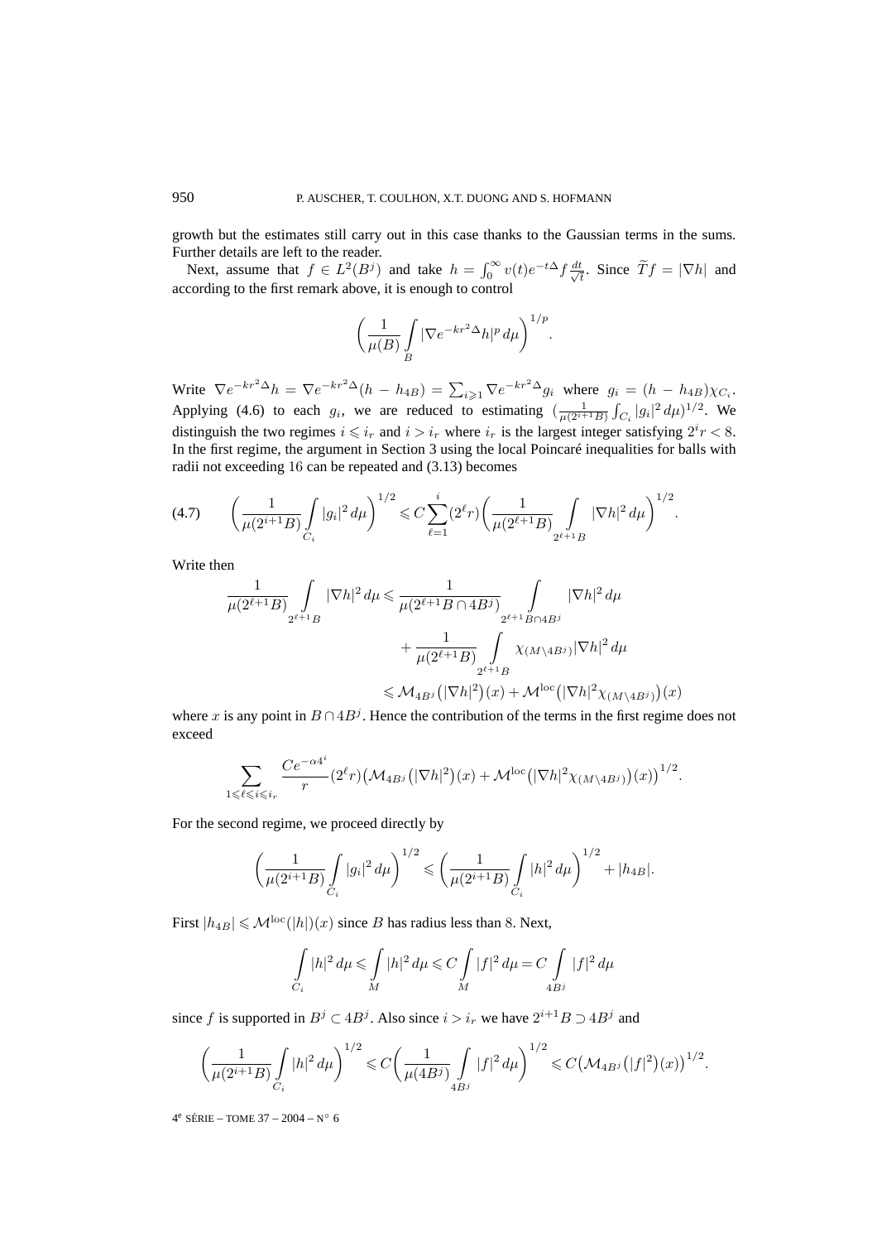growth but the estimates still carry out in this case thanks to the Gaussian terms in the sums. Further details are left to the reader.

Next, assume that  $f \in L^2(B^j)$  and take  $h = \int_0^\infty v(t) e^{-t\Delta} f \frac{dt}{\sqrt{dt}}$  $\frac{t}{t}$ . Since  $Tf = |\nabla h|$  and according to the first remark above, it is enough to control

$$
\left(\frac{1}{\mu(B)}\int\limits_B |\nabla e^{-kr^2\Delta}h|^p\,d\mu\right)^{1/p}.
$$

Write  $\nabla e^{-kr^2\Delta}h = \nabla e^{-kr^2\Delta}(h - h_{4B}) = \sum_{i \geqslant 1} \nabla e^{-kr^2\Delta}g_i$  where  $g_i = (h - h_{4B})\chi_{C_i}$ . Applying (4.6) to each  $g_i$ , we are reduced to estimating  $\left(\frac{1}{\mu(2^{i+1}B)} \int_{C_i} |g_i|^2 d\mu\right)^{1/2}$ . We distinguish the two regimes  $i \leq i_r$  and  $i > i_r$  where  $i_r$  is the largest integer satisfying  $2^i r < 8$ . In the first regime, the argument in Section 3 using the local Poincaré inequalities for balls with radii not exceeding 16 can be repeated and (3.13) becomes

$$
(4.7) \qquad \left(\frac{1}{\mu(2^{i+1}B)}\int\limits_{C_i}|g_i|^2\,d\mu\right)^{1/2} \leqslant C\sum_{\ell=1}^i(2^\ell r)\left(\frac{1}{\mu(2^{\ell+1}B)}\int\limits_{2^{\ell+1}B}|\nabla h|^2\,d\mu\right)^{1/2}.
$$

Write then

$$
\begin{aligned}\frac{1}{\mu(2^{\ell+1}B)}\int\limits_{2^{\ell+1}B}|\nabla h|^2\,d\mu &\leqslant \frac{1}{\mu(2^{\ell+1}B\cap 4B^j)}\int\limits_{2^{\ell+1}B\cap 4B^j}|\nabla h|^2\,d\mu\\ &\qquad\qquad +\frac{1}{\mu(2^{\ell+1}B)}\int\limits_{2^{\ell+1}B} \chi_{(M\backslash 4B^j)}|\nabla h|^2\,d\mu\\ &\leqslant \mathcal{M}_{4B^j}\big(|\nabla h|^2\big)(x)+\mathcal{M}^{\text{loc}}\big(|\nabla h|^2\chi_{(M\backslash 4B^j)}\big)(x)\end{aligned}
$$

where x is any point in  $B \cap 4B^j$ . Hence the contribution of the terms in the first regime does not exceed

$$
\sum_{1 \leqslant \ell \leqslant i_r} \frac{Ce^{-\alpha 4^i}}{r} (2^{\ell}r) \big(\mathcal{M}_{4B^j}\big(|\nabla h|^2\big)(x) + \mathcal{M}^{\text{loc}}\big(|\nabla h|^2 \chi_{(M\setminus 4B^j)}\big)(x)\big)^{1/2}.
$$

For the second regime, we proceed directly by

$$
\left(\frac{1}{\mu(2^{i+1}B)}\int\limits_{C_i}|g_i|^2\,d\mu\right)^{1/2}\leqslant \left(\frac{1}{\mu(2^{i+1}B)}\int\limits_{C_i}|h|^2\,d\mu\right)^{1/2}+|h_{4B}|.
$$

First  $|h_{AB}| \leq \mathcal{M}^{\text{loc}}(|h|)(x)$  since B has radius less than 8. Next,

$$
\int\limits_{C_i}|h|^2\,d\mu\leqslant \int\limits_{M}|h|^2\,d\mu\leqslant C\int\limits_{M}|f|^2\,d\mu=C\int\limits_{4B^j}|f|^2\,d\mu
$$

since f is supported in  $B^j \subset 4B^j$ . Also since  $i>i_r$  we have  $2^{i+1}B \supset 4B^j$  and

$$
\left(\frac{1}{\mu(2^{i+1}B)}\int\limits_{C_i}|h|^2\,d\mu\right)^{1/2}\leqslant C\left(\frac{1}{\mu(4B^j)}\int\limits_{4B^j}|f|^2\,d\mu\right)^{1/2}\leqslant C\left(\mathcal{M}_{4B^j}\left(|f|^2\right)(x)\right)^{1/2}.
$$

4<sup>e</sup> SÉRIE – TOME 37 – 2004 – N° 6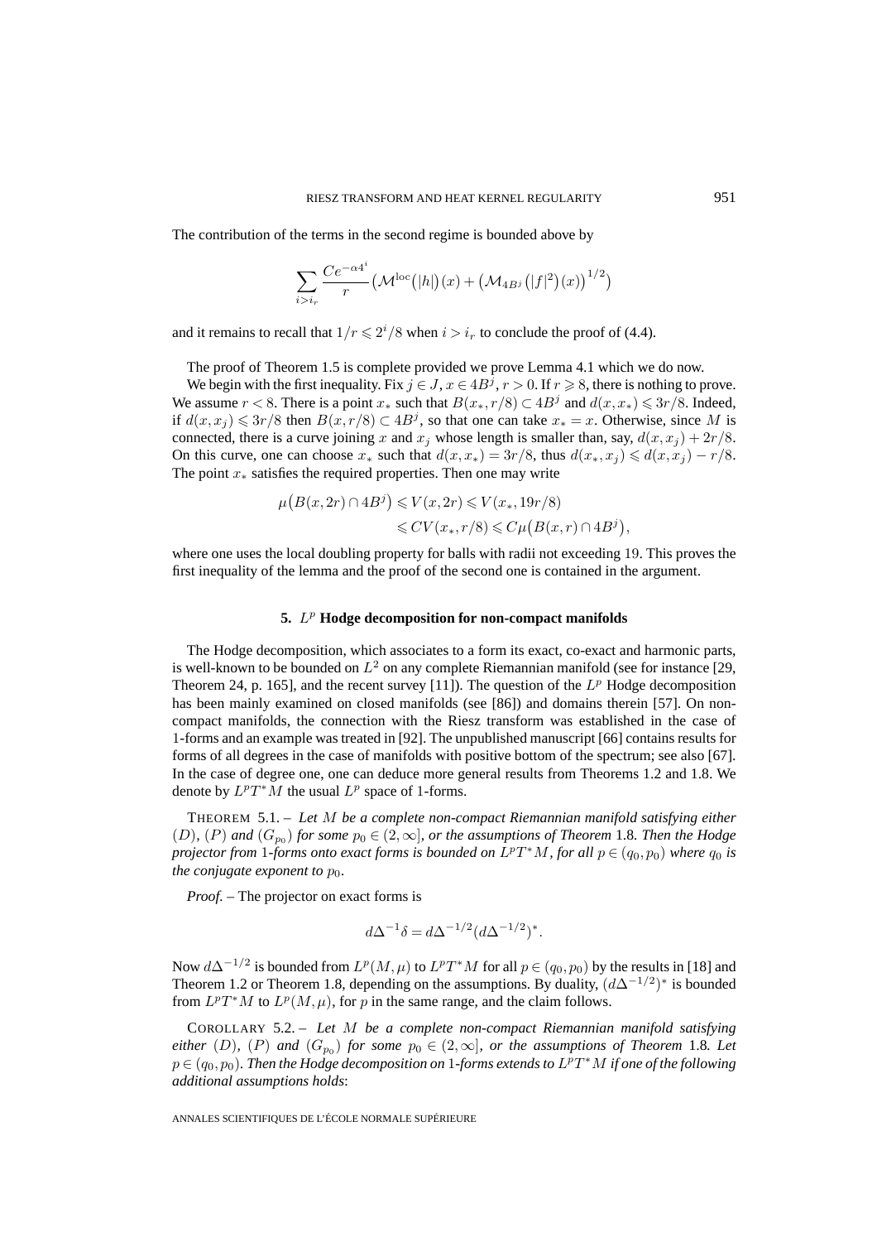The contribution of the terms in the second regime is bounded above by

$$
\sum_{i>i_r} \frac{Ce^{-\alpha 4^i}}{r} \left(\mathcal{M}^{\rm loc}(|h|)(x) + \left(\mathcal{M}_{4B^j}(|f|^2)(x)\right)^{1/2}\right)
$$

and it remains to recall that  $1/r \leq 2^{i}/8$  when  $i>i_r$  to conclude the proof of (4.4).

The proof of Theorem 1.5 is complete provided we prove Lemma 4.1 which we do now.

We begin with the first inequality. Fix  $j \in J$ ,  $x \in 4B^j$ ,  $r > 0$ . If  $r \ge 8$ , there is nothing to prove. We assume  $r < 8$ . There is a point  $x_*$  such that  $B(x_*, r/8) \subset 4B^j$  and  $d(x, x_*) \leq 3r/8$ . Indeed, if  $d(x, x_i) \leq 3r/8$  then  $B(x, r/8) \subset 4B^j$ , so that one can take  $x_* = x$ . Otherwise, since M is connected, there is a curve joining x and  $x_i$  whose length is smaller than, say,  $d(x, x_i) + 2r/8$ . On this curve, one can choose  $x_*$  such that  $d(x, x_*)=3r/8$ , thus  $d(x_*, x_*) \leq d(x, x_*) - r/8$ . The point  $x_*$  satisfies the required properties. Then one may write

$$
\mu\big(B(x,2r)\cap 4B^j\big) \leqslant V(x,2r) \leqslant V(x_*,19r/8)
$$
  

$$
\leqslant CV(x_*,r/8) \leqslant C\mu\big(B(x,r)\cap 4B^j\big),
$$

where one uses the local doubling property for balls with radii not exceeding 19. This proves the first inequality of the lemma and the proof of the second one is contained in the argument.

#### **5.**  $L^p$  **Hodge decomposition for non-compact manifolds**

The Hodge decomposition, which associates to a form its exact, co-exact and harmonic parts, is well-known to be bounded on  $L^2$  on any complete Riemannian manifold (see for instance [29, Theorem 24, p. 165], and the recent survey [11]). The question of the  $L^p$  Hodge decomposition has been mainly examined on closed manifolds (see [86]) and domains therein [57]. On noncompact manifolds, the connection with the Riesz transform was established in the case of 1-forms and an example was treated in [92]. The unpublished manuscript [66] contains results for forms of all degrees in the case of manifolds with positive bottom of the spectrum; see also [67]. In the case of degree one, one can deduce more general results from Theorems 1.2 and 1.8. We denote by  $L^pT^*M$  the usual  $L^p$  space of 1-forms.

THEOREM 5.1. – *Let* M *be a complete non-compact Riemannian manifold satisfying either*  $(D)$ *,*  $(P)$  and  $(G_{p_0})$  for some  $p_0 \in (2,\infty]$ *, or the assumptions of Theorem* 1.8*. Then the Hodge projector from* 1*-forms onto exact forms is bounded on*  $L^pT^*M$ *, for all*  $p \in (q_0, p_0)$  *where*  $q_0$  *is the conjugate exponent to*  $p_0$ *.* 

*Proof. –* The projector on exact forms is

$$
d\Delta^{-1}\delta = d\Delta^{-1/2} (d\Delta^{-1/2})^*.
$$

Now  $d\Delta^{-1/2}$  is bounded from  $L^p(M,\mu)$  to  $L^pT^*M$  for all  $p \in (q_0, p_0)$  by the results in [18] and Theorem 1.2 or Theorem 1.8, depending on the assumptions. By duality,  $(d\Delta^{-1/2})^*$  is bounded from  $L^pT^*M$  to  $L^p(M,\mu)$ , for p in the same range, and the claim follows.

COROLLARY 5.2. – *Let* M *be a complete non-compact Riemannian manifold satisfying either* (D), (P) and  $(G_{p_0})$  *for some*  $p_0 \in (2,\infty]$ *, or the assumptions of Theorem* 1.8*. Let*  $p \in (q_0, p_0)$ . Then the Hodge decomposition on 1-forms extends to  $L^pT^*M$  if one of the following *additional assumptions holds*: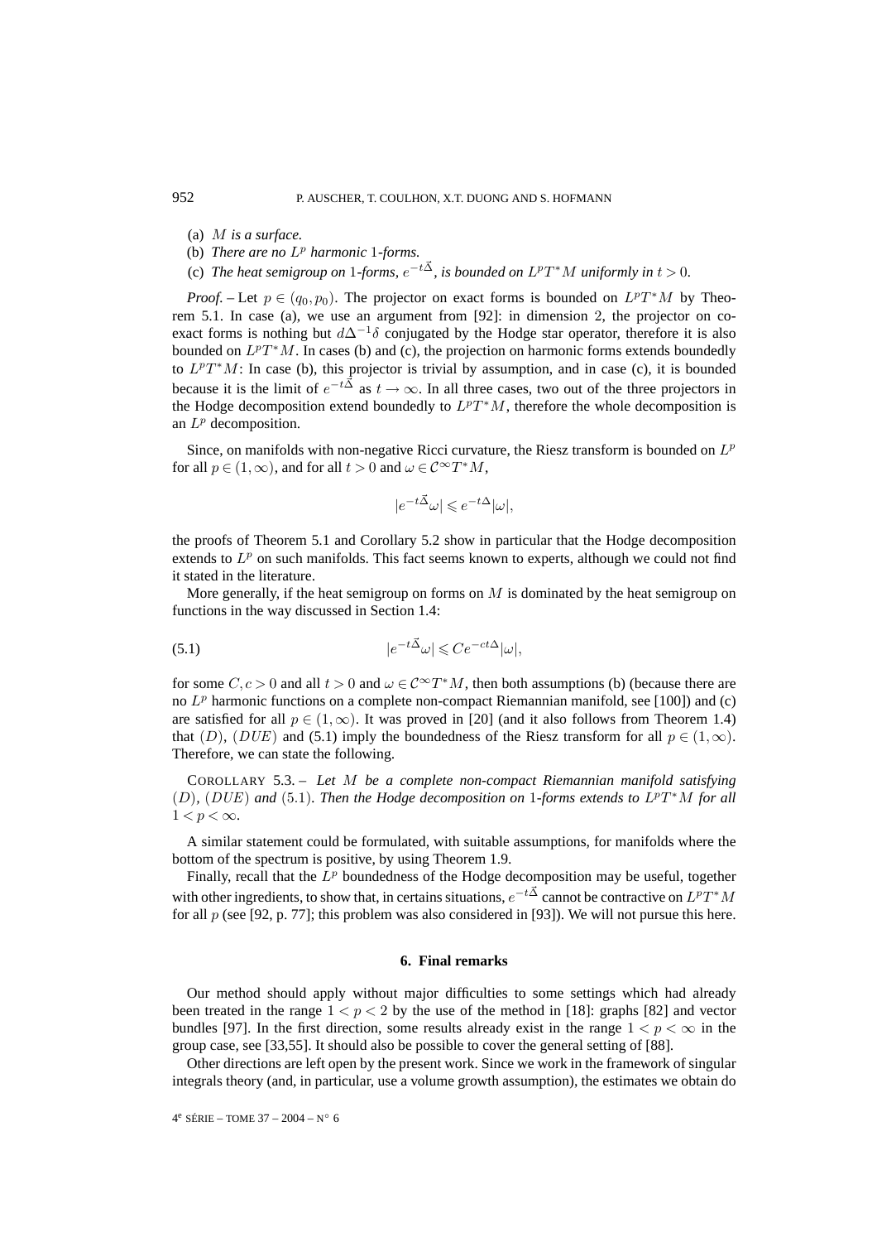- (a) M *is a surface.*
- (b) *There are no*  $L^p$  *harmonic* 1*-forms.*
- (c) *The heat semigroup on* 1*-forms,*  $e^{-t\vec{\Delta}}$ *, is bounded on*  $L^pT^*M$  *uniformly in*  $t > 0$ *.*

*Proof.* – Let  $p \in (q_0, p_0)$ . The projector on exact forms is bounded on  $L^pT^*M$  by Theorem 5.1. In case (a), we use an argument from [92]: in dimension 2, the projector on coexact forms is nothing but  $d\Delta^{-1}\delta$  conjugated by the Hodge star operator, therefore it is also bounded on  $L^pT^*M$ . In cases (b) and (c), the projection on harmonic forms extends boundedly to  $L^pT^*M$ : In case (b), this projector is trivial by assumption, and in case (c), it is bounded because it is the limit of  $e^{-t\vec{\Delta}}$  as  $t \to \infty$ . In all three cases, two out of the three projectors in the Hodge decomposition extend boundedly to  $L^pT^*M$ , therefore the whole decomposition is an  $L^p$  decomposition.

Since, on manifolds with non-negative Ricci curvature, the Riesz transform is bounded on  $L^p$ for all  $p \in (1, \infty)$ , and for all  $t > 0$  and  $\omega \in C^{\infty}T^{*}M$ ,

$$
|e^{-t\vec{\Delta}}\omega| \leqslant e^{-t\Delta}|\omega|,
$$

the proofs of Theorem 5.1 and Corollary 5.2 show in particular that the Hodge decomposition extends to  $L^p$  on such manifolds. This fact seems known to experts, although we could not find it stated in the literature.

More generally, if the heat semigroup on forms on  $M$  is dominated by the heat semigroup on functions in the way discussed in Section 1.4:

$$
(5.1) \t\t\t |e^{-t\vec{\Delta}}\omega| \leqslant Ce^{-ct\Delta}|\omega|,
$$

for some  $C, c > 0$  and all  $t > 0$  and  $\omega \in C^{\infty}T^{*}M$ , then both assumptions (b) (because there are no  $L^p$  harmonic functions on a complete non-compact Riemannian manifold, see [100]) and (c) are satisfied for all  $p \in (1,\infty)$ . It was proved in [20] (and it also follows from Theorem 1.4) that (D), (DUE) and (5.1) imply the boundedness of the Riesz transform for all  $p \in (1,\infty)$ . Therefore, we can state the following.

COROLLARY 5.3. – *Let* M *be a complete non-compact Riemannian manifold satisfying*  $(D)$ *,* (DUE) and (5.1)*. Then the Hodge decomposition on* 1*-forms extends to*  $L^pT^*M$  *for all*  $1 < p < \infty$ .

A similar statement could be formulated, with suitable assumptions, for manifolds where the bottom of the spectrum is positive, by using Theorem 1.9.

Finally, recall that the  $L^p$  boundedness of the Hodge decomposition may be useful, together with other ingredients, to show that, in certains situations,  $e^{-t\vec{\Delta}}$  cannot be contractive on  $L^pT^*M$ for all p (see [92, p. 77]; this problem was also considered in [93]). We will not pursue this here.

#### **6. Final remarks**

Our method should apply without major difficulties to some settings which had already been treated in the range  $1 < p < 2$  by the use of the method in [18]: graphs [82] and vector bundles [97]. In the first direction, some results already exist in the range  $1 < p < \infty$  in the group case, see [33,55]. It should also be possible to cover the general setting of [88].

Other directions are left open by the present work. Since we work in the framework of singular integrals theory (and, in particular, use a volume growth assumption), the estimates we obtain do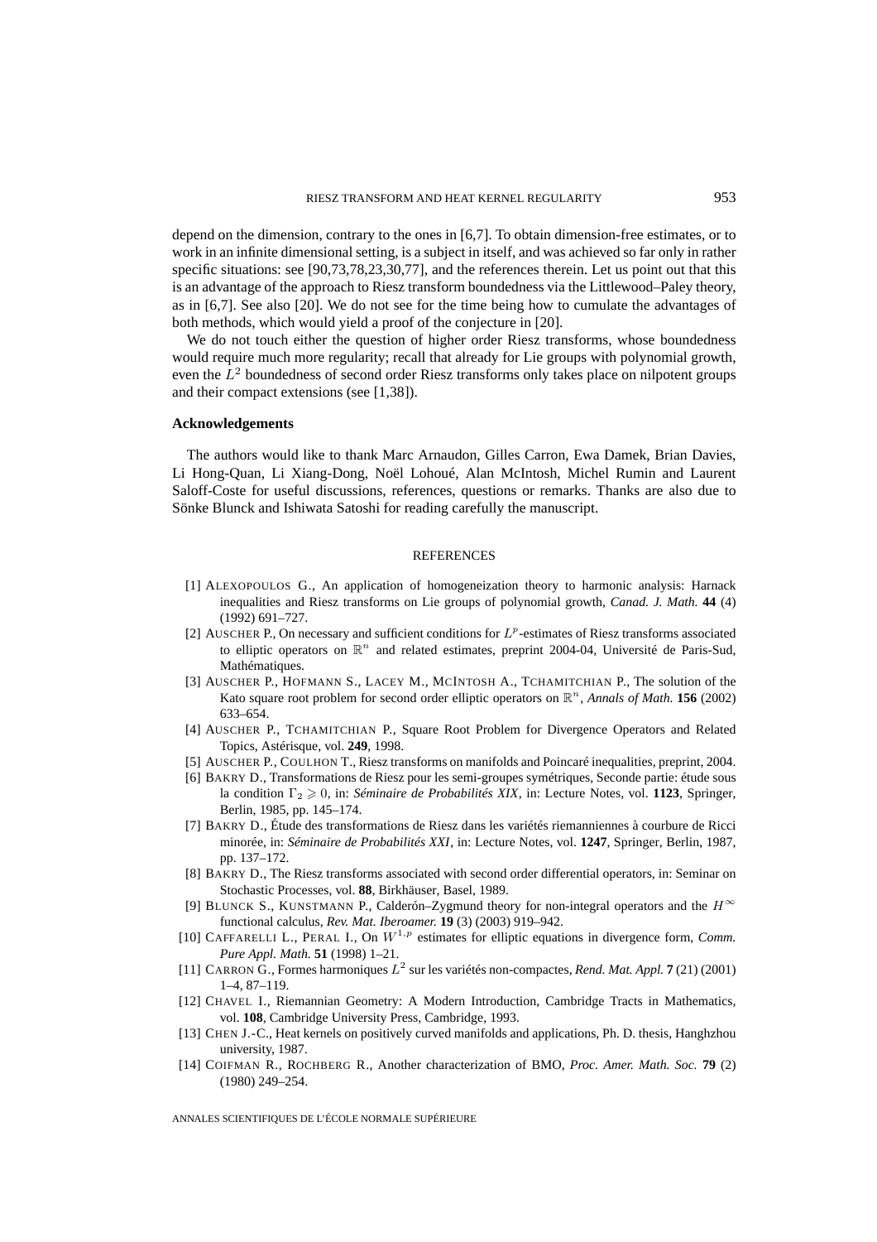depend on the dimension, contrary to the ones in [6,7]. To obtain dimension-free estimates, or to work in an infinite dimensional setting, is a subject in itself, and was achieved so far only in rather specific situations: see [90,73,78,23,30,77], and the references therein. Let us point out that this is an advantage of the approach to Riesz transform boundedness via the Littlewood–Paley theory, as in [6,7]. See also [20]. We do not see for the time being how to cumulate the advantages of both methods, which would yield a proof of the conjecture in [20].

We do not touch either the question of higher order Riesz transforms, whose boundedness would require much more regularity; recall that already for Lie groups with polynomial growth, even the  $L<sup>2</sup>$  boundedness of second order Riesz transforms only takes place on nilpotent groups and their compact extensions (see [1,38]).

#### **Acknowledgements**

The authors would like to thank Marc Arnaudon, Gilles Carron, Ewa Damek, Brian Davies, Li Hong-Quan, Li Xiang-Dong, Noël Lohoué, Alan McIntosh, Michel Rumin and Laurent Saloff-Coste for useful discussions, references, questions or remarks. Thanks are also due to Sönke Blunck and Ishiwata Satoshi for reading carefully the manuscript.

#### **REFERENCES**

- [1] ALEXOPOULOS G., An application of homogeneization theory to harmonic analysis: Harnack inequalities and Riesz transforms on Lie groups of polynomial growth, *Canad. J. Math.* **44** (4) (1992) 691–727.
- [2] AUSCHER P., On necessary and sufficient conditions for  $L^p$ -estimates of Riesz transforms associated to elliptic operators on  $\mathbb{R}^n$  and related estimates, preprint 2004-04, Université de Paris-Sud, Mathématiques.
- [3] AUSCHER P., HOFMANN S., LACEY M., MCINTOSH A., TCHAMITCHIAN P., The solution of the Kato square root problem for second order elliptic operators on  $\mathbb{R}^n$ , *Annals of Math.* **156** (2002) 633–654.
- [4] AUSCHER P., TCHAMITCHIAN P., Square Root Problem for Divergence Operators and Related Topics, Astérisque, vol. **249**, 1998.
- [5] AUSCHER P., COULHON T., Riesz transforms on manifolds and Poincaré inequalities, preprint, 2004.
- [6] BAKRY D., Transformations de Riesz pour les semi-groupes symétriques, Seconde partie: étude sous la condition Γ<sub>2</sub>  $\geq$  0, in: *Séminaire de Probabilités XIX*, in: Lecture Notes, vol. 1123, Springer, Berlin, 1985, pp. 145–174.
- [7] BAKRY D., Étude des transformations de Riesz dans les variétés riemanniennes à courbure de Ricci minorée, in: *Séminaire de Probabilités XXI*, in: Lecture Notes, vol. **1247**, Springer, Berlin, 1987, pp. 137–172.
- [8] BAKRY D., The Riesz transforms associated with second order differential operators, in: Seminar on Stochastic Processes, vol. **88**, Birkhäuser, Basel, 1989.
- [9] BLUNCK S., KUNSTMANN P., Calderón–Zygmund theory for non-integral operators and the  $H^{\infty}$ functional calculus, *Rev. Mat. Iberoamer.* **19** (3) (2003) 919–942.
- [10] CAFFARELLI L., PERAL I., On  $W^{1,p}$  estimates for elliptic equations in divergence form, *Comm. Pure Appl. Math.* **51** (1998) 1–21.
- [11] CARRON G., Formes harmoniques L<sup>2</sup> sur les variétés non-compactes, *Rend. Mat. Appl.* **7** (21) (2001) 1–4, 87–119.
- [12] CHAVEL I., Riemannian Geometry: A Modern Introduction, Cambridge Tracts in Mathematics, vol. **108**, Cambridge University Press, Cambridge, 1993.
- [13] CHEN J.-C., Heat kernels on positively curved manifolds and applications, Ph. D. thesis, Hanghzhou university, 1987.
- [14] COIFMAN R., ROCHBERG R., Another characterization of BMO, *Proc. Amer. Math. Soc.* **79** (2) (1980) 249–254.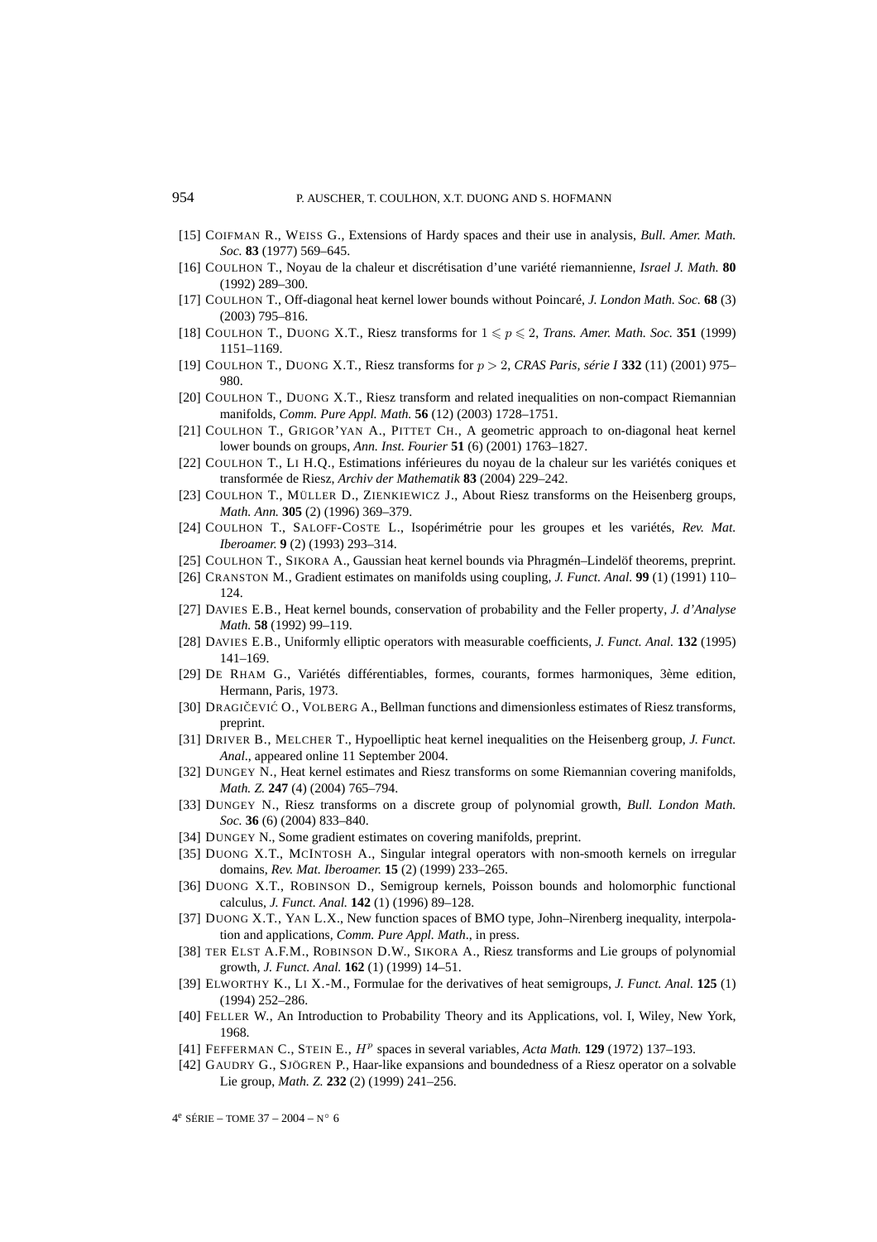- [15] COIFMAN R., WEISS G., Extensions of Hardy spaces and their use in analysis, *Bull. Amer. Math. Soc.* **83** (1977) 569–645.
- [16] COULHON T., Noyau de la chaleur et discrétisation d'une variété riemannienne, *Israel J. Math.* **80** (1992) 289–300.
- [17] COULHON T., Off-diagonal heat kernel lower bounds without Poincaré, *J. London Math. Soc.* **68** (3) (2003) 795–816.
- [18] COULHON T., DUONG X.T., Riesz transforms for  $1 \leq p \leq 2$ , *Trans. Amer. Math. Soc.* **351** (1999) 1151–1169.
- [19] COULHON T., DUONG X.T., Riesz transforms for p > 2, *CRAS Paris, série I* **332** (11) (2001) 975– 980.
- [20] COULHON T., DUONG X.T., Riesz transform and related inequalities on non-compact Riemannian manifolds, *Comm. Pure Appl. Math.* **56** (12) (2003) 1728–1751.
- [21] COULHON T., GRIGOR'YAN A., PITTET CH., A geometric approach to on-diagonal heat kernel lower bounds on groups, *Ann. Inst. Fourier* **51** (6) (2001) 1763–1827.
- [22] COULHON T., LI H.Q., Estimations inférieures du noyau de la chaleur sur les variétés coniques et transformée de Riesz, *Archiv der Mathematik* **83** (2004) 229–242.
- [23] COULHON T., MÜLLER D., ZIENKIEWICZ J., About Riesz transforms on the Heisenberg groups, *Math. Ann.* **305** (2) (1996) 369–379.
- [24] COULHON T., SALOFF-COSTE L., Isopérimétrie pour les groupes et les variétés, *Rev. Mat. Iberoamer.* **9** (2) (1993) 293–314.
- [25] COULHON T., SIKORA A., Gaussian heat kernel bounds via Phragmén–Lindelöf theorems, preprint.
- [26] CRANSTON M., Gradient estimates on manifolds using coupling, *J. Funct. Anal.* **99** (1) (1991) 110– 124.
- [27] DAVIES E.B., Heat kernel bounds, conservation of probability and the Feller property, *J. d'Analyse Math.* **58** (1992) 99–119.
- [28] DAVIES E.B., Uniformly elliptic operators with measurable coefficients, *J. Funct. Anal.* **132** (1995) 141–169.
- [29] DE RHAM G., Variétés différentiables, formes, courants, formes harmoniques, 3ème edition, Hermann, Paris, 1973.
- [30] DRAGIČEVIĆ O., VOLBERG A., Bellman functions and dimensionless estimates of Riesz transforms, preprint.
- [31] DRIVER B., MELCHER T., Hypoelliptic heat kernel inequalities on the Heisenberg group, *J. Funct. Anal*., appeared online 11 September 2004.
- [32] DUNGEY N., Heat kernel estimates and Riesz transforms on some Riemannian covering manifolds, *Math. Z.* **247** (4) (2004) 765–794.
- [33] DUNGEY N., Riesz transforms on a discrete group of polynomial growth, *Bull. London Math. Soc.* **36** (6) (2004) 833–840.
- [34] DUNGEY N., Some gradient estimates on covering manifolds, preprint.
- [35] DUONG X.T., MCINTOSH A., Singular integral operators with non-smooth kernels on irregular domains, *Rev. Mat. Iberoamer.* **15** (2) (1999) 233–265.
- [36] DUONG X.T., ROBINSON D., Semigroup kernels, Poisson bounds and holomorphic functional calculus, *J. Funct. Anal.* **142** (1) (1996) 89–128.
- [37] DUONG X.T., YAN L.X., New function spaces of BMO type, John–Nirenberg inequality, interpolation and applications, *Comm. Pure Appl. Math*., in press.
- [38] TER ELST A.F.M., ROBINSON D.W., SIKORA A., Riesz transforms and Lie groups of polynomial growth, *J. Funct. Anal.* **162** (1) (1999) 14–51.
- [39] ELWORTHY K., LI X.-M., Formulae for the derivatives of heat semigroups, *J. Funct. Anal.* **125** (1) (1994) 252–286.
- [40] FELLER W., An Introduction to Probability Theory and its Applications, vol. I, Wiley, New York, 1968.
- [41] FEFFERMAN C., STEIN E.,  $H^p$  spaces in several variables, *Acta Math.* **129** (1972) 137–193.
- [42] GAUDRY G., SJÖGREN P., Haar-like expansions and boundedness of a Riesz operator on a solvable Lie group, *Math. Z.* **232** (2) (1999) 241–256.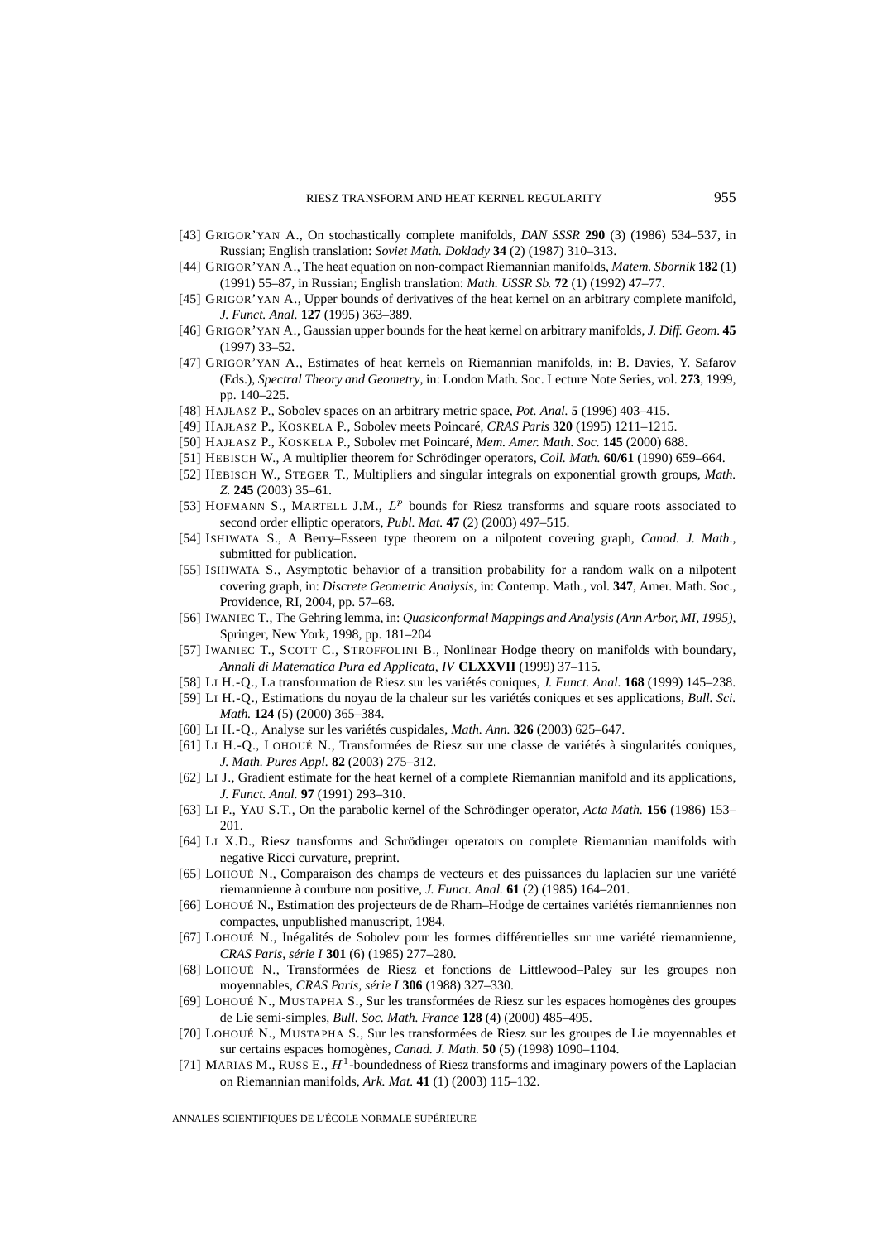- [43] GRIGOR'YAN A., On stochastically complete manifolds, *DAN SSSR* **290** (3) (1986) 534–537, in Russian; English translation: *Soviet Math. Doklady* **34** (2) (1987) 310–313.
- [44] GRIGOR'YAN A., The heat equation on non-compact Riemannian manifolds, *Matem. Sbornik* **182** (1) (1991) 55–87, in Russian; English translation: *Math. USSR Sb.* **72** (1) (1992) 47–77.
- [45] GRIGOR'YAN A., Upper bounds of derivatives of the heat kernel on an arbitrary complete manifold, *J. Funct. Anal.* **127** (1995) 363–389.
- [46] GRIGOR'YAN A., Gaussian upper bounds for the heat kernel on arbitrary manifolds, *J. Diff. Geom.* **45** (1997) 33–52.
- [47] GRIGOR'YAN A., Estimates of heat kernels on Riemannian manifolds, in: B. Davies, Y. Safarov (Eds.), *Spectral Theory and Geometry*, in: London Math. Soc. Lecture Note Series, vol. **273**, 1999, pp. 140–225.
- [48] HAJŁASZ P., Sobolev spaces on an arbitrary metric space, *Pot. Anal.* **5** (1996) 403–415.
- [49] HAJŁASZ P., KOSKELA P., Sobolev meets Poincaré, *CRAS Paris* **320** (1995) 1211–1215.
- [50] HAJŁASZ P., KOSKELA P., Sobolev met Poincaré, *Mem. Amer. Math. Soc.* **145** (2000) 688.
- [51] HEBISCH W., A multiplier theorem for Schrödinger operators, *Coll. Math.* **60/61** (1990) 659–664.
- [52] HEBISCH W., STEGER T., Multipliers and singular integrals on exponential growth groups, *Math. Z.* **245** (2003) 35–61.
- [53] HOFMANN S., MARTELL J.M.,  $L^p$  bounds for Riesz transforms and square roots associated to second order elliptic operators, *Publ. Mat.* **47** (2) (2003) 497–515.
- [54] ISHIWATA S., A Berry–Esseen type theorem on a nilpotent covering graph, *Canad. J. Math*., submitted for publication.
- [55] ISHIWATA S., Asymptotic behavior of a transition probability for a random walk on a nilpotent covering graph, in: *Discrete Geometric Analysis*, in: Contemp. Math., vol. **347**, Amer. Math. Soc., Providence, RI, 2004, pp. 57–68.
- [56] IWANIEC T., The Gehring lemma, in: *Quasiconformal Mappings and Analysis (Ann Arbor, MI, 1995)*, Springer, New York, 1998, pp. 181–204
- [57] IWANIEC T., SCOTT C., STROFFOLINI B., Nonlinear Hodge theory on manifolds with boundary, *Annali di Matematica Pura ed Applicata, IV* **CLXXVII** (1999) 37–115.
- [58] LI H.-Q., La transformation de Riesz sur les variétés coniques, *J. Funct. Anal.* **168** (1999) 145–238.
- [59] LI H.-Q., Estimations du noyau de la chaleur sur les variétés coniques et ses applications, *Bull. Sci. Math.* **124** (5) (2000) 365–384.
- [60] LI H.-Q., Analyse sur les variétés cuspidales, *Math. Ann.* **326** (2003) 625–647.
- [61] LI H.-Q., LOHOUÉ N., Transformées de Riesz sur une classe de variétés à singularités coniques, *J. Math. Pures Appl.* **82** (2003) 275–312.
- [62] LI J., Gradient estimate for the heat kernel of a complete Riemannian manifold and its applications, *J. Funct. Anal.* **97** (1991) 293–310.
- [63] LI P., YAU S.T., On the parabolic kernel of the Schrödinger operator, *Acta Math.* **156** (1986) 153– 201.
- [64] LI X.D., Riesz transforms and Schrödinger operators on complete Riemannian manifolds with negative Ricci curvature, preprint.
- [65] LOHOUÉ N., Comparaison des champs de vecteurs et des puissances du laplacien sur une variété riemannienne à courbure non positive, *J. Funct. Anal.* **61** (2) (1985) 164–201.
- [66] LOHOUÉ N., Estimation des projecteurs de de Rham–Hodge de certaines variétés riemanniennes non compactes, unpublished manuscript, 1984.
- [67] LOHOUÉ N., Inégalités de Sobolev pour les formes différentielles sur une variété riemannienne, *CRAS Paris, série I* **301** (6) (1985) 277–280.
- [68] LOHOUÉ N., Transformées de Riesz et fonctions de Littlewood–Paley sur les groupes non moyennables, *CRAS Paris, série I* **306** (1988) 327–330.
- [69] LOHOUÉ N., MUSTAPHA S., Sur les transformées de Riesz sur les espaces homogènes des groupes de Lie semi-simples, *Bull. Soc. Math. France* **128** (4) (2000) 485–495.
- [70] LOHOUÉ N., MUSTAPHA S., Sur les transformées de Riesz sur les groupes de Lie moyennables et sur certains espaces homogènes, *Canad. J. Math.* **50** (5) (1998) 1090–1104.
- [71] MARIAS M., RUSS E.,  $H<sup>1</sup>$ -boundedness of Riesz transforms and imaginary powers of the Laplacian on Riemannian manifolds, *Ark. Mat.* **41** (1) (2003) 115–132.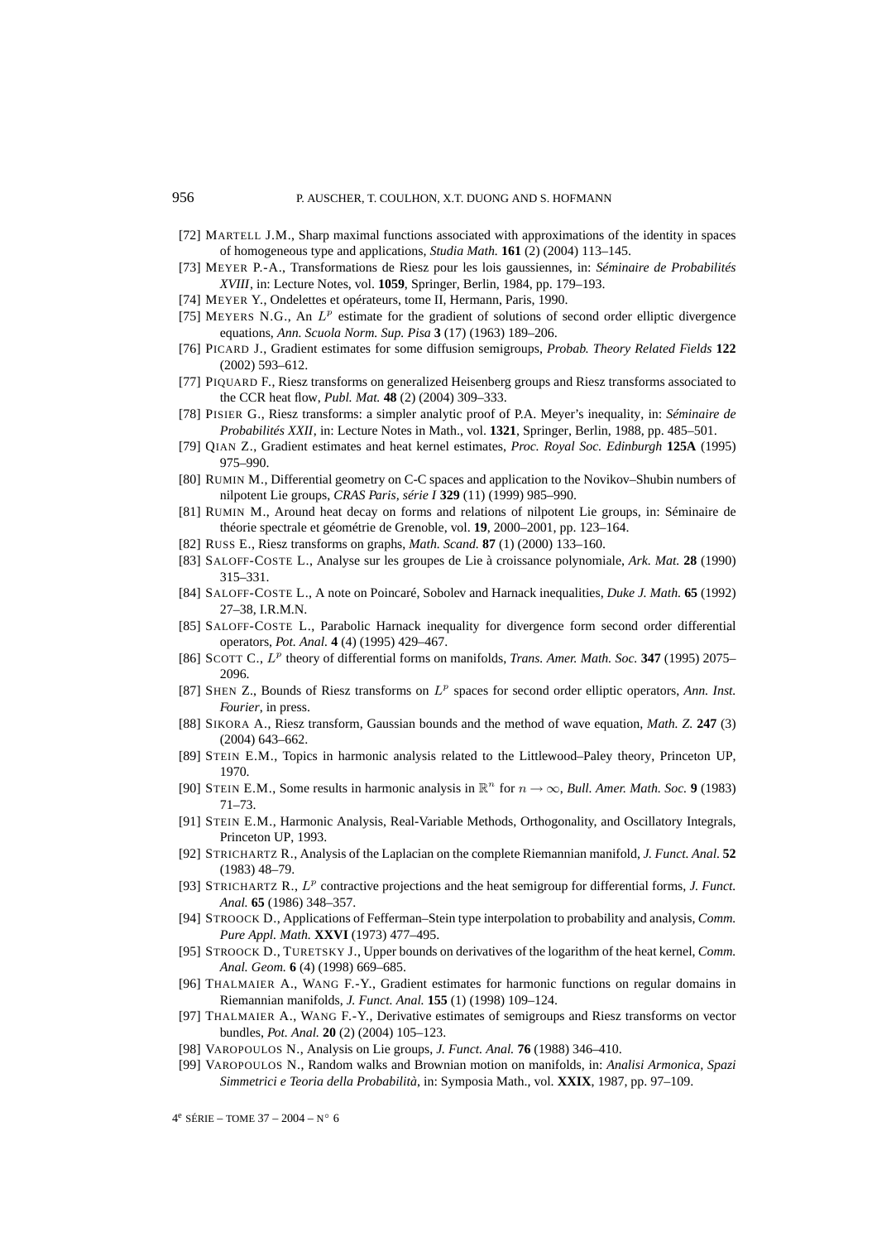- [72] MARTELL J.M., Sharp maximal functions associated with approximations of the identity in spaces of homogeneous type and applications, *Studia Math.* **161** (2) (2004) 113–145.
- [73] MEYER P.-A., Transformations de Riesz pour les lois gaussiennes, in: *Séminaire de Probabilités XVIII*, in: Lecture Notes, vol. **1059**, Springer, Berlin, 1984, pp. 179–193.
- [74] MEYER Y., Ondelettes et opérateurs, tome II, Hermann, Paris, 1990.
- [75] MEYERS N.G., An  $L^p$  estimate for the gradient of solutions of second order elliptic divergence equations, *Ann. Scuola Norm. Sup. Pisa* **3** (17) (1963) 189–206.
- [76] PICARD J., Gradient estimates for some diffusion semigroups, *Probab. Theory Related Fields* **122** (2002) 593–612.
- [77] PIQUARD F., Riesz transforms on generalized Heisenberg groups and Riesz transforms associated to the CCR heat flow, *Publ. Mat.* **48** (2) (2004) 309–333.
- [78] PISIER G., Riesz transforms: a simpler analytic proof of P.A. Meyer's inequality, in: *Séminaire de Probabilités XXII*, in: Lecture Notes in Math., vol. **1321**, Springer, Berlin, 1988, pp. 485–501.
- [79] QIAN Z., Gradient estimates and heat kernel estimates, *Proc. Royal Soc. Edinburgh* **125A** (1995) 975–990.
- [80] RUMIN M., Differential geometry on C-C spaces and application to the Novikov–Shubin numbers of nilpotent Lie groups, *CRAS Paris, série I* **329** (11) (1999) 985–990.
- [81] RUMIN M., Around heat decay on forms and relations of nilpotent Lie groups, in: Séminaire de théorie spectrale et géométrie de Grenoble, vol. **19**, 2000–2001, pp. 123–164.
- [82] RUSS E., Riesz transforms on graphs, *Math. Scand.* **87** (1) (2000) 133–160.
- [83] SALOFF-COSTE L., Analyse sur les groupes de Lie à croissance polynomiale, *Ark. Mat.* **28** (1990) 315–331.
- [84] SALOFF-COSTE L., A note on Poincaré, Sobolev and Harnack inequalities, *Duke J. Math.* **65** (1992) 27–38, I.R.M.N.
- [85] SALOFF-COSTE L., Parabolic Harnack inequality for divergence form second order differential operators, *Pot. Anal.* **4** (4) (1995) 429–467.
- [86] SCOTT C.,  $L^p$  theory of differential forms on manifolds, *Trans. Amer. Math. Soc.* **347** (1995) 2075– 2096.
- [87] SHEN Z., Bounds of Riesz transforms on  $L^p$  spaces for second order elliptic operators, *Ann. Inst. Fourier*, in press.
- [88] SIKORA A., Riesz transform, Gaussian bounds and the method of wave equation, *Math. Z.* **247** (3) (2004) 643–662.
- [89] STEIN E.M., Topics in harmonic analysis related to the Littlewood–Paley theory, Princeton UP, 1970.
- [90] STEIN E.M., Some results in harmonic analysis in  $\mathbb{R}^n$  for  $n \to \infty$ , *Bull. Amer. Math. Soc.* **9** (1983) 71–73.
- [91] STEIN E.M., Harmonic Analysis, Real-Variable Methods, Orthogonality, and Oscillatory Integrals, Princeton UP, 1993.
- [92] STRICHARTZ R., Analysis of the Laplacian on the complete Riemannian manifold, *J. Funct. Anal.* **52** (1983) 48–79.
- [93] STRICHARTZ R.,  $L^p$  contractive projections and the heat semigroup for differential forms, *J. Funct. Anal.* **65** (1986) 348–357.
- [94] STROOCK D., Applications of Fefferman–Stein type interpolation to probability and analysis, *Comm. Pure Appl. Math.* **XXVI** (1973) 477–495.
- [95] STROOCK D., TURETSKY J., Upper bounds on derivatives of the logarithm of the heat kernel, *Comm. Anal. Geom.* **6** (4) (1998) 669–685.
- [96] THALMAIER A., WANG F.-Y., Gradient estimates for harmonic functions on regular domains in Riemannian manifolds, *J. Funct. Anal.* **155** (1) (1998) 109–124.
- [97] THALMAIER A., WANG F.-Y., Derivative estimates of semigroups and Riesz transforms on vector bundles, *Pot. Anal.* **20** (2) (2004) 105–123.
- [98] VAROPOULOS N., Analysis on Lie groups, *J. Funct. Anal.* **76** (1988) 346–410.
- [99] VAROPOULOS N., Random walks and Brownian motion on manifolds, in: *Analisi Armonica, Spazi Simmetrici e Teoria della Probabilità*, in: Symposia Math., vol. **XXIX**, 1987, pp. 97–109.